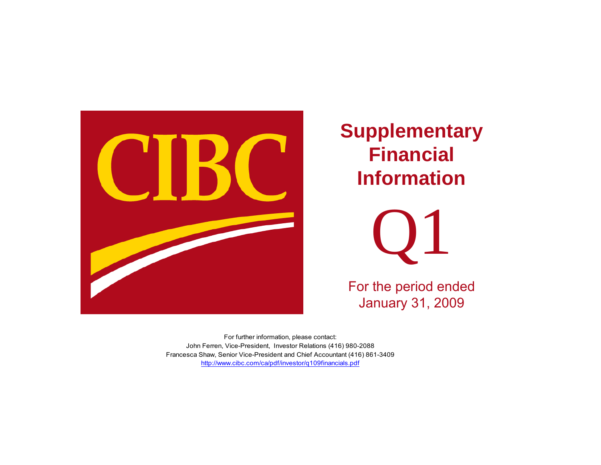

# **Supplementary Financial Information**



For the period ended January 31, 2009

http://www.cibc.com/ca/pdf/investor/q109financials.pdf For further information, please contact: John Ferren, Vice-President, Investor Relations (416) 980-2088 Francesca Shaw, Senior Vice-President and Chief Accountant (416) 861-3409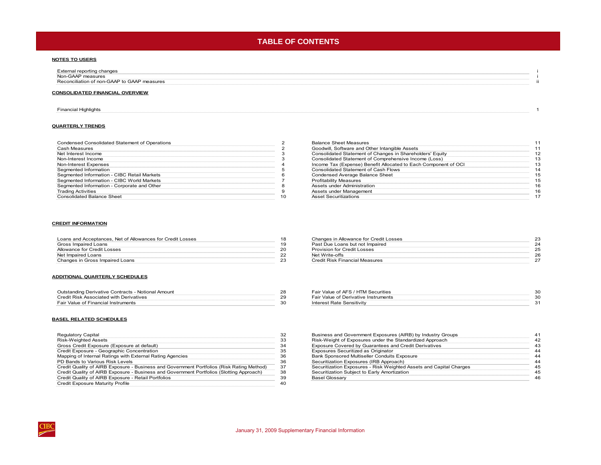# **TABLE OF CONTENTS**

### **NOTES TO USERS**

[External reporting changes i](#page-2-0) Non-GAAP measuress and the contract of the contract of the contract of the contract of the contract of the contract of the contract of the contract of the contract of the contract of the contract of the contract of the contract of the cont [Reconciliation of non-GAAP to GAAP measures](#page-3-0)s and the contract of the contract of the contract of the contract of the contract of the contract of the contract of the contract of the contract of the contract of the contract of the contract of the contract of the cont

### **CONSOLIDATED FINANCIAL OVERVIEW**

#### [Financial Highlights 1](#page-4-0)

### **QUARTERLY TRENDS**

| Condensed Consolidated Statement of Operations |   |
|------------------------------------------------|---|
| Cash Measures                                  |   |
| Net Interest Income                            |   |
| Non-Interest Income                            |   |
| Non-Interest Expenses                          |   |
| Segmented Information                          |   |
| Segmented Information - CIBC Retail Markets    | ค |
| Segmented Information - CIBC World Markets     |   |
| Segmented Information - Corporate and Other    |   |
| <b>Trading Activities</b>                      |   |
| <b>Consolidated Balance Sheet</b>              |   |

### Balance Sheet Measures 11<br>Condwill, Software and Other Intangible Assets 11 [Goodwill, Software and Other Intangible Assets](#page-14-0) 11<br>
Consolidated Statement of Changes in Shareholders' Equity 12 [Consolidated Statement of Changes in Shareholders' Equity](#page-15-0) 12 3 Consolidated Statement of Comprehensive Income (Loss)<br>
13<br>
13 Income Tax (Expense) Benefit Allocated to Each Component of OCI Income Tax (Expense) Benefit Allocated to Each Component of OCI 13<br>Consolidated Statement of Cash Flows 14 [Consolidated Statement of Cash Flows](#page-17-0) 14<br>
Condensed Average Balance Sheet 15 [Condensed Average Balance Sheet](#page-18-0) Profitability Measures 15<br>
Assets under Administration 16 Sexual Assets under Administration 16<br>
Assets under Management 16 Trading [Assets under Management](#page-19-0) 16<br>Trading Asset Securitizations 17<br>17 0 **[Asset Securitizations](#page-20-0)**

#### **CREDIT INFORMATION**

| Loans and Acceptances, Net of Allowances for Credit Losses |  |
|------------------------------------------------------------|--|
| Gross Impaired Loans                                       |  |
| Allowance for Credit Losses                                |  |
| Net Impaired Loans                                         |  |
| Changes in Gross Impaired Loans                            |  |

#### **ADDITIONAL QUARTERLY SCHEDULES**

| Outstanding Derivative Contracts - Notional Amount |  |
|----------------------------------------------------|--|
| Credit Risk Associated with Derivatives            |  |
| Fair Value of Financial Instruments                |  |

### **BASEL RELATED SCHEDULES**

| Regulatory Capital                                                                        | 32 |
|-------------------------------------------------------------------------------------------|----|
| <b>Risk-Weighted Assets</b>                                                               | 33 |
| Gross Credit Exposure (Exposure at default)                                               | 34 |
| Credit Exposure - Geographic Concentration                                                | 35 |
| Mapping of Internal Ratings with External Rating Agencies                                 | 36 |
| PD Bands to Various Risk Levels                                                           | 36 |
| Credit Quality of AIRB Exposure - Business and Government Portfolios (Risk Rating Method) | 37 |
| Credit Quality of AIRB Exposure - Business and Government Portfolios (Slotting Approach)  | 38 |
| Credit Quality of AIRB Exposure - Retail Portfolios                                       | 39 |
| <b>Credit Exposure Maturity Profile</b>                                                   | 40 |
|                                                                                           |    |

|    | Changes in Allowance for Credit Losses |    |
|----|----------------------------------------|----|
|    | Past Due Loans but not Impaired        |    |
|    | Provision for Credit Losses            | 25 |
|    | Net Write-offs                         | 26 |
| 23 | Credit Risk Financial Measures         |    |
|    |                                        |    |

| Outstanding Derivative Contracts - Notional Amount | Fair Value of AFS / HTM Securities   |  |
|----------------------------------------------------|--------------------------------------|--|
| Credit Risk Associated with Derivatives            | Fair Value of Derivative Instruments |  |
| Fair Value of Financial Instruments                | Interest Rate Sensitivity            |  |

| Regulatory Capital                                                                        |     | Business and Government Exposures (AIRB) by Industry Groups         |    |
|-------------------------------------------------------------------------------------------|-----|---------------------------------------------------------------------|----|
| Risk-Weighted Assets                                                                      |     | Risk-Weight of Exposures under the Standardized Approach            | 42 |
| Gross Credit Exposure (Exposure at default)                                               |     | Exposure Covered by Guarantees and Credit Derivatives               | 43 |
| Credit Exposure - Geographic Concentration                                                |     | Exposures Securitized as Originator                                 | 44 |
| Mapping of Internal Ratings with External Rating Agencies                                 |     | Bank Sponsored Multiseller Conduits Exposure                        | 44 |
| PD Bands to Various Risk Levels                                                           | 36  | Securitization Exposures (IRB Approach)                             | 44 |
| Credit Quality of AIRB Exposure - Business and Government Portfolios (Risk Rating Method) | 37  | Securitization Exposures - Risk Weighted Assets and Capital Charges | 45 |
| Credit Quality of AIRB Exposure - Business and Government Portfolios (Slotting Approach)  | -38 | Securitization Subject to Early Amortization                        | 45 |
| Credit Quality of AIRB Exposure - Retail Portfolios                                       | 39  | <b>Basel Glossary</b>                                               | 46 |
|                                                                                           |     |                                                                     |    |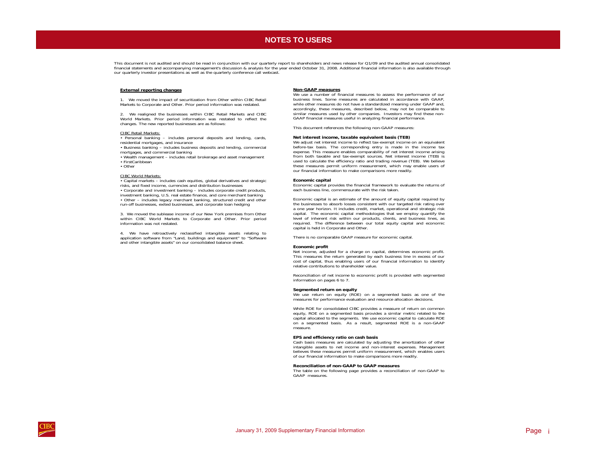### **NOTES TO USERS NOTES TO USERS**

<span id="page-2-0"></span>This document is not audited and should be read in conjunction with our quarterly report to shareholders and news release for Q1/09 and the audited annual consolidated financial statements and accompanying management's discussion & analysis for the year ended October 31, 2008. Additional financial information is also available through our quarterly investor presentations as well as the quarterly conference call webcast.

### **External reporting changes**

1. We moved the impact of securitization from Other within CIBC Retail Markets to Corporate and Other. Prior period information was restated.

2. We realigned the businesses within CIBC Retail Markets and CIBC World Markets. Prior period information was restated to reflect the changes. The new reported businesses are as follows:

### CIBC Retail Markets:

 • Personal banking – includes personal deposits and lending, cards, residential mortgages, and insurance

- Business banking includes business deposits and lending, commercial mortgages, and commercial banking
- Wealth management includes retail brokerage and asset management • FirstCaribbean
- Other

#### CIBC World Markets:

 • Capital markets – includes cash equities, global derivatives and strategic risks, and fixed income, currencies and distribution businesses

• Corporate and investment banking – includes corporate credit products, investment banking, U.S. real estate finance, and core merchant banking • Other – includes legacy merchant banking, structured credit and other run-off businesses, exited businesses, and corporate loan hedging

3. We moved the sublease income of our New York premises from Other within CIBC World Markets to Corporate and Other. Prior period information was not restated.

4. We have retroactively reclassified intangible assets relating to application software from "Land, buildings and equipment" to "Software and other intangible assets" on our consolidated balance sheet.

### **Non-GAAP measures**

 We use <sup>a</sup> number of financial measures to assess the performance of our business lines. Some measures are calculated in accordance with GAAP, while other measures do not have <sup>a</sup> standardized meaning under GAAP and, accordingly, these measures, described below, may not be comparable to similar measures used by other companies. Investors may find these non-GAAP financial measures useful in analyzing financial performance.

This document references the following non-GAAP measures:

### **Net interest income, taxable equivalent basis (TEB)**

We adjust net interest income to reflect tax-exempt income on an equivalent before-tax basis. The corresponding entry is made in the income tax expense. This measure enables comparability of net interest income arising from both taxable and tax-exempt sources. Net interest income (TEB) is used to calculate the efficiency ratio and trading revenue (TEB). We believe these measures permit uniform measurement, which may enable users of our financial information to make comparisons more readily.

### **Economic capital**

Economic capital provides the financial framework to evaluate the returns of each business line, commensurate with the risk taken.

Economic capital is an estimate of the amount of equity capital required by the businesses to absorb losses consistent with our targeted risk rating over <sup>a</sup> one year horizon. It includes credit, market, operational and strategic risk capital. The economic capital methodologies that we employ quantify the level of inherent risk within our products, clients, and business lines, as required. The difference between our total equity capital and economic capital is held in Corporate and Other.

There is no comparable GAAP measure for economic capital.

#### **Economic profit**

Net income, adjusted for <sup>a</sup> charge on capital, determines economic profit. This measures the return generated by each business line in excess of our cost of capital, thus enabling users of our financial information to identify relative contributions to shareholder value.

Reconciliation of net income to economic profit is provided with segmented information on pages 6 to 7.

#### **Segmented return on equity**

We use return on equity (ROE) on <sup>a</sup> segmented basis as one of the measures for performance evaluation and resource allocation decisions.

While ROE for consolidated CIBC provides <sup>a</sup> measure of return on common equity, ROE on <sup>a</sup> segmented basis provides <sup>a</sup> similar metric related to the capital allocated to the segments. We use economic capital to calculate ROE on <sup>a</sup> segmented basis. As <sup>a</sup> result, segmented ROE is <sup>a</sup> non-GAAP measure.

#### **EPS and efficiency ratio on cash basis**

Cash basis measures are calculated by adjusting the amortization of other intangible assets to net income and non-interest expenses. Management believes these measures permit uniform measurement, which enables users of our financial information to make comparisons more readily.

#### **Reconciliation of non-GAAP to GAAP measures**

 The table on the following page provides <sup>a</sup> reconciliation of non-GAAP to GAAP measures.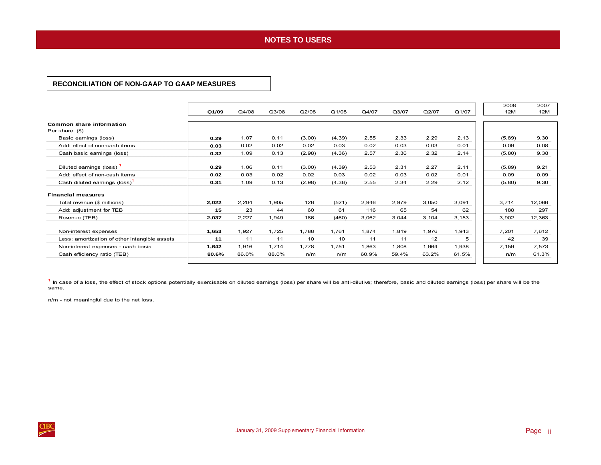### **NOTES TO USERS NOTES TO USERS**

### <span id="page-3-0"></span>**RECONCILIATION OF NON-GAAP TO GAAP MEASURES**

|                                               |       |       |       |        |        |       |       |       |       | 2008   | 2007   |
|-----------------------------------------------|-------|-------|-------|--------|--------|-------|-------|-------|-------|--------|--------|
|                                               | Q1/09 | Q4/08 | Q3/08 | Q2/08  | Q1/08  | Q4/07 | Q3/07 | Q2/07 | Q1/07 | 12M    | 12M    |
| Common share information<br>Per share (\$)    |       |       |       |        |        |       |       |       |       |        |        |
| Basic earnings (loss)                         | 0.29  | 1.07  | 0.11  | (3.00) | (4.39) | 2.55  | 2.33  | 2.29  | 2.13  | (5.89) | 9.30   |
| Add: effect of non-cash items                 | 0.03  | 0.02  | 0.02  | 0.02   | 0.03   | 0.02  | 0.03  | 0.03  | 0.01  | 0.09   | 0.08   |
| Cash basic earnings (loss)                    | 0.32  | 1.09  | 0.13  | (2.98) | (4.36) | 2.57  | 2.36  | 2.32  | 2.14  | (5.80) | 9.38   |
| Diluted earnings (loss)                       | 0.29  | 1.06  | 0.11  | (3.00) | (4.39) | 2.53  | 2.31  | 2.27  | 2.11  | (5.89) | 9.21   |
| Add: effect of non-cash items                 | 0.02  | 0.03  | 0.02  | 0.02   | 0.03   | 0.02  | 0.03  | 0.02  | 0.01  | 0.09   | 0.09   |
| Cash diluted earnings (loss)                  | 0.31  | 1.09  | 0.13  | (2.98) | (4.36) | 2.55  | 2.34  | 2.29  | 2.12  | (5.80) | 9.30   |
| <b>Financial measures</b>                     |       |       |       |        |        |       |       |       |       |        |        |
| Total revenue (\$ millions)                   | 2,022 | 2.204 | 1.905 | 126    | (521)  | 2,946 | 2,979 | 3,050 | 3,091 | 3.714  | 12,066 |
| Add: adjustment for TEB                       | 15    | 23    | 44    | 60     | 61     | 116   | 65    | 54    | 62    | 188    | 297    |
| Revenue (TEB)                                 | 2,037 | 2,227 | 1,949 | 186    | (460)  | 3,062 | 3,044 | 3,104 | 3,153 | 3,902  | 12,363 |
| Non-interest expenses                         | 1,653 | 1,927 | 1,725 | 1,788  | 1.761  | 1.874 | 1,819 | 1,976 | 1,943 | 7,201  | 7,612  |
| Less: amortization of other intangible assets | 11    | 11    | 11    | 10     | 10     | 11    | 11    | 12    | 5     | 42     | 39     |
| Non-interest expenses - cash basis            | 1.642 | 1,916 | 1.714 | 1.778  | 1.751  | 1.863 | 1.808 | 1.964 | 1.938 | 7,159  | 7,573  |
| Cash efficiency ratio (TEB)                   | 80.6% | 86.0% | 88.0% | n/m    | n/m    | 60.9% | 59.4% | 63.2% | 61.5% | n/m    | 61.3%  |
|                                               |       |       |       |        |        |       |       |       |       |        |        |

<sup>1</sup> In case of a loss, the effect of stock options potentially exercisable on diluted earnings (loss) per share will be anti-dilutive; therefore, basic and diluted earnings (loss) per share will be the same.

n/m - not meaningful due to the net loss.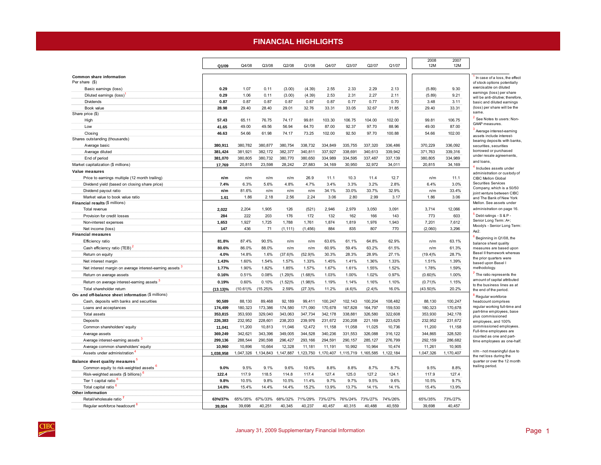### **FINANCIAL HIGHLIGHTS FINANCIAL HIGHLIGHTS**

<span id="page-4-0"></span>

|                                                        |             |             |             |            |            |           |           |           |           |             | 2008    | 2007       |                                                                 |
|--------------------------------------------------------|-------------|-------------|-------------|------------|------------|-----------|-----------|-----------|-----------|-------------|---------|------------|-----------------------------------------------------------------|
|                                                        | Q1/09       | Q4/08       | Q3/08       | Q2/08      | Q1/08      | Q4/07     | Q3/07     | Q2/07     | Q1/07     |             | 12M     | <b>12M</b> |                                                                 |
|                                                        |             |             |             |            |            |           |           |           |           |             |         |            |                                                                 |
| Common share information<br>Per share (\$)             |             |             |             |            |            |           |           |           |           |             |         |            | In case of a loss, the effect<br>of stock options potentially   |
| Basic earnings (loss)                                  | 0.29        | 1.07        | 0.11        | (3.00)     | (4.39)     | 2.55      | 2.33      | 2.29      | 2.13      |             | (5.89)  | 9.30       | exercisable on diluted                                          |
| Diluted earnings (loss)                                | 0.29        | 1.06        | 0.11        | (3.00)     | (4.39)     | 2.53      | 2.31      | 2.27      | 2.11      |             | (5.89)  | 9.21       | earnings (loss) per share                                       |
| Dividends                                              | 0.87        | 0.87        | 0.87        | 0.87       | 0.87       | 0.87      | 0.77      | 0.77      | 0.70      |             | 3.48    | 3.11       | will be anti-dilutive; therefore.<br>basic and diluted earnings |
| Book value                                             | 28.98       | 29.40       | 28.40       | 29.01      | 32.76      | 33.31     | 33.05     | 32.67     | 31.85     |             | 29.40   | 33.31      | (loss) per share will be the                                    |
| Share price (\$)                                       |             |             |             |            |            |           |           |           |           |             |         |            | same.                                                           |
| High                                                   | 57.43       | 65.11       | 76.75       | 74.17      | 99.81      | 103.30    | 106.75    | 104.00    | 102.00    |             | 99.81   | 106.75     | See Notes to users: Non-                                        |
| Low                                                    | 41.65       | 49.00       | 49.56       | 56.94      | 64.70      | 87.00     | 92.37     | 97.70     | 88.96     |             | 49.00   | 87.00      | GAAP measures.                                                  |
| Closing                                                | 46.63       | 54.66       | 61.98       | 74.17      | 73.25      | 102.00    | 92.50     | 97.70     | 100.88    |             | 54.66   | 102.00     | Average interest-earning                                        |
| Shares outstanding (thousands)                         |             |             |             |            |            |           |           |           |           |             |         |            | assets include interest-<br>bearing deposits with banks,        |
| Average basic                                          | 380,911     | 380,782     | 380,877     | 380,754    | 338,732    | 334,849   | 335,755   | 337,320   | 336,486   | 370,229     |         | 336,092    | securities, securities                                          |
| Average diluted                                        | 381,424     | 381,921     | 382,172     | 382,377    | 340,811    | 337.927   | 338,691   | 340,613   | 339,942   | 371,763     |         | 339,316    | borrowed or purchased                                           |
| End of period                                          | 381,070     | 380,805     | 380,732     | 380,770    | 380,650    | 334,989   | 334,595   | 337,487   | 337,139   | 380,805     |         | 334,989    | under resale agreements,<br>and loans.                          |
| Market capitalization (\$ millions)                    | 17,769      | 20,815      | 23,598      | 28,242     | 27,883     | 34,169    | 30,950    | 32,972    | 34,011    | 20,815      |         | 34,169     | <sup>4</sup> Includes assets under                              |
| Value measures                                         |             |             |             |            |            |           |           |           |           |             |         |            | administration or custody of                                    |
| Price to earnings multiple (12 month trailing)         | n/m         | n/m         | n/m         | n/m        | 26.9       | 11.1      | 10.3      | 11.4      | 12.7      |             | n/m     | 11.1       | CIBC Mellon Global                                              |
| Dividend yield (based on closing share price)          | 7.4%        | 6.3%        | 5.6%        | 4.8%       | 4.7%       | 3.4%      | 3.3%      | 3.2%      | 2.8%      |             | 6.4%    | 3.0%       | <b>Securities Services</b>                                      |
| Dividend payout ratio                                  | n/m         | 81.6%       | n/m         | n/m        | n/m        | 34.1%     | 33.0%     | 33.7%     | 32.9%     |             | n/m     | 33.4%      | Company, which is a 50/50<br>ioint venture between CIBC         |
| Market value to book value ratio                       | 1.61        | 1.86        | 2.18        | 2.56       | 2.24       | 3.06      | 2.80      | 2.99      | 3.17      |             | 1.86    | 3.06       | and The Bank of New York                                        |
| Financial results (\$ millions)                        |             |             |             |            |            |           |           |           |           |             |         |            | Mellon. See assets under                                        |
| Total revenue                                          | 2.022       | 2,204       | 1,905       | 126        | (521)      | 2,946     | 2,979     | 3,050     | 3,091     |             | 3,714   | 12,066     | administration on page 16.                                      |
| Provision for credit losses                            | 284         | 222         | 203         | 176        | 172        | 132       | 162       | 166       | 143       |             | 773     | 603        | Debt ratings - S & P -                                          |
| Non-interest expenses                                  | 1,653       | 1,927       | 1,725       | 1,788      | 1,761      | 1,874     | 1,819     | 1,976     | 1,943     |             | 7,201   | 7,612      | Senior Long Term: A+;<br>Moody's - Senior Long Term:            |
| Net income (loss)                                      | 147         | 436         | 71          | (1, 111)   | (1, 456)   | 884       | 835       | 807       | 770       |             | (2,060) | 3,296      | Aa2.                                                            |
| <b>Financial measures</b>                              |             |             |             |            |            |           |           |           |           |             |         |            | Beginning in Q1/08, the                                         |
| Efficiency ratio                                       | 81.8%       | 87.4%       | 90.5%       | n/m        | n/m        | 63.6%     | 61.1%     | 64.8%     | 62.9%     |             | n/m     | 63.1%      | balance sheet quality                                           |
| Cash efficiency ratio (TEB) <sup>2</sup>               | 80.6%       | 86.0%       | 88.0%       | n/m        | n/m        | 60.9%     | 59.4%     | 63.2%     | 61.5%     |             | n/m     | 61.3%      | measures are based upon                                         |
| Return on equity                                       | 4.0%        | 14.8%       | 1.6%        | $(37.6)\%$ | (52.9)%    | 30.3%     | 28.3%     | 28.9%     | 27.1%     | (19.4)%     |         | 28.7%      | Basel II framework whereas<br>the prior quarters were           |
| Net interest margin                                    | 1.43%       | 1.60%       | 1.54%       | 1.57%      | 1.33%      | 1.45%     | 1.41%     | 1.36%     | 1.33%     |             | 1.51%   | 1.39%      | based upon Basel I                                              |
| Net interest margin on average interest-earning assets | 1.77%       | 1.90%       | 1.82%       | 1.85%      | 1.57%      | 1.67%     | 1.61%     | 1.55%     | 1.52%     |             | 1.78%   | 1.59%      | methodology.                                                    |
| Return on average assets                               | 0.16%       | 0.51%       | 0.08%       | (1.29)%    | (1.68)%    | 1.03%     | 1.00%     | 1.02%     | 0.97%     | (0.60)%     |         | 1.00%      | The ratio represents the                                        |
| Return on average interest-earning assets              | 0.19%       | 0.60%       | 0.10%       | $(1.52)\%$ | (1.98)%    | 1.19%     | 1.14%     | 1.16%     | 1.10%     | (0.71)%     |         | 1.15%      | amount of capital attributed<br>to the business lines as at     |
| Total shareholder return                               | $(13.13)\%$ | $(10.61)\%$ | $(15.25)\%$ | 2.59%      | $(27.3)\%$ | 11.2%     | (4.6)%    | (2.4)%    | 16.0%     | $(43.50)\%$ |         | 20.2%      | the end of the period.                                          |
| On- and off-balance sheet information (\$ millions)    |             |             |             |            |            |           |           |           |           |             |         |            | <sup>8</sup> Regular workforce                                  |
| Cash, deposits with banks and securities               | 90,589      | 88,130      | 89,468      | 92.189     | 99.411     | 100,247   | 102,143   | 100,204   | 108,482   |             | 88,130  | 100,247    | headcount comprises                                             |
| Loans and acceptances                                  | 174,499     | 180,323     | 173,386     | 174,580    | 171,090    | 170,678   | 167,828   | 164,797   | 159,530   | 180,323     |         | 170,678    | regular working full-time and<br>part-time employees, base      |
| Total assets                                           | 353,815     | 353,930     | 329,040     | 343,063    | 347,734    | 342, 178  | 338,881   | 326,580   | 322,608   | 353,930     |         | 342,178    | plus commissioned                                               |
| Deposits                                               | 226,383     | 232,952     | 228,601     | 238,203    | 239,976    | 231,672   | 230,208   | 221,169   | 223,625   | 232,952     |         | 231,672    | employees, and 100%                                             |
| Common shareholders' equity                            | 11,041      | 11,200      | 10,813      | 11,046     | 12,472     | 11,158    | 11,058    | 11,025    | 10,736    |             | 11,200  | 11,158     | commissioned employees.<br>Full-time employees are              |
| Average assets                                         | 369,249     | 342.621     | 343,396     | 349,005    | 344,528    | 340.236   | 331,553   | 326,088   | 316,122   | 344,865     |         | 328,520    | counted as one and part-                                        |
| Average interest-earning assets                        | 299,136     | 288,544     | 290,598     | 296,427    | 293,166    | 294,591   | 290,157   | 285,127   | 276,799   | 292,159     |         | 286,682    | time employees as one-half.                                     |
| Average common shareholders' equity                    | 10,960      | 10,896      | 10,664      | 12,328     | 11,181     | 11,191    | 10,992    | 10,964    | 10,474    | 11,261      |         | 10,905     |                                                                 |
| Assets under administration                            | 1,038,958   | 1,047,326   | 1,134,843   | 1,147,887  | 1,123,750  | 1,170,407 | 1,115,719 | 1,165,585 | 1,122,184 | 1,047,326   |         | 1,170,407  | n/m - not meaningful due to<br>the net loss during the          |
| Balance sheet quality measures <sup>5</sup>            |             |             |             |            |            |           |           |           |           |             |         |            | quarter or over the 12 month                                    |
| Common equity to risk-weighted assets <b>b</b>         | 9.0%        | 9.5%        | 9.1%        | 9.6%       | 10.6%      | 8.8%      | 8.8%      | 8.7%      | 8.7%      |             | 9.5%    | 8.8%       | trailing period.                                                |
| Risk-weighted assets (\$ billions)                     | 122.4       | 117.9       | 118.5       | 114.8      | 117.4      | 127.4     | 125.0     | 127.2     | 124.1     |             | 117.9   | 127.4      |                                                                 |
| Tier 1 capital ratio                                   | 9.8%        | 10.5%       | 9.8%        | 10.5%      | 11.4%      | 9.7%      | 9.7%      | 9.5%      | 9.6%      |             | 10.5%   | 9.7%       |                                                                 |
| Total capital ratio <sup>6</sup>                       | 14.8%       | 15.4%       | 14.4%       | 14.4%      | 15.2%      | 13.9%     | 13.7%     | 14.1%     | 14.1%     |             | 15.4%   | 13.9%      |                                                                 |
| Other information                                      |             |             |             |            |            |           |           |           |           |             |         |            |                                                                 |
| Retail/wholesale ratio                                 | 63%/37%     | 65%/35%     | 67%/33%     | 68%/32%    | 71%/29%    | 73%/27%   | 76%/24%   | 73%/27%   | 74%/26%   | 65%/35%     |         | 73%/27%    |                                                                 |
| Regular workforce headcount                            | 39.004      | 39.698      | 40.251      | 40.345     | 40.237     | 40.457    | 40.315    | 40.488    | 40.559    | 39.698      |         | 40.457     |                                                                 |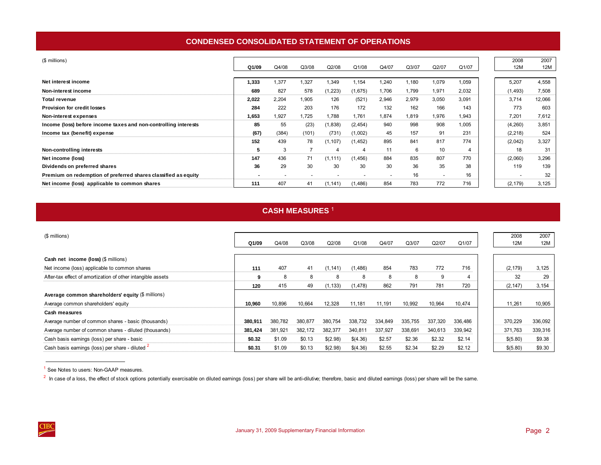# **CONDENSED CONSOLIDATED STATEMENT OF OPERATIONS**

<span id="page-5-0"></span>

| (\$ millions)                                                   |                          |                          |       |          |                          |                          |       |                          |       | 2008                     | 2007       |
|-----------------------------------------------------------------|--------------------------|--------------------------|-------|----------|--------------------------|--------------------------|-------|--------------------------|-------|--------------------------|------------|
|                                                                 | Q1/09                    | Q4/08                    | Q3/08 | Q2/08    | Q1/08                    | Q4/07                    | Q3/07 | Q2/07                    | Q1/07 | 12M                      | <b>12M</b> |
|                                                                 |                          |                          |       |          |                          |                          |       |                          |       |                          |            |
| Net interest income                                             | 1,333                    | 1,377                    | 1,327 | 1,349    | 1,154                    | 240.ا                    | l,180 | 1,079                    | 1,059 | 5,207                    | 4,558      |
| Non-interest income                                             | 689                      | 827                      | 578   | (1, 223) | (1,675)                  | 1,706                    | 1,799 | 1,971                    | 2,032 | (1, 493)                 | 7,508      |
| <b>Total revenue</b>                                            | 2,022                    | 2,204                    | 1,905 | 126      | (521)                    | 2,946                    | 2,979 | 3,050                    | 3,091 | 3,714                    | 12,066     |
| <b>Provision for credit losses</b>                              | 284                      | 222                      | 203   | 176      | 172                      | 132                      | 162   | 166                      | 143   | 773                      | 603        |
| Non-interest expenses                                           | 1,653                    | 1,927                    | 1.725 | 1.788    | 1,761                    | 1,874                    | 1.819 | 1,976                    | 1,943 | 7.201                    | 7,612      |
| Income (loss) before income taxes and non-controlling interests | 85                       | 55                       | (23)  | (1, 838) | (2, 454)                 | 940                      | 998   | 908                      | 1,005 | (4,260)                  | 3,851      |
| Income tax (benefit) expense                                    | (67)                     | (384)                    | (101) | (731)    | (1,002)                  | 45                       | 157   | 91                       | 231   | (2, 218)                 | 524        |
|                                                                 | 152                      | 439                      | 78    | (1, 107) | (1, 452)                 | 895                      | 841   | 817                      | 774   | (2,042)                  | 3,327      |
| Non-controlling interests                                       | 5                        | 3                        |       | 4        | 4                        | 11                       | 6     | 10                       | 4     | 18                       | 31         |
| Net income (loss)                                               | 147                      | 436                      | 71    | (1, 111) | (1, 456)                 | 884                      | 835   | 807                      | 770   | (2,060)                  | 3,296      |
| Dividends on preferred shares                                   | 36                       | 29                       | 30    | 30       | 30                       | 30                       | 36    | 35                       | 38    | 119                      | 139        |
| Premium on redemption of preferred shares classified as equity  | $\overline{\phantom{a}}$ | $\overline{\phantom{a}}$ |       |          | $\overline{\phantom{a}}$ | $\overline{\phantom{a}}$ | 16    | $\overline{\phantom{0}}$ | 16    | $\overline{\phantom{a}}$ | 32         |
| Net income (loss) applicable to common shares                   | 111                      | 407                      | 41    | (1, 141) | (1, 486)                 | 854                      | 783   | 772                      | 716   | (2, 179)                 | 3,125      |

# **CASH MEASURES** <sup>1</sup>

| (\$ millions)                                               |         |         |         |          |          |         |         |         |         | 2008     | 2007    |
|-------------------------------------------------------------|---------|---------|---------|----------|----------|---------|---------|---------|---------|----------|---------|
|                                                             | Q1/09   | Q4/08   | Q3/08   | Q2/08    | Q1/08    | Q4/07   | Q3/07   | Q2/07   | Q1/07   | 12M      | 12M     |
|                                                             |         |         |         |          |          |         |         |         |         |          |         |
| Cash net income (loss) (\$ millions)                        |         |         |         |          |          |         |         |         |         |          |         |
| Net income (loss) applicable to common shares               | 111     | 407     | 41      | (1, 141) | (1, 486) | 854     | 783     | 772     | 716     | (2, 179) | 3,125   |
| After-tax effect of amortization of other intangible assets | 9       | 8       | 8       | 8        | 8        | 8       | 8       | 9       |         | 32       | 29      |
|                                                             | 120     | 415     | 49      | (1, 133) | (1, 478) | 862     | 791     | 781     | 720     | (2, 147) | 3,154   |
| Average common shareholders' equity (\$ millions)           |         |         |         |          |          |         |         |         |         |          |         |
| Average common shareholders' equity                         | 10.960  | 10,896  | 10,664  | 12,328   | 11.181   | 11,191  | 10,992  | 10,964  | 10,474  | 11,261   | 10,905  |
| Cash measures                                               |         |         |         |          |          |         |         |         |         |          |         |
| Average number of common shares - basic (thousands)         | 380.911 | 380,782 | 380,877 | 380.754  | 338,732  | 334.849 | 335.755 | 337.320 | 336,486 | 370,229  | 336,092 |
| Average number of common shares - diluted (thousands)       | 381.424 | 381,921 | 382,172 | 382,377  | 340,811  | 337,927 | 338,691 | 340,613 | 339,942 | 371,763  | 339,316 |
| Cash basis earnings (loss) per share - basic                | \$0.32  | \$1.09  | \$0.13  | \$(2.98) | \$(4.36) | \$2.57  | \$2.36  | \$2.32  | \$2.14  | \$(5.80) | \$9.38  |
| Cash basis earnings (loss) per share - diluted 2            | \$0.31  | \$1.09  | \$0.13  | \$(2.98) | \$(4.36) | \$2.55  | \$2.34  | \$2.29  | \$2.12  | \$(5.80) | \$9.30  |

<sup>1</sup> See Notes to users: Non-GAAP measures.

<sup>2</sup> In case of a loss, the effect of stock options potentially exercisable on diluted earnings (loss) per share will be anti-dilutive; therefore, basic and diluted earnings (loss) per share will be the same.

**12M**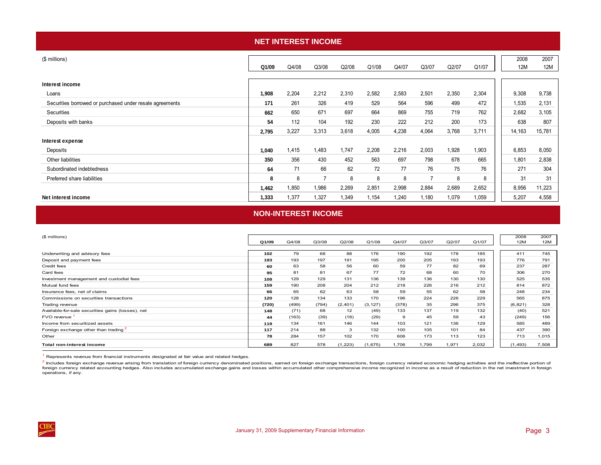<span id="page-6-0"></span>

| <b>NET INTEREST INCOME</b>                               |       |       |       |       |       |       |       |       |       |  |             |             |  |
|----------------------------------------------------------|-------|-------|-------|-------|-------|-------|-------|-------|-------|--|-------------|-------------|--|
| (\$ millions)                                            | Q1/09 | Q4/08 | Q3/08 | Q2/08 | Q1/08 | Q4/07 | Q3/07 | Q2/07 | Q1/07 |  | 2008<br>12M | 2007<br>12M |  |
| Interest income                                          |       |       |       |       |       |       |       |       |       |  |             |             |  |
| Loans                                                    | 1,908 | 2,204 | 2,212 | 2,310 | 2,582 | 2,583 | 2,501 | 2,350 | 2,304 |  | 9,308       | 9,738       |  |
| Securities borrowed or purchased under resale agreements | 171   | 261   | 326   | 419   | 529   | 564   | 596   | 499   | 472   |  | 1,535       | 2,131       |  |
| Securities                                               | 662   | 650   | 671   | 697   | 664   | 869   | 755   | 719   | 762   |  | 2,682       | 3,105       |  |
| Deposits with banks                                      | 54    | 112   | 104   | 192   | 230   | 222   | 212   | 200   | 173   |  | 638         | 807         |  |
|                                                          | 2,795 | 3,227 | 3,313 | 3,618 | 4,005 | 4,238 | 4,064 | 3,768 | 3,711 |  | 14,163      | 15,781      |  |
| Interest expense                                         |       |       |       |       |       |       |       |       |       |  |             |             |  |
| Deposits                                                 | 1,040 | 1,415 | 1,483 | 1,747 | 2,208 | 2,216 | 2,003 | 1,928 | 1,903 |  | 6,853       | 8,050       |  |
| Other liabilities                                        | 350   | 356   | 430   | 452   | 563   | 697   | 798   | 678   | 665   |  | 1,801       | 2,838       |  |
| Subordinated indebtedness                                | 64    | 71    | 66    | 62    | 72    | 77    | 76    | 75    | 76    |  | 271         | 304         |  |
| Preferred share liabilities                              | 8     | 8     | 7     | 8     | 8     | 8     | 7     | 8     | 8     |  | 31          | 31          |  |
|                                                          | 1,462 | 1,850 | 1,986 | 2,269 | 2,851 | 2,998 | 2,884 | 2,689 | 2,652 |  | 8,956       | 11,223      |  |
| Net interest income                                      | 1,333 | 1,377 | 1,327 | 1,349 | 1,154 | 1,240 | 1,180 | 1,079 | 1,059 |  | 5,207       | 4,558       |  |

### **NON-INTEREST INCOME**

| (\$ millions)                                     |       |       |       |          |          |       |       |       |       | 2008     | 2007  |
|---------------------------------------------------|-------|-------|-------|----------|----------|-------|-------|-------|-------|----------|-------|
|                                                   | Q1/09 | Q4/08 | Q3/08 | Q2/08    | Q1/08    | Q4/07 | Q3/07 | Q2/07 | Q1/07 | 12M      | 12M   |
|                                                   |       |       |       |          |          |       |       |       |       |          |       |
| Underwriting and advisory fees                    | 102   | 79    | 68    | 88       | 176      | 190   | 192   | 178   | 185   | 411      | 745   |
| Deposit and payment fees                          | 193   | 193   | 197   | 191      | 195      | 200   | 205   | 193   | 193   | 776      | 791   |
| Credit fees                                       | 60    | 63    | 58    | 56       | 60       | 59    | 77    | 82    | 69    | 237      | 287   |
| Card fees                                         | 95    | 81    | 81    | 67       | 77       | 72    | 68    | 60    | 70    | 306      | 270   |
| Investment management and custodial fees          | 108   | 129   | 129   | 131      | 136      | 139   | 136   | 130   | 130   | 525      | 535   |
| Mutual fund fees                                  | 159   | 190   | 208   | 204      | 212      | 218   | 226   | 216   | 212   | 814      | 872   |
| Insurance fees, net of claims                     | 66    | 65    | 62    | 63       | 58       | 59    | 55    | 62    | 58    | 248      | 234   |
| Commissions on securities transactions            | 120   | 128   | 134   | 133      | 170      | 196   | 224   | 226   | 229   | 565      | 875   |
| Trading revenue                                   | (720) | (499) | (794) | (2, 401) | (3, 127) | (378) | 35    | 296   | 375   | (6, 821) | 328   |
| Available-for-sale securities gains (losses), net | 148   | (71)  | 68    | 12       | (49)     | 133   | 137   | 119   | 132   | (40)     | 521   |
| FVO revenue                                       | 44    | (163) | (39)  | (18)     | (29)     | 9     | 45    | 59    | 43    | (249)    | 156   |
| Income from securitized assets                    | 119   | 134   | 161   | 146      | 144      | 103   | 121   | 136   | 129   | 585      | 489   |
| Foreign exchange other than trading 2             | 117   | 214   | 88    | 3        | 132      | 100   | 105   | 101   | 84    | 437      | 390   |
| Other                                             | 78    | 284   | 157   | 102      | 170      | 606   | 173   | 113   | 123   | 713      | .015  |
| Total non-interest income                         | 689   | 827   | 578   | (1, 223) | (1,675)  | 1,706 | 1,799 | 1,971 | 2,032 | (1, 493) | 7,508 |

1 Represents revenue from financial instruments designated at fair value and related hedges.

<sup>2</sup> Includes foreign exchange revenue arising from translation of foreign currency denominated positions, eamed on foreign exchange transactions, foreign currency related economic hedging activities and the ineffective por foreign currency related accounting hedges. Also includes accumulated exchange gains and losses within accumulated other comprehensive income recognized in income as a result of reduction in the net investment in foreign operations, if any.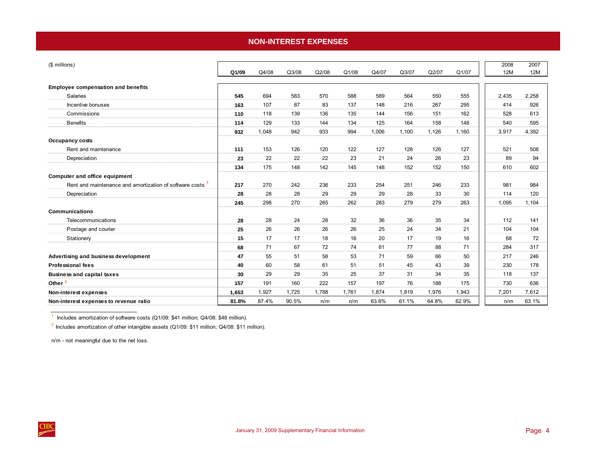### **NON-INTEREST EXPENSES**

<span id="page-7-0"></span>

| (\$ millions)                                           | Q1/09 | Q4/08 | Q3/08 | Q2/08 | Q1/08 | Q4/07 | Q3/07 | Q2/07 | Q1/07 | 2008<br>12M | 2007<br>12M |
|---------------------------------------------------------|-------|-------|-------|-------|-------|-------|-------|-------|-------|-------------|-------------|
| <b>Employee compensation and benefits</b>               |       |       |       |       |       |       |       |       |       |             |             |
| <b>Salaries</b>                                         | 545   | 694   | 583   | 570   | 588   | 589   | 564   | 550   | 555   | 2,435       | 2,258       |
| Incentive bonuses                                       | 163   | 107   | 87    | 83    | 137   | 148   | 216   | 267   | 295   | 414         | 926         |
| Commissions                                             | 110   | 118   | 139   | 136   | 135   | 144   | 156   | 151   | 162   | 528         | 613         |
| <b>Benefits</b>                                         | 114   | 129   | 133   | 144   | 134   | 125   | 164   | 158   | 148   | 540         | 595         |
|                                                         | 932   | 1,048 | 942   | 933   | 994   | 1,006 | 1,100 | 1,126 | 1,160 | 3,917       | 4,392       |
| <b>Occupancy costs</b>                                  |       |       |       |       |       |       |       |       |       |             |             |
| Rent and maintenance                                    | 111   | 153   | 126   | 120   | 122   | 127   | 128   | 126   | 127   | 521         | 508         |
| Depreciation                                            | 23    | 22    | 22    | 22    | 23    | 21    | 24    | 26    | 23    | 89          | 94          |
|                                                         | 134   | 175   | 148   | 142   | 145   | 148   | 152   | 152   | 150   | 610         | 602         |
| Computer and office equipment                           |       |       |       |       |       |       |       |       |       |             |             |
| Rent and maintenance and amortization of software costs | 217   | 270   | 242   | 236   | 233   | 254   | 251   | 246   | 233   | 981         | 984         |
| Depreciation                                            | 28    | 28    | 28    | 29    | 29    | 29    | 28    | 33    | 30    | 114         | 120         |
|                                                         | 245   | 298   | 270   | 265   | 262   | 283   | 279   | 279   | 263   | 1,095       | 1,104       |
| <b>Communications</b>                                   |       |       |       |       |       |       |       |       |       |             |             |
| Telecommunications                                      | 28    | 28    | 24    | 28    | 32    | 36    | 36    | 35    | 34    | 112         | 141         |
| Postage and courier                                     | 25    | 26    | 26    | 26    | 26    | 25    | 24    | 34    | 21    | 104         | 104         |
| Stationery                                              | 15    | 17    | 17    | 18    | 16    | 20    | 17    | 19    | 16    | 68          | 72          |
|                                                         | 68    | 71    | 67    | 72    | 74    | 81    | 77    | 88    | 71    | 284         | 317         |
| Advertising and business development                    | 47    | 55    | 51    | 58    | 53    | 71    | 59    | 66    | 50    | 217         | 246         |
| <b>Professional fees</b>                                | 40    | 60    | 58    | 61    | 51    | 51    | 45    | 43    | 39    | 230         | 178         |
| <b>Business and capital taxes</b>                       | 30    | 29    | 29    | 35    | 25    | 37    | 31    | 34    | 35    | 118         | 137         |
| Other <sup>2</sup>                                      | 157   | 191   | 160   | 222   | 157   | 197   | 76    | 188   | 175   | 730         | 636         |
| Non-interest expenses                                   | 1,653 | 1,927 | 1,725 | 1,788 | 1,761 | 1,874 | 1,819 | 1,976 | 1,943 | 7,201       | 7,612       |
| Non-interest expenses to revenue ratio                  | 81.8% | 87.4% | 90.5% | n/m   | n/m   | 63.6% | 61.1% | 64.8% | 62.9% | n/m         | 63.1%       |

 $1$  Includes amortization of software costs (Q1/09: \$41 million; Q4/08: \$48 million).

 $^2$  Includes amortization of other intangible assets (Q1/09: \$11 million; Q4/08: \$11 million).

n/m - not meaningful due to the net loss.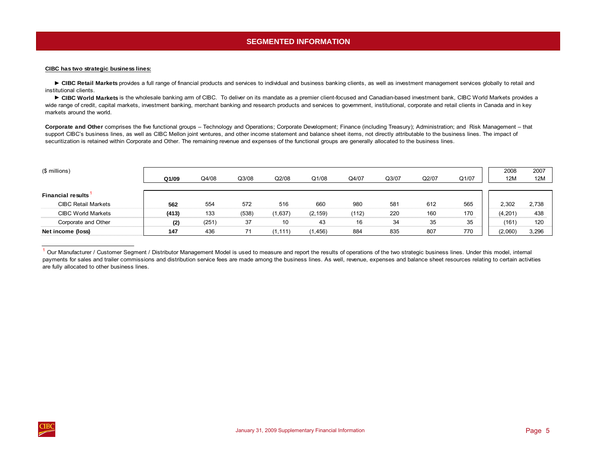# **SEGMENTED INFORMATION**

### <span id="page-8-0"></span>**CIBC has two strategic business lines:**

► CIBC Retail Markets provides a full range of financial products and services to individual and business banking clients, as well as investment management services globally to retail and institutional clients.

► CIBC World Markets is the wholesale banking arm of CIBC. To deliver on its mandate as a premier client-focused and Canadian-based investment bank, CIBC World Markets provides a wide range of credit, capital markets, investment banking, merchant banking and research products and services to government, institutional, corporate and retail clients in Canada and in key markets around the world.

**Corporate and Other** comprises the five functional groups – Technology and Operations; Corporate Development; Finance (including Treasury); Administration; and Risk Management – that support CIBC's business lines, as well as CIBC Mellon joint ventures, and other income statement and balance sheet items, not directly attributable to the business lines. The impact of securitization is retained within Corporate and Other. The remaining revenue and expenses of the functional groups are generally allocated to the business lines.

| (\$ millions)              | Q1/09 | Q4/08 | Q3/08 | Q2/08    | Q1/08    | Q4/07 | Q3/07 | Q2/07 | Q1/07 | 2008<br>12M | 2007<br>12M |
|----------------------------|-------|-------|-------|----------|----------|-------|-------|-------|-------|-------------|-------------|
| <b>Financial results</b>   |       |       |       |          |          |       |       |       |       |             |             |
| <b>CIBC Retail Markets</b> | 562   | 554   | 572   | 516      | 660      | 980   | 581   | 612   | 565   | 2,302       | 2,738       |
| <b>CIBC World Markets</b>  | (413) | 133   | (538) | (1,637)  | (2, 159) | (112) | 220   | 160   | 170   | (4, 201)    | 438         |
| Corporate and Other        | (2)   | (251) | 37    | 10       | 43       | 16    | 34    | 35    | 35    | (161        | 120         |
| Net income (loss)          | 147   | 436   | 71    | (1, 111) | 1,456)   | 884   | 835   | 807   | 770   | (2,060)     | 3,296       |

<sup>&</sup>lt;sup>1</sup> Our Manufacturer / Customer Segment / Distributor Management Model is used to measure and report the results of operations of the two strategic business lines. Under this model, internal payments for sales and trailer commissions and distribution service fees are made among the business lines. As well, revenue, expenses and balance sheet resources relating to certain activities are fully allocated to other business lines.

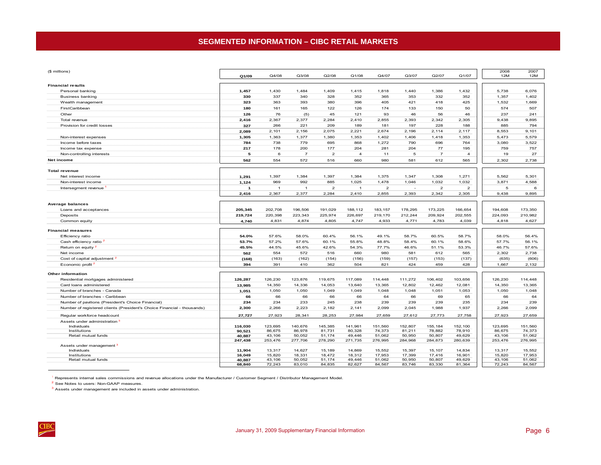# **SEGMENTED INFORMATION – CIBC RETAIL MARKETS**

<span id="page-9-0"></span>

| Q1/07<br>Q1/09<br>Q4/08<br>Q3/08<br>Q2/08<br>Q1/08<br>Q4/07<br>Q3/07<br>Q2/07<br>12M<br>12M<br><b>Financial results</b><br>6,076<br>1,430<br>1,409<br>1,415<br>1,818<br>1,386<br>1,432<br>5,738<br>Personal banking<br>1,484<br>1,440<br>1,457<br>337<br>340<br>328<br>352<br>365<br>353<br>332<br>352<br>1,357<br>1,402<br><b>Business banking</b><br>330<br>Wealth management<br>323<br>363<br>393<br>380<br>396<br>405<br>421<br>418<br>425<br>1.532<br>1,669<br>174<br>574<br>FirstCaribbean<br>180<br>161<br>165<br>122<br>126<br>133<br>150<br>50<br>507<br>126<br>76<br>45<br>121<br>93<br>46<br>56<br>46<br>237<br>Other<br>(5)<br>241<br>2,367<br>2,377<br>2,284<br>2,342<br>Total revenue<br>2,416<br>2,410<br>2,855<br>2,393<br>2,305<br>9,438<br>9,895<br>327<br>266<br>221<br>209<br>189<br>181<br>197<br>228<br>885<br>794<br>Provision for credit losses<br>188<br>2,156<br>2,075<br>2,221<br>2,674<br>2,196<br>2,114<br>2,117<br>8,553<br>9,101<br>2,089<br>2,101<br>1,363<br>1,377<br>1,380<br>1,353<br>5,473<br>1,305<br>1,402<br>1,406<br>1,418<br>1,353<br>5,579<br>Non-interest expenses<br>784<br>738<br>779<br>695<br>868<br>1,272<br>790<br>696<br>764<br>3,080<br>Income before taxes<br>3,522<br>217<br>178<br>200<br>177<br>204<br>281<br>204<br>77<br>195<br>759<br>757<br>Income tax expense<br>$\overline{7}$<br>$\overline{2}$<br>$\overline{\mathbf{4}}$<br>5<br>$\overline{7}$<br>$\overline{4}$<br>19<br>27<br>Non-controlling interests<br>5<br>6<br>11<br>562<br>554<br>572<br>516<br>581<br>Net income<br>660<br>980<br>612<br>565<br>2,302<br>2,738<br><b>Total revenue</b><br>1,384<br>1,397<br>1,384<br>1,375<br>1,347<br>1,271<br>5,562<br>5,301<br>Net interest income<br>1,291<br>1,397<br>1,308<br>969<br>992<br>885<br>1,025<br>1,478<br>Non-interest income<br>1,124<br>1,046<br>1,032<br>1,032<br>3,871<br>4,588<br>$\overline{a}$<br>Intersegment revenue<br>$\mathbf{2}$<br>$\overline{2}$<br>$\overline{2}$<br>5<br>$\mathbf{1}$<br>$\overline{1}$<br>$\overline{1}$<br>$\mathbf{1}$<br>6<br>$\overline{a}$<br>2,342<br>2,416<br>2,367<br>2,377<br>2,284<br>2,410<br>2,855<br>2,393<br>2,305<br>9,438<br>9,895<br><b>Average balances</b><br>202,708<br>191,029<br>183, 157<br>178,295<br>173,225<br>166,654<br>194,608<br>173,350<br>Loans and acceptances<br>196,506<br>188,112<br>205,345<br>209,924<br>202,555<br>224,093<br>Deposits<br>220,398<br>223,343<br>225,974<br>226,697<br>219,170<br>212,244<br>210,982<br>219,724<br>Common equity<br>4,740<br>4,831<br>4,874<br>4,805<br>4,747<br>4,933<br>4,771<br>4,783<br>4,039<br>4,818<br>4,627<br><b>Financial measures</b><br>Efficiency ratio<br>54.0%<br>57.6%<br>58.0%<br>60.4%<br>56.1%<br>49.1%<br>58.7%<br>60.5%<br>58.7%<br>58.0%<br>56.4%<br>Cash efficiency ratio <sup>2</sup><br>53.7%<br>57.2%<br>57.6%<br>60.1%<br>55.8%<br>48.8%<br>60.1%<br>57.7%<br>56.1%<br>58.4%<br>58.6%<br>45.5%<br>45.6%<br>46.7%<br>Return on equity <sup>2</sup><br>44.5%<br>42.6%<br>54.3%<br>77.7%<br>46.6%<br>51.1%<br>53.3%<br>57.6%<br>554<br>572<br>660<br>2.302<br>2,738<br>Net income<br>562<br>516<br>980<br>581<br>612<br>565<br>Cost of capital adjustment <sup>2</sup><br>(168)<br>(163)<br>(162)<br>(154)<br>(156)<br>(159)<br>(157)<br>(153)<br>(137)<br>(635)<br>(606)<br>Economic profit <sup>2</sup><br>394<br>391<br>410<br>362<br>504<br>821<br>424<br>459<br>428<br>1,667<br>2,132<br>Other information<br>Residential mortgages administered<br>126,230<br>123,876<br>119,675<br>117,089<br>114,448<br>111,272<br>106,402<br>103,656<br>126,230<br>114,448<br>126,287<br>12,802<br>13,365<br>Card loans administered<br>14,350<br>14,336<br>14,053<br>13,640<br>13,365<br>12,462<br>12,081<br>14,350<br>13,985<br>1,050<br>1,050<br>1,049<br>1,049<br>1,048<br>1,048<br>1,051<br>1,053<br>1,050<br>1,048<br>Number of branches - Canada<br>1,051<br>66<br>66<br>66<br>66<br>64<br>66<br>66<br>Number of branches - Caribbean<br>69<br>65<br>64<br>66<br>234<br>233<br>245<br>238<br>239<br>239<br>239<br>235<br>234<br>239<br>Number of pavilions (President's Choice Financial)<br>234<br>2,223<br>Number of registered clients (President's Choice Financial - thousands)<br>2,266<br>2,182<br>2,141<br>2,099<br>2,045<br>1,988<br>1,937<br>2,266<br>2,099<br>2,300<br>Regular workforce headcount<br>27,727<br>27,923<br>28,341<br>28,253<br>27,984<br>27,659<br>27,612<br>27,773<br>27,758<br>27,923<br>27,659<br>Assets under administration <sup>3</sup><br>Individuals<br>152,807<br>116,030<br>123,695<br>140,676<br>145,385<br>141,961<br>151,560<br>155,184<br>152,100<br>123,695<br>151,560<br>Institutions<br>86,675<br>86,978<br>81,731<br>80,328<br>74,373<br>81,211<br>78,882<br>78,910<br>86,675<br>74,373<br>90,521<br>Retail mutual funds<br>40,887<br>43,106<br>50,052<br>51,174<br>49,446<br>51,062<br>50,950<br>50,807<br>49,629<br>43,106<br>51,062<br>247,438<br>253,476<br>277,706<br>278,290<br>271,735<br>276,995<br>284,968<br>284,873<br>280,639<br>253,476<br>276,995<br>Assets under management <sup>3</sup><br>14,627<br>15,189<br>14,869<br>15,552<br>15,397<br>15,107<br>15,552<br>Individuals<br>13,317<br>14,834<br>13,317<br>11,904<br>Institutions<br>16,049<br>15,820<br>18,331<br>18,472<br>18,312<br>17,953<br>17,399<br>17,416<br>16,901<br>15,820<br>17,953<br>Retail mutual funds<br>49,446<br>51,062<br>43,106<br>40,887<br>43,106<br>50,052<br>51,174<br>50,950<br>50,807<br>49,629<br>51,062<br>72,243<br>83,010<br>84,835<br>82,627<br>84,567<br>83,746<br>83,330<br>81,364<br>72,243<br>84,567<br>68,840 | (\$ millions) |  |  |  |  | 2008 | 2007 |
|-------------------------------------------------------------------------------------------------------------------------------------------------------------------------------------------------------------------------------------------------------------------------------------------------------------------------------------------------------------------------------------------------------------------------------------------------------------------------------------------------------------------------------------------------------------------------------------------------------------------------------------------------------------------------------------------------------------------------------------------------------------------------------------------------------------------------------------------------------------------------------------------------------------------------------------------------------------------------------------------------------------------------------------------------------------------------------------------------------------------------------------------------------------------------------------------------------------------------------------------------------------------------------------------------------------------------------------------------------------------------------------------------------------------------------------------------------------------------------------------------------------------------------------------------------------------------------------------------------------------------------------------------------------------------------------------------------------------------------------------------------------------------------------------------------------------------------------------------------------------------------------------------------------------------------------------------------------------------------------------------------------------------------------------------------------------------------------------------------------------------------------------------------------------------------------------------------------------------------------------------------------------------------------------------------------------------------------------------------------------------------------------------------------------------------------------------------------------------------------------------------------------------------------------------------------------------------------------------------------------------------------------------------------------------------------------------------------------------------------------------------------------------------------------------------------------------------------------------------------------------------------------------------------------------------------------------------------------------------------------------------------------------------------------------------------------------------------------------------------------------------------------------------------------------------------------------------------------------------------------------------------------------------------------------------------------------------------------------------------------------------------------------------------------------------------------------------------------------------------------------------------------------------------------------------------------------------------------------------------------------------------------------------------------------------------------------------------------------------------------------------------------------------------------------------------------------------------------------------------------------------------------------------------------------------------------------------------------------------------------------------------------------------------------------------------------------------------------------------------------------------------------------------------------------------------------------------------------------------------------------------------------------------------------------------------------------------------------------------------------------------------------------------------------------------------------------------------------------------------------------------------------------------------------------------------------------------------------------------------------------------------------------------------------------------------------------------------------------------------------------------------------------------------------------------------------------------------------------------------------------------------------------------------------------------------------------------------------------------------------------------------------------------------------------------------------------------------------------------------------------------------------------------------------------------------------------------------------------------------------------------------------------------------------------------------------------------------------------------------------------------------------------------------------------------------------------------------------------------------------------------------------------------------------------------------------------------|---------------|--|--|--|--|------|------|
|                                                                                                                                                                                                                                                                                                                                                                                                                                                                                                                                                                                                                                                                                                                                                                                                                                                                                                                                                                                                                                                                                                                                                                                                                                                                                                                                                                                                                                                                                                                                                                                                                                                                                                                                                                                                                                                                                                                                                                                                                                                                                                                                                                                                                                                                                                                                                                                                                                                                                                                                                                                                                                                                                                                                                                                                                                                                                                                                                                                                                                                                                                                                                                                                                                                                                                                                                                                                                                                                                                                                                                                                                                                                                                                                                                                                                                                                                                                                                                                                                                                                                                                                                                                                                                                                                                                                                                                                                                                                                                                                                                                                                                                                                                                                                                                                                                                                                                                                                                                                                                                                                                                                                                                                                                                                                                                                                                                                                                                                                                                                                                               |               |  |  |  |  |      |      |
|                                                                                                                                                                                                                                                                                                                                                                                                                                                                                                                                                                                                                                                                                                                                                                                                                                                                                                                                                                                                                                                                                                                                                                                                                                                                                                                                                                                                                                                                                                                                                                                                                                                                                                                                                                                                                                                                                                                                                                                                                                                                                                                                                                                                                                                                                                                                                                                                                                                                                                                                                                                                                                                                                                                                                                                                                                                                                                                                                                                                                                                                                                                                                                                                                                                                                                                                                                                                                                                                                                                                                                                                                                                                                                                                                                                                                                                                                                                                                                                                                                                                                                                                                                                                                                                                                                                                                                                                                                                                                                                                                                                                                                                                                                                                                                                                                                                                                                                                                                                                                                                                                                                                                                                                                                                                                                                                                                                                                                                                                                                                                                               |               |  |  |  |  |      |      |
|                                                                                                                                                                                                                                                                                                                                                                                                                                                                                                                                                                                                                                                                                                                                                                                                                                                                                                                                                                                                                                                                                                                                                                                                                                                                                                                                                                                                                                                                                                                                                                                                                                                                                                                                                                                                                                                                                                                                                                                                                                                                                                                                                                                                                                                                                                                                                                                                                                                                                                                                                                                                                                                                                                                                                                                                                                                                                                                                                                                                                                                                                                                                                                                                                                                                                                                                                                                                                                                                                                                                                                                                                                                                                                                                                                                                                                                                                                                                                                                                                                                                                                                                                                                                                                                                                                                                                                                                                                                                                                                                                                                                                                                                                                                                                                                                                                                                                                                                                                                                                                                                                                                                                                                                                                                                                                                                                                                                                                                                                                                                                                               |               |  |  |  |  |      |      |
|                                                                                                                                                                                                                                                                                                                                                                                                                                                                                                                                                                                                                                                                                                                                                                                                                                                                                                                                                                                                                                                                                                                                                                                                                                                                                                                                                                                                                                                                                                                                                                                                                                                                                                                                                                                                                                                                                                                                                                                                                                                                                                                                                                                                                                                                                                                                                                                                                                                                                                                                                                                                                                                                                                                                                                                                                                                                                                                                                                                                                                                                                                                                                                                                                                                                                                                                                                                                                                                                                                                                                                                                                                                                                                                                                                                                                                                                                                                                                                                                                                                                                                                                                                                                                                                                                                                                                                                                                                                                                                                                                                                                                                                                                                                                                                                                                                                                                                                                                                                                                                                                                                                                                                                                                                                                                                                                                                                                                                                                                                                                                                               |               |  |  |  |  |      |      |
|                                                                                                                                                                                                                                                                                                                                                                                                                                                                                                                                                                                                                                                                                                                                                                                                                                                                                                                                                                                                                                                                                                                                                                                                                                                                                                                                                                                                                                                                                                                                                                                                                                                                                                                                                                                                                                                                                                                                                                                                                                                                                                                                                                                                                                                                                                                                                                                                                                                                                                                                                                                                                                                                                                                                                                                                                                                                                                                                                                                                                                                                                                                                                                                                                                                                                                                                                                                                                                                                                                                                                                                                                                                                                                                                                                                                                                                                                                                                                                                                                                                                                                                                                                                                                                                                                                                                                                                                                                                                                                                                                                                                                                                                                                                                                                                                                                                                                                                                                                                                                                                                                                                                                                                                                                                                                                                                                                                                                                                                                                                                                                               |               |  |  |  |  |      |      |
|                                                                                                                                                                                                                                                                                                                                                                                                                                                                                                                                                                                                                                                                                                                                                                                                                                                                                                                                                                                                                                                                                                                                                                                                                                                                                                                                                                                                                                                                                                                                                                                                                                                                                                                                                                                                                                                                                                                                                                                                                                                                                                                                                                                                                                                                                                                                                                                                                                                                                                                                                                                                                                                                                                                                                                                                                                                                                                                                                                                                                                                                                                                                                                                                                                                                                                                                                                                                                                                                                                                                                                                                                                                                                                                                                                                                                                                                                                                                                                                                                                                                                                                                                                                                                                                                                                                                                                                                                                                                                                                                                                                                                                                                                                                                                                                                                                                                                                                                                                                                                                                                                                                                                                                                                                                                                                                                                                                                                                                                                                                                                                               |               |  |  |  |  |      |      |
|                                                                                                                                                                                                                                                                                                                                                                                                                                                                                                                                                                                                                                                                                                                                                                                                                                                                                                                                                                                                                                                                                                                                                                                                                                                                                                                                                                                                                                                                                                                                                                                                                                                                                                                                                                                                                                                                                                                                                                                                                                                                                                                                                                                                                                                                                                                                                                                                                                                                                                                                                                                                                                                                                                                                                                                                                                                                                                                                                                                                                                                                                                                                                                                                                                                                                                                                                                                                                                                                                                                                                                                                                                                                                                                                                                                                                                                                                                                                                                                                                                                                                                                                                                                                                                                                                                                                                                                                                                                                                                                                                                                                                                                                                                                                                                                                                                                                                                                                                                                                                                                                                                                                                                                                                                                                                                                                                                                                                                                                                                                                                                               |               |  |  |  |  |      |      |
|                                                                                                                                                                                                                                                                                                                                                                                                                                                                                                                                                                                                                                                                                                                                                                                                                                                                                                                                                                                                                                                                                                                                                                                                                                                                                                                                                                                                                                                                                                                                                                                                                                                                                                                                                                                                                                                                                                                                                                                                                                                                                                                                                                                                                                                                                                                                                                                                                                                                                                                                                                                                                                                                                                                                                                                                                                                                                                                                                                                                                                                                                                                                                                                                                                                                                                                                                                                                                                                                                                                                                                                                                                                                                                                                                                                                                                                                                                                                                                                                                                                                                                                                                                                                                                                                                                                                                                                                                                                                                                                                                                                                                                                                                                                                                                                                                                                                                                                                                                                                                                                                                                                                                                                                                                                                                                                                                                                                                                                                                                                                                                               |               |  |  |  |  |      |      |
|                                                                                                                                                                                                                                                                                                                                                                                                                                                                                                                                                                                                                                                                                                                                                                                                                                                                                                                                                                                                                                                                                                                                                                                                                                                                                                                                                                                                                                                                                                                                                                                                                                                                                                                                                                                                                                                                                                                                                                                                                                                                                                                                                                                                                                                                                                                                                                                                                                                                                                                                                                                                                                                                                                                                                                                                                                                                                                                                                                                                                                                                                                                                                                                                                                                                                                                                                                                                                                                                                                                                                                                                                                                                                                                                                                                                                                                                                                                                                                                                                                                                                                                                                                                                                                                                                                                                                                                                                                                                                                                                                                                                                                                                                                                                                                                                                                                                                                                                                                                                                                                                                                                                                                                                                                                                                                                                                                                                                                                                                                                                                                               |               |  |  |  |  |      |      |
|                                                                                                                                                                                                                                                                                                                                                                                                                                                                                                                                                                                                                                                                                                                                                                                                                                                                                                                                                                                                                                                                                                                                                                                                                                                                                                                                                                                                                                                                                                                                                                                                                                                                                                                                                                                                                                                                                                                                                                                                                                                                                                                                                                                                                                                                                                                                                                                                                                                                                                                                                                                                                                                                                                                                                                                                                                                                                                                                                                                                                                                                                                                                                                                                                                                                                                                                                                                                                                                                                                                                                                                                                                                                                                                                                                                                                                                                                                                                                                                                                                                                                                                                                                                                                                                                                                                                                                                                                                                                                                                                                                                                                                                                                                                                                                                                                                                                                                                                                                                                                                                                                                                                                                                                                                                                                                                                                                                                                                                                                                                                                                               |               |  |  |  |  |      |      |
|                                                                                                                                                                                                                                                                                                                                                                                                                                                                                                                                                                                                                                                                                                                                                                                                                                                                                                                                                                                                                                                                                                                                                                                                                                                                                                                                                                                                                                                                                                                                                                                                                                                                                                                                                                                                                                                                                                                                                                                                                                                                                                                                                                                                                                                                                                                                                                                                                                                                                                                                                                                                                                                                                                                                                                                                                                                                                                                                                                                                                                                                                                                                                                                                                                                                                                                                                                                                                                                                                                                                                                                                                                                                                                                                                                                                                                                                                                                                                                                                                                                                                                                                                                                                                                                                                                                                                                                                                                                                                                                                                                                                                                                                                                                                                                                                                                                                                                                                                                                                                                                                                                                                                                                                                                                                                                                                                                                                                                                                                                                                                                               |               |  |  |  |  |      |      |
|                                                                                                                                                                                                                                                                                                                                                                                                                                                                                                                                                                                                                                                                                                                                                                                                                                                                                                                                                                                                                                                                                                                                                                                                                                                                                                                                                                                                                                                                                                                                                                                                                                                                                                                                                                                                                                                                                                                                                                                                                                                                                                                                                                                                                                                                                                                                                                                                                                                                                                                                                                                                                                                                                                                                                                                                                                                                                                                                                                                                                                                                                                                                                                                                                                                                                                                                                                                                                                                                                                                                                                                                                                                                                                                                                                                                                                                                                                                                                                                                                                                                                                                                                                                                                                                                                                                                                                                                                                                                                                                                                                                                                                                                                                                                                                                                                                                                                                                                                                                                                                                                                                                                                                                                                                                                                                                                                                                                                                                                                                                                                                               |               |  |  |  |  |      |      |
|                                                                                                                                                                                                                                                                                                                                                                                                                                                                                                                                                                                                                                                                                                                                                                                                                                                                                                                                                                                                                                                                                                                                                                                                                                                                                                                                                                                                                                                                                                                                                                                                                                                                                                                                                                                                                                                                                                                                                                                                                                                                                                                                                                                                                                                                                                                                                                                                                                                                                                                                                                                                                                                                                                                                                                                                                                                                                                                                                                                                                                                                                                                                                                                                                                                                                                                                                                                                                                                                                                                                                                                                                                                                                                                                                                                                                                                                                                                                                                                                                                                                                                                                                                                                                                                                                                                                                                                                                                                                                                                                                                                                                                                                                                                                                                                                                                                                                                                                                                                                                                                                                                                                                                                                                                                                                                                                                                                                                                                                                                                                                                               |               |  |  |  |  |      |      |
|                                                                                                                                                                                                                                                                                                                                                                                                                                                                                                                                                                                                                                                                                                                                                                                                                                                                                                                                                                                                                                                                                                                                                                                                                                                                                                                                                                                                                                                                                                                                                                                                                                                                                                                                                                                                                                                                                                                                                                                                                                                                                                                                                                                                                                                                                                                                                                                                                                                                                                                                                                                                                                                                                                                                                                                                                                                                                                                                                                                                                                                                                                                                                                                                                                                                                                                                                                                                                                                                                                                                                                                                                                                                                                                                                                                                                                                                                                                                                                                                                                                                                                                                                                                                                                                                                                                                                                                                                                                                                                                                                                                                                                                                                                                                                                                                                                                                                                                                                                                                                                                                                                                                                                                                                                                                                                                                                                                                                                                                                                                                                                               |               |  |  |  |  |      |      |
|                                                                                                                                                                                                                                                                                                                                                                                                                                                                                                                                                                                                                                                                                                                                                                                                                                                                                                                                                                                                                                                                                                                                                                                                                                                                                                                                                                                                                                                                                                                                                                                                                                                                                                                                                                                                                                                                                                                                                                                                                                                                                                                                                                                                                                                                                                                                                                                                                                                                                                                                                                                                                                                                                                                                                                                                                                                                                                                                                                                                                                                                                                                                                                                                                                                                                                                                                                                                                                                                                                                                                                                                                                                                                                                                                                                                                                                                                                                                                                                                                                                                                                                                                                                                                                                                                                                                                                                                                                                                                                                                                                                                                                                                                                                                                                                                                                                                                                                                                                                                                                                                                                                                                                                                                                                                                                                                                                                                                                                                                                                                                                               |               |  |  |  |  |      |      |
|                                                                                                                                                                                                                                                                                                                                                                                                                                                                                                                                                                                                                                                                                                                                                                                                                                                                                                                                                                                                                                                                                                                                                                                                                                                                                                                                                                                                                                                                                                                                                                                                                                                                                                                                                                                                                                                                                                                                                                                                                                                                                                                                                                                                                                                                                                                                                                                                                                                                                                                                                                                                                                                                                                                                                                                                                                                                                                                                                                                                                                                                                                                                                                                                                                                                                                                                                                                                                                                                                                                                                                                                                                                                                                                                                                                                                                                                                                                                                                                                                                                                                                                                                                                                                                                                                                                                                                                                                                                                                                                                                                                                                                                                                                                                                                                                                                                                                                                                                                                                                                                                                                                                                                                                                                                                                                                                                                                                                                                                                                                                                                               |               |  |  |  |  |      |      |
|                                                                                                                                                                                                                                                                                                                                                                                                                                                                                                                                                                                                                                                                                                                                                                                                                                                                                                                                                                                                                                                                                                                                                                                                                                                                                                                                                                                                                                                                                                                                                                                                                                                                                                                                                                                                                                                                                                                                                                                                                                                                                                                                                                                                                                                                                                                                                                                                                                                                                                                                                                                                                                                                                                                                                                                                                                                                                                                                                                                                                                                                                                                                                                                                                                                                                                                                                                                                                                                                                                                                                                                                                                                                                                                                                                                                                                                                                                                                                                                                                                                                                                                                                                                                                                                                                                                                                                                                                                                                                                                                                                                                                                                                                                                                                                                                                                                                                                                                                                                                                                                                                                                                                                                                                                                                                                                                                                                                                                                                                                                                                                               |               |  |  |  |  |      |      |
|                                                                                                                                                                                                                                                                                                                                                                                                                                                                                                                                                                                                                                                                                                                                                                                                                                                                                                                                                                                                                                                                                                                                                                                                                                                                                                                                                                                                                                                                                                                                                                                                                                                                                                                                                                                                                                                                                                                                                                                                                                                                                                                                                                                                                                                                                                                                                                                                                                                                                                                                                                                                                                                                                                                                                                                                                                                                                                                                                                                                                                                                                                                                                                                                                                                                                                                                                                                                                                                                                                                                                                                                                                                                                                                                                                                                                                                                                                                                                                                                                                                                                                                                                                                                                                                                                                                                                                                                                                                                                                                                                                                                                                                                                                                                                                                                                                                                                                                                                                                                                                                                                                                                                                                                                                                                                                                                                                                                                                                                                                                                                                               |               |  |  |  |  |      |      |
|                                                                                                                                                                                                                                                                                                                                                                                                                                                                                                                                                                                                                                                                                                                                                                                                                                                                                                                                                                                                                                                                                                                                                                                                                                                                                                                                                                                                                                                                                                                                                                                                                                                                                                                                                                                                                                                                                                                                                                                                                                                                                                                                                                                                                                                                                                                                                                                                                                                                                                                                                                                                                                                                                                                                                                                                                                                                                                                                                                                                                                                                                                                                                                                                                                                                                                                                                                                                                                                                                                                                                                                                                                                                                                                                                                                                                                                                                                                                                                                                                                                                                                                                                                                                                                                                                                                                                                                                                                                                                                                                                                                                                                                                                                                                                                                                                                                                                                                                                                                                                                                                                                                                                                                                                                                                                                                                                                                                                                                                                                                                                                               |               |  |  |  |  |      |      |
|                                                                                                                                                                                                                                                                                                                                                                                                                                                                                                                                                                                                                                                                                                                                                                                                                                                                                                                                                                                                                                                                                                                                                                                                                                                                                                                                                                                                                                                                                                                                                                                                                                                                                                                                                                                                                                                                                                                                                                                                                                                                                                                                                                                                                                                                                                                                                                                                                                                                                                                                                                                                                                                                                                                                                                                                                                                                                                                                                                                                                                                                                                                                                                                                                                                                                                                                                                                                                                                                                                                                                                                                                                                                                                                                                                                                                                                                                                                                                                                                                                                                                                                                                                                                                                                                                                                                                                                                                                                                                                                                                                                                                                                                                                                                                                                                                                                                                                                                                                                                                                                                                                                                                                                                                                                                                                                                                                                                                                                                                                                                                                               |               |  |  |  |  |      |      |
|                                                                                                                                                                                                                                                                                                                                                                                                                                                                                                                                                                                                                                                                                                                                                                                                                                                                                                                                                                                                                                                                                                                                                                                                                                                                                                                                                                                                                                                                                                                                                                                                                                                                                                                                                                                                                                                                                                                                                                                                                                                                                                                                                                                                                                                                                                                                                                                                                                                                                                                                                                                                                                                                                                                                                                                                                                                                                                                                                                                                                                                                                                                                                                                                                                                                                                                                                                                                                                                                                                                                                                                                                                                                                                                                                                                                                                                                                                                                                                                                                                                                                                                                                                                                                                                                                                                                                                                                                                                                                                                                                                                                                                                                                                                                                                                                                                                                                                                                                                                                                                                                                                                                                                                                                                                                                                                                                                                                                                                                                                                                                                               |               |  |  |  |  |      |      |
|                                                                                                                                                                                                                                                                                                                                                                                                                                                                                                                                                                                                                                                                                                                                                                                                                                                                                                                                                                                                                                                                                                                                                                                                                                                                                                                                                                                                                                                                                                                                                                                                                                                                                                                                                                                                                                                                                                                                                                                                                                                                                                                                                                                                                                                                                                                                                                                                                                                                                                                                                                                                                                                                                                                                                                                                                                                                                                                                                                                                                                                                                                                                                                                                                                                                                                                                                                                                                                                                                                                                                                                                                                                                                                                                                                                                                                                                                                                                                                                                                                                                                                                                                                                                                                                                                                                                                                                                                                                                                                                                                                                                                                                                                                                                                                                                                                                                                                                                                                                                                                                                                                                                                                                                                                                                                                                                                                                                                                                                                                                                                                               |               |  |  |  |  |      |      |
|                                                                                                                                                                                                                                                                                                                                                                                                                                                                                                                                                                                                                                                                                                                                                                                                                                                                                                                                                                                                                                                                                                                                                                                                                                                                                                                                                                                                                                                                                                                                                                                                                                                                                                                                                                                                                                                                                                                                                                                                                                                                                                                                                                                                                                                                                                                                                                                                                                                                                                                                                                                                                                                                                                                                                                                                                                                                                                                                                                                                                                                                                                                                                                                                                                                                                                                                                                                                                                                                                                                                                                                                                                                                                                                                                                                                                                                                                                                                                                                                                                                                                                                                                                                                                                                                                                                                                                                                                                                                                                                                                                                                                                                                                                                                                                                                                                                                                                                                                                                                                                                                                                                                                                                                                                                                                                                                                                                                                                                                                                                                                                               |               |  |  |  |  |      |      |
|                                                                                                                                                                                                                                                                                                                                                                                                                                                                                                                                                                                                                                                                                                                                                                                                                                                                                                                                                                                                                                                                                                                                                                                                                                                                                                                                                                                                                                                                                                                                                                                                                                                                                                                                                                                                                                                                                                                                                                                                                                                                                                                                                                                                                                                                                                                                                                                                                                                                                                                                                                                                                                                                                                                                                                                                                                                                                                                                                                                                                                                                                                                                                                                                                                                                                                                                                                                                                                                                                                                                                                                                                                                                                                                                                                                                                                                                                                                                                                                                                                                                                                                                                                                                                                                                                                                                                                                                                                                                                                                                                                                                                                                                                                                                                                                                                                                                                                                                                                                                                                                                                                                                                                                                                                                                                                                                                                                                                                                                                                                                                                               |               |  |  |  |  |      |      |
|                                                                                                                                                                                                                                                                                                                                                                                                                                                                                                                                                                                                                                                                                                                                                                                                                                                                                                                                                                                                                                                                                                                                                                                                                                                                                                                                                                                                                                                                                                                                                                                                                                                                                                                                                                                                                                                                                                                                                                                                                                                                                                                                                                                                                                                                                                                                                                                                                                                                                                                                                                                                                                                                                                                                                                                                                                                                                                                                                                                                                                                                                                                                                                                                                                                                                                                                                                                                                                                                                                                                                                                                                                                                                                                                                                                                                                                                                                                                                                                                                                                                                                                                                                                                                                                                                                                                                                                                                                                                                                                                                                                                                                                                                                                                                                                                                                                                                                                                                                                                                                                                                                                                                                                                                                                                                                                                                                                                                                                                                                                                                                               |               |  |  |  |  |      |      |
|                                                                                                                                                                                                                                                                                                                                                                                                                                                                                                                                                                                                                                                                                                                                                                                                                                                                                                                                                                                                                                                                                                                                                                                                                                                                                                                                                                                                                                                                                                                                                                                                                                                                                                                                                                                                                                                                                                                                                                                                                                                                                                                                                                                                                                                                                                                                                                                                                                                                                                                                                                                                                                                                                                                                                                                                                                                                                                                                                                                                                                                                                                                                                                                                                                                                                                                                                                                                                                                                                                                                                                                                                                                                                                                                                                                                                                                                                                                                                                                                                                                                                                                                                                                                                                                                                                                                                                                                                                                                                                                                                                                                                                                                                                                                                                                                                                                                                                                                                                                                                                                                                                                                                                                                                                                                                                                                                                                                                                                                                                                                                                               |               |  |  |  |  |      |      |
|                                                                                                                                                                                                                                                                                                                                                                                                                                                                                                                                                                                                                                                                                                                                                                                                                                                                                                                                                                                                                                                                                                                                                                                                                                                                                                                                                                                                                                                                                                                                                                                                                                                                                                                                                                                                                                                                                                                                                                                                                                                                                                                                                                                                                                                                                                                                                                                                                                                                                                                                                                                                                                                                                                                                                                                                                                                                                                                                                                                                                                                                                                                                                                                                                                                                                                                                                                                                                                                                                                                                                                                                                                                                                                                                                                                                                                                                                                                                                                                                                                                                                                                                                                                                                                                                                                                                                                                                                                                                                                                                                                                                                                                                                                                                                                                                                                                                                                                                                                                                                                                                                                                                                                                                                                                                                                                                                                                                                                                                                                                                                                               |               |  |  |  |  |      |      |
|                                                                                                                                                                                                                                                                                                                                                                                                                                                                                                                                                                                                                                                                                                                                                                                                                                                                                                                                                                                                                                                                                                                                                                                                                                                                                                                                                                                                                                                                                                                                                                                                                                                                                                                                                                                                                                                                                                                                                                                                                                                                                                                                                                                                                                                                                                                                                                                                                                                                                                                                                                                                                                                                                                                                                                                                                                                                                                                                                                                                                                                                                                                                                                                                                                                                                                                                                                                                                                                                                                                                                                                                                                                                                                                                                                                                                                                                                                                                                                                                                                                                                                                                                                                                                                                                                                                                                                                                                                                                                                                                                                                                                                                                                                                                                                                                                                                                                                                                                                                                                                                                                                                                                                                                                                                                                                                                                                                                                                                                                                                                                                               |               |  |  |  |  |      |      |
|                                                                                                                                                                                                                                                                                                                                                                                                                                                                                                                                                                                                                                                                                                                                                                                                                                                                                                                                                                                                                                                                                                                                                                                                                                                                                                                                                                                                                                                                                                                                                                                                                                                                                                                                                                                                                                                                                                                                                                                                                                                                                                                                                                                                                                                                                                                                                                                                                                                                                                                                                                                                                                                                                                                                                                                                                                                                                                                                                                                                                                                                                                                                                                                                                                                                                                                                                                                                                                                                                                                                                                                                                                                                                                                                                                                                                                                                                                                                                                                                                                                                                                                                                                                                                                                                                                                                                                                                                                                                                                                                                                                                                                                                                                                                                                                                                                                                                                                                                                                                                                                                                                                                                                                                                                                                                                                                                                                                                                                                                                                                                                               |               |  |  |  |  |      |      |
|                                                                                                                                                                                                                                                                                                                                                                                                                                                                                                                                                                                                                                                                                                                                                                                                                                                                                                                                                                                                                                                                                                                                                                                                                                                                                                                                                                                                                                                                                                                                                                                                                                                                                                                                                                                                                                                                                                                                                                                                                                                                                                                                                                                                                                                                                                                                                                                                                                                                                                                                                                                                                                                                                                                                                                                                                                                                                                                                                                                                                                                                                                                                                                                                                                                                                                                                                                                                                                                                                                                                                                                                                                                                                                                                                                                                                                                                                                                                                                                                                                                                                                                                                                                                                                                                                                                                                                                                                                                                                                                                                                                                                                                                                                                                                                                                                                                                                                                                                                                                                                                                                                                                                                                                                                                                                                                                                                                                                                                                                                                                                                               |               |  |  |  |  |      |      |
|                                                                                                                                                                                                                                                                                                                                                                                                                                                                                                                                                                                                                                                                                                                                                                                                                                                                                                                                                                                                                                                                                                                                                                                                                                                                                                                                                                                                                                                                                                                                                                                                                                                                                                                                                                                                                                                                                                                                                                                                                                                                                                                                                                                                                                                                                                                                                                                                                                                                                                                                                                                                                                                                                                                                                                                                                                                                                                                                                                                                                                                                                                                                                                                                                                                                                                                                                                                                                                                                                                                                                                                                                                                                                                                                                                                                                                                                                                                                                                                                                                                                                                                                                                                                                                                                                                                                                                                                                                                                                                                                                                                                                                                                                                                                                                                                                                                                                                                                                                                                                                                                                                                                                                                                                                                                                                                                                                                                                                                                                                                                                                               |               |  |  |  |  |      |      |
|                                                                                                                                                                                                                                                                                                                                                                                                                                                                                                                                                                                                                                                                                                                                                                                                                                                                                                                                                                                                                                                                                                                                                                                                                                                                                                                                                                                                                                                                                                                                                                                                                                                                                                                                                                                                                                                                                                                                                                                                                                                                                                                                                                                                                                                                                                                                                                                                                                                                                                                                                                                                                                                                                                                                                                                                                                                                                                                                                                                                                                                                                                                                                                                                                                                                                                                                                                                                                                                                                                                                                                                                                                                                                                                                                                                                                                                                                                                                                                                                                                                                                                                                                                                                                                                                                                                                                                                                                                                                                                                                                                                                                                                                                                                                                                                                                                                                                                                                                                                                                                                                                                                                                                                                                                                                                                                                                                                                                                                                                                                                                                               |               |  |  |  |  |      |      |
|                                                                                                                                                                                                                                                                                                                                                                                                                                                                                                                                                                                                                                                                                                                                                                                                                                                                                                                                                                                                                                                                                                                                                                                                                                                                                                                                                                                                                                                                                                                                                                                                                                                                                                                                                                                                                                                                                                                                                                                                                                                                                                                                                                                                                                                                                                                                                                                                                                                                                                                                                                                                                                                                                                                                                                                                                                                                                                                                                                                                                                                                                                                                                                                                                                                                                                                                                                                                                                                                                                                                                                                                                                                                                                                                                                                                                                                                                                                                                                                                                                                                                                                                                                                                                                                                                                                                                                                                                                                                                                                                                                                                                                                                                                                                                                                                                                                                                                                                                                                                                                                                                                                                                                                                                                                                                                                                                                                                                                                                                                                                                                               |               |  |  |  |  |      |      |
|                                                                                                                                                                                                                                                                                                                                                                                                                                                                                                                                                                                                                                                                                                                                                                                                                                                                                                                                                                                                                                                                                                                                                                                                                                                                                                                                                                                                                                                                                                                                                                                                                                                                                                                                                                                                                                                                                                                                                                                                                                                                                                                                                                                                                                                                                                                                                                                                                                                                                                                                                                                                                                                                                                                                                                                                                                                                                                                                                                                                                                                                                                                                                                                                                                                                                                                                                                                                                                                                                                                                                                                                                                                                                                                                                                                                                                                                                                                                                                                                                                                                                                                                                                                                                                                                                                                                                                                                                                                                                                                                                                                                                                                                                                                                                                                                                                                                                                                                                                                                                                                                                                                                                                                                                                                                                                                                                                                                                                                                                                                                                                               |               |  |  |  |  |      |      |
|                                                                                                                                                                                                                                                                                                                                                                                                                                                                                                                                                                                                                                                                                                                                                                                                                                                                                                                                                                                                                                                                                                                                                                                                                                                                                                                                                                                                                                                                                                                                                                                                                                                                                                                                                                                                                                                                                                                                                                                                                                                                                                                                                                                                                                                                                                                                                                                                                                                                                                                                                                                                                                                                                                                                                                                                                                                                                                                                                                                                                                                                                                                                                                                                                                                                                                                                                                                                                                                                                                                                                                                                                                                                                                                                                                                                                                                                                                                                                                                                                                                                                                                                                                                                                                                                                                                                                                                                                                                                                                                                                                                                                                                                                                                                                                                                                                                                                                                                                                                                                                                                                                                                                                                                                                                                                                                                                                                                                                                                                                                                                                               |               |  |  |  |  |      |      |
|                                                                                                                                                                                                                                                                                                                                                                                                                                                                                                                                                                                                                                                                                                                                                                                                                                                                                                                                                                                                                                                                                                                                                                                                                                                                                                                                                                                                                                                                                                                                                                                                                                                                                                                                                                                                                                                                                                                                                                                                                                                                                                                                                                                                                                                                                                                                                                                                                                                                                                                                                                                                                                                                                                                                                                                                                                                                                                                                                                                                                                                                                                                                                                                                                                                                                                                                                                                                                                                                                                                                                                                                                                                                                                                                                                                                                                                                                                                                                                                                                                                                                                                                                                                                                                                                                                                                                                                                                                                                                                                                                                                                                                                                                                                                                                                                                                                                                                                                                                                                                                                                                                                                                                                                                                                                                                                                                                                                                                                                                                                                                                               |               |  |  |  |  |      |      |
|                                                                                                                                                                                                                                                                                                                                                                                                                                                                                                                                                                                                                                                                                                                                                                                                                                                                                                                                                                                                                                                                                                                                                                                                                                                                                                                                                                                                                                                                                                                                                                                                                                                                                                                                                                                                                                                                                                                                                                                                                                                                                                                                                                                                                                                                                                                                                                                                                                                                                                                                                                                                                                                                                                                                                                                                                                                                                                                                                                                                                                                                                                                                                                                                                                                                                                                                                                                                                                                                                                                                                                                                                                                                                                                                                                                                                                                                                                                                                                                                                                                                                                                                                                                                                                                                                                                                                                                                                                                                                                                                                                                                                                                                                                                                                                                                                                                                                                                                                                                                                                                                                                                                                                                                                                                                                                                                                                                                                                                                                                                                                                               |               |  |  |  |  |      |      |
|                                                                                                                                                                                                                                                                                                                                                                                                                                                                                                                                                                                                                                                                                                                                                                                                                                                                                                                                                                                                                                                                                                                                                                                                                                                                                                                                                                                                                                                                                                                                                                                                                                                                                                                                                                                                                                                                                                                                                                                                                                                                                                                                                                                                                                                                                                                                                                                                                                                                                                                                                                                                                                                                                                                                                                                                                                                                                                                                                                                                                                                                                                                                                                                                                                                                                                                                                                                                                                                                                                                                                                                                                                                                                                                                                                                                                                                                                                                                                                                                                                                                                                                                                                                                                                                                                                                                                                                                                                                                                                                                                                                                                                                                                                                                                                                                                                                                                                                                                                                                                                                                                                                                                                                                                                                                                                                                                                                                                                                                                                                                                                               |               |  |  |  |  |      |      |
|                                                                                                                                                                                                                                                                                                                                                                                                                                                                                                                                                                                                                                                                                                                                                                                                                                                                                                                                                                                                                                                                                                                                                                                                                                                                                                                                                                                                                                                                                                                                                                                                                                                                                                                                                                                                                                                                                                                                                                                                                                                                                                                                                                                                                                                                                                                                                                                                                                                                                                                                                                                                                                                                                                                                                                                                                                                                                                                                                                                                                                                                                                                                                                                                                                                                                                                                                                                                                                                                                                                                                                                                                                                                                                                                                                                                                                                                                                                                                                                                                                                                                                                                                                                                                                                                                                                                                                                                                                                                                                                                                                                                                                                                                                                                                                                                                                                                                                                                                                                                                                                                                                                                                                                                                                                                                                                                                                                                                                                                                                                                                                               |               |  |  |  |  |      |      |
|                                                                                                                                                                                                                                                                                                                                                                                                                                                                                                                                                                                                                                                                                                                                                                                                                                                                                                                                                                                                                                                                                                                                                                                                                                                                                                                                                                                                                                                                                                                                                                                                                                                                                                                                                                                                                                                                                                                                                                                                                                                                                                                                                                                                                                                                                                                                                                                                                                                                                                                                                                                                                                                                                                                                                                                                                                                                                                                                                                                                                                                                                                                                                                                                                                                                                                                                                                                                                                                                                                                                                                                                                                                                                                                                                                                                                                                                                                                                                                                                                                                                                                                                                                                                                                                                                                                                                                                                                                                                                                                                                                                                                                                                                                                                                                                                                                                                                                                                                                                                                                                                                                                                                                                                                                                                                                                                                                                                                                                                                                                                                                               |               |  |  |  |  |      |      |
|                                                                                                                                                                                                                                                                                                                                                                                                                                                                                                                                                                                                                                                                                                                                                                                                                                                                                                                                                                                                                                                                                                                                                                                                                                                                                                                                                                                                                                                                                                                                                                                                                                                                                                                                                                                                                                                                                                                                                                                                                                                                                                                                                                                                                                                                                                                                                                                                                                                                                                                                                                                                                                                                                                                                                                                                                                                                                                                                                                                                                                                                                                                                                                                                                                                                                                                                                                                                                                                                                                                                                                                                                                                                                                                                                                                                                                                                                                                                                                                                                                                                                                                                                                                                                                                                                                                                                                                                                                                                                                                                                                                                                                                                                                                                                                                                                                                                                                                                                                                                                                                                                                                                                                                                                                                                                                                                                                                                                                                                                                                                                                               |               |  |  |  |  |      |      |
|                                                                                                                                                                                                                                                                                                                                                                                                                                                                                                                                                                                                                                                                                                                                                                                                                                                                                                                                                                                                                                                                                                                                                                                                                                                                                                                                                                                                                                                                                                                                                                                                                                                                                                                                                                                                                                                                                                                                                                                                                                                                                                                                                                                                                                                                                                                                                                                                                                                                                                                                                                                                                                                                                                                                                                                                                                                                                                                                                                                                                                                                                                                                                                                                                                                                                                                                                                                                                                                                                                                                                                                                                                                                                                                                                                                                                                                                                                                                                                                                                                                                                                                                                                                                                                                                                                                                                                                                                                                                                                                                                                                                                                                                                                                                                                                                                                                                                                                                                                                                                                                                                                                                                                                                                                                                                                                                                                                                                                                                                                                                                                               |               |  |  |  |  |      |      |
|                                                                                                                                                                                                                                                                                                                                                                                                                                                                                                                                                                                                                                                                                                                                                                                                                                                                                                                                                                                                                                                                                                                                                                                                                                                                                                                                                                                                                                                                                                                                                                                                                                                                                                                                                                                                                                                                                                                                                                                                                                                                                                                                                                                                                                                                                                                                                                                                                                                                                                                                                                                                                                                                                                                                                                                                                                                                                                                                                                                                                                                                                                                                                                                                                                                                                                                                                                                                                                                                                                                                                                                                                                                                                                                                                                                                                                                                                                                                                                                                                                                                                                                                                                                                                                                                                                                                                                                                                                                                                                                                                                                                                                                                                                                                                                                                                                                                                                                                                                                                                                                                                                                                                                                                                                                                                                                                                                                                                                                                                                                                                                               |               |  |  |  |  |      |      |
|                                                                                                                                                                                                                                                                                                                                                                                                                                                                                                                                                                                                                                                                                                                                                                                                                                                                                                                                                                                                                                                                                                                                                                                                                                                                                                                                                                                                                                                                                                                                                                                                                                                                                                                                                                                                                                                                                                                                                                                                                                                                                                                                                                                                                                                                                                                                                                                                                                                                                                                                                                                                                                                                                                                                                                                                                                                                                                                                                                                                                                                                                                                                                                                                                                                                                                                                                                                                                                                                                                                                                                                                                                                                                                                                                                                                                                                                                                                                                                                                                                                                                                                                                                                                                                                                                                                                                                                                                                                                                                                                                                                                                                                                                                                                                                                                                                                                                                                                                                                                                                                                                                                                                                                                                                                                                                                                                                                                                                                                                                                                                                               |               |  |  |  |  |      |      |
|                                                                                                                                                                                                                                                                                                                                                                                                                                                                                                                                                                                                                                                                                                                                                                                                                                                                                                                                                                                                                                                                                                                                                                                                                                                                                                                                                                                                                                                                                                                                                                                                                                                                                                                                                                                                                                                                                                                                                                                                                                                                                                                                                                                                                                                                                                                                                                                                                                                                                                                                                                                                                                                                                                                                                                                                                                                                                                                                                                                                                                                                                                                                                                                                                                                                                                                                                                                                                                                                                                                                                                                                                                                                                                                                                                                                                                                                                                                                                                                                                                                                                                                                                                                                                                                                                                                                                                                                                                                                                                                                                                                                                                                                                                                                                                                                                                                                                                                                                                                                                                                                                                                                                                                                                                                                                                                                                                                                                                                                                                                                                                               |               |  |  |  |  |      |      |
|                                                                                                                                                                                                                                                                                                                                                                                                                                                                                                                                                                                                                                                                                                                                                                                                                                                                                                                                                                                                                                                                                                                                                                                                                                                                                                                                                                                                                                                                                                                                                                                                                                                                                                                                                                                                                                                                                                                                                                                                                                                                                                                                                                                                                                                                                                                                                                                                                                                                                                                                                                                                                                                                                                                                                                                                                                                                                                                                                                                                                                                                                                                                                                                                                                                                                                                                                                                                                                                                                                                                                                                                                                                                                                                                                                                                                                                                                                                                                                                                                                                                                                                                                                                                                                                                                                                                                                                                                                                                                                                                                                                                                                                                                                                                                                                                                                                                                                                                                                                                                                                                                                                                                                                                                                                                                                                                                                                                                                                                                                                                                                               |               |  |  |  |  |      |      |
|                                                                                                                                                                                                                                                                                                                                                                                                                                                                                                                                                                                                                                                                                                                                                                                                                                                                                                                                                                                                                                                                                                                                                                                                                                                                                                                                                                                                                                                                                                                                                                                                                                                                                                                                                                                                                                                                                                                                                                                                                                                                                                                                                                                                                                                                                                                                                                                                                                                                                                                                                                                                                                                                                                                                                                                                                                                                                                                                                                                                                                                                                                                                                                                                                                                                                                                                                                                                                                                                                                                                                                                                                                                                                                                                                                                                                                                                                                                                                                                                                                                                                                                                                                                                                                                                                                                                                                                                                                                                                                                                                                                                                                                                                                                                                                                                                                                                                                                                                                                                                                                                                                                                                                                                                                                                                                                                                                                                                                                                                                                                                                               |               |  |  |  |  |      |      |
|                                                                                                                                                                                                                                                                                                                                                                                                                                                                                                                                                                                                                                                                                                                                                                                                                                                                                                                                                                                                                                                                                                                                                                                                                                                                                                                                                                                                                                                                                                                                                                                                                                                                                                                                                                                                                                                                                                                                                                                                                                                                                                                                                                                                                                                                                                                                                                                                                                                                                                                                                                                                                                                                                                                                                                                                                                                                                                                                                                                                                                                                                                                                                                                                                                                                                                                                                                                                                                                                                                                                                                                                                                                                                                                                                                                                                                                                                                                                                                                                                                                                                                                                                                                                                                                                                                                                                                                                                                                                                                                                                                                                                                                                                                                                                                                                                                                                                                                                                                                                                                                                                                                                                                                                                                                                                                                                                                                                                                                                                                                                                                               |               |  |  |  |  |      |      |

 $1$  Represents internal sales commissions and revenue allocations under the Manufacturer / Customer Segment / Distributor Management Model.

<sup>2</sup> See Notes to users: Non-GAAP measures.

 $C\text{BC}$ 

<sup>3</sup> Assets under management are included in assets under administration.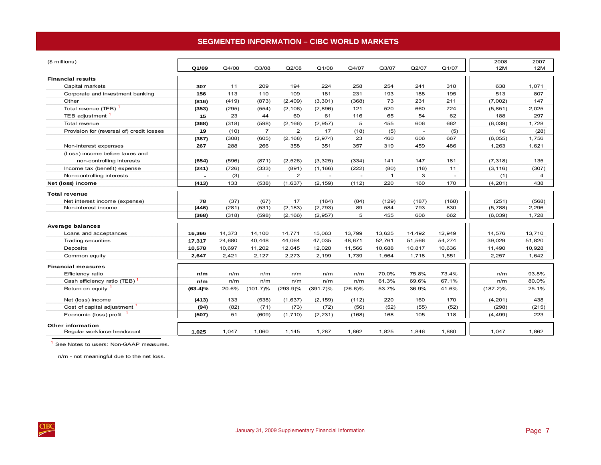# **SEGMENTED INFORMATION – CIBC WORLD MARKETS**

<span id="page-10-0"></span>

| (\$ millions)                             |                |        |                |                |             |            |              |                          |        | 2008        | 2007   |
|-------------------------------------------|----------------|--------|----------------|----------------|-------------|------------|--------------|--------------------------|--------|-------------|--------|
|                                           | Q1/09          | Q4/08  | Q3/08          | Q2/08          | Q1/08       | Q4/07      | Q3/07        | Q2/07                    | Q1/07  | 12M         | 12M    |
| <b>Financial results</b>                  |                |        |                |                |             |            |              |                          |        |             |        |
| Capital markets                           | 307            | 11     | 209            | 194            | 224         | 258        | 254          | 241                      | 318    | 638         | 1,071  |
| Corporate and investment banking          | 156            | 113    | 110            | 109            | 181         | 231        | 193          | 188                      | 195    | 513         | 807    |
| Other                                     | (816)          | (419)  | (873)          | (2, 409)       | (3, 301)    | (368)      | 73           | 231                      | 211    | (7,002)     | 147    |
| Total revenue (TEB)                       | (353)          | (295)  | (554)          | (2, 106)       | (2,896)     | 121        | 520          | 660                      | 724    | (5, 851)    | 2,025  |
| TEB adjustment                            | 15             | 23     | 44             | 60             | 61          | 116        | 65           | 54                       | 62     | 188         | 297    |
| Total revenue                             | (368)          | (318)  | (598)          | (2, 166)       | (2,957)     | 5          | 455          | 606                      | 662    | (6,039)     | 1,728  |
| Provision for (reversal of) credit losses | 19             | (10)   | $\overline{7}$ | $\overline{2}$ | 17          | (18)       | (5)          | $\overline{\phantom{a}}$ | (5)    | 16          | (28)   |
|                                           | (387)          | (308)  | (605)          | (2, 168)       | (2,974)     | 23         | 460          | 606                      | 667    | (6,055)     | 1,756  |
| Non-interest expenses                     | 267            | 288    | 266            | 358            | 351         | 357        | 319          | 459                      | 486    | 1,263       | 1,621  |
| (Loss) income before taxes and            |                |        |                |                |             |            |              |                          |        |             |        |
| non-controlling interests                 | (654)          | (596)  | (871)          | (2,526)        | (3, 325)    | (334)      | 141          | 147                      | 181    | (7, 318)    | 135    |
| Income tax (benefit) expense              | (241)          | (726)  | (333)          | (891)          | (1, 166)    | (222)      | (80)         | (16)                     | 11     | (3, 116)    | (307)  |
| Non-controlling interests                 | $\overline{a}$ | (3)    | $\overline{a}$ | 2              | $\sim$      | $\sim$     | $\mathbf{1}$ | 3                        |        | (1)         | 4      |
| Net (loss) income                         | (413)          | 133    | (538)          | (1,637)        | (2, 159)    | (112)      | 220          | 160                      | 170    | (4,201)     | 438    |
| <b>Total revenue</b>                      |                |        |                |                |             |            |              |                          |        |             |        |
| Net interest income (expense)             | 78             | (37)   | (67)           | 17             | (164)       | (84)       | (129)        | (187)                    | (168)  | (251)       | (568)  |
| Non-interest income                       | (446)          | (281)  | (531)          | (2, 183)       | (2,793)     | 89         | 584          | 793                      | 830    | (5,788)     | 2,296  |
|                                           | (368)          | (318)  | (598)          | (2, 166)       | (2,957)     | 5          | 455          | 606                      | 662    | (6,039)     | 1,728  |
| Average balances                          |                |        |                |                |             |            |              |                          |        |             |        |
| Loans and acceptances                     | 16,366         | 14,373 | 14,100         | 14,771         | 15,063      | 13,799     | 13,625       | 14,492                   | 12,949 | 14,576      | 13,710 |
| <b>Trading securities</b>                 | 17,317         | 24,680 | 40,448         | 44,064         | 47,035      | 48,671     | 52,761       | 51,566                   | 54,274 | 39,029      | 51,820 |
| Deposits                                  | 10,578         | 10,697 | 11,202         | 12,045         | 12,028      | 11,566     | 10,688       | 10,817                   | 10,636 | 11,490      | 10,928 |
| Common equity                             | 2,647          | 2,421  | 2,127          | 2,273          | 2,199       | 1,739      | 1,564        | 1,718                    | 1,551  | 2,257       | 1,642  |
|                                           |                |        |                |                |             |            |              |                          |        |             |        |
| <b>Financial measures</b>                 |                |        |                |                |             |            |              |                          |        |             |        |
| Efficiency ratio                          | n/m            | n/m    | n/m            | n/m            | n/m         | n/m        | 70.0%        | 75.8%                    | 73.4%  | n/m         | 93.8%  |
| Cash efficiency ratio (TEB)               | n/m            | n/m    | n/m            | n/m            | n/m         | n/m        | 61.3%        | 69.6%                    | 67.1%  | n/m         | 80.0%  |
| Return on equity                          | $(63.4)\%$     | 20.6%  | (101.7)%       | $(293.9)\%$    | $(391.7)\%$ | $(26.6)\%$ | 53.7%        | 36.9%                    | 41.6%  | $(187.2)\%$ | 25.1%  |
| Net (loss) income                         | (413)          | 133    | (538)          | (1,637)        | (2, 159)    | (112)      | 220          | 160                      | 170    | (4, 201)    | 438    |
| Cost of capital adjustment 1              | (94)           | (82)   | (71)           | (73)           | (72)        | (56)       | (52)         | (55)                     | (52)   | (298)       | (215)  |
| Economic (loss) profit                    | (507)          | 51     | (609)          | (1,710)        | (2, 231)    | (168)      | 168          | 105                      | 118    | (4, 499)    | 223    |
| <b>Other information</b>                  |                |        |                |                |             |            |              |                          |        |             |        |
| Regular workforce headcount               | 1,025          | 1,047  | 1,060          | 1,145          | 1,287       | 1.862      | 1,825        | 1,846                    | 1,880  | 1,047       | 1,862  |

<sup>1</sup> See Notes to users: Non-GAAP measures.

n/m - not meaningful due to the net loss.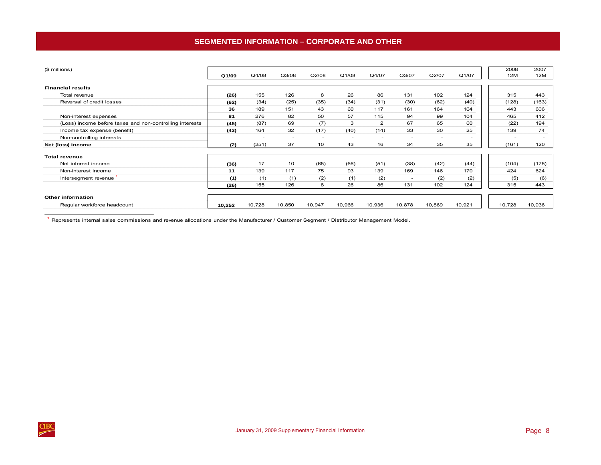# **SEGMENTED INFORMATION – CORPORATE AND OTHER**

<span id="page-11-0"></span>

| (\$ millions)                                            |        |        |                          |                          |        |                          |                          |        |        | 2008   | 2007   |
|----------------------------------------------------------|--------|--------|--------------------------|--------------------------|--------|--------------------------|--------------------------|--------|--------|--------|--------|
|                                                          | Q1/09  | Q4/08  | Q3/08                    | Q2/08                    | Q1/08  | Q4/07                    | Q3/07                    | Q2/07  | Q1/07  | 12M    | 12M    |
|                                                          |        |        |                          |                          |        |                          |                          |        |        |        |        |
| <b>Financial results</b>                                 |        |        |                          |                          |        |                          |                          |        |        |        |        |
| Total revenue                                            | (26)   | 155    | 126                      | 8                        | 26     | 86                       | 131                      | 102    | 124    | 315    | 443    |
| Reversal of credit losses                                | (62)   | (34)   | (25)                     | (35)                     | (34)   | (31)                     | (30)                     | (62)   | (40)   | (128)  | (163)  |
|                                                          | 36     | 189    | 151                      | 43                       | 60     | 117                      | 161                      | 164    | 164    | 443    | 606    |
| Non-interest expenses                                    | 81     | 276    | 82                       | 50                       | 57     | 115                      | 94                       | 99     | 104    | 465    | 412    |
| (Loss) income before taxes and non-controlling interests | (45)   | (87)   | 69                       | (7)                      | 3      | $\overline{2}$           | 67                       | 65     | 60     | (22)   | 194    |
| Income tax expense (benefit)                             | (43)   | 164    | 32                       | (17)                     | (40)   | (14)                     | 33                       | 30     | 25     | 139    | 74     |
| Non-controlling interests                                |        |        | $\overline{\phantom{a}}$ | $\overline{\phantom{a}}$ | $\sim$ | $\overline{\phantom{a}}$ | $\overline{\phantom{a}}$ |        | $\sim$ |        |        |
| Net (loss) income                                        | (2)    | (251)  | 37                       | 10                       | 43     | 16                       | 34                       | 35     | 35     | (161)  | 120    |
|                                                          |        |        |                          |                          |        |                          |                          |        |        |        |        |
| <b>Total revenue</b>                                     |        |        |                          |                          |        |                          |                          |        |        |        |        |
| Net interest income                                      | (36)   | 17     | 10                       | (65)                     | (66)   | (51)                     | (38)                     | (42)   | (44)   | (104)  | (175)  |
| Non-interest income                                      | 11     | 139    | 117                      | 75                       | 93     | 139                      | 169                      | 146    | 170    | 424    | 624    |
| Intersegment revenue                                     | (1)    | (1)    | (1)                      | (2)                      | (1)    | (2)                      | ٠                        | (2)    | (2)    | (5)    | (6)    |
|                                                          | (26)   | 155    | 126                      | 8                        | 26     | 86                       | 131                      | 102    | 124    | 315    | 443    |
|                                                          |        |        |                          |                          |        |                          |                          |        |        |        |        |
| Other information                                        |        |        |                          |                          |        |                          |                          |        |        |        |        |
| Regular workforce headcount                              | 10,252 | 10,728 | 10,850                   | 10,947                   | 10,966 | 10,936                   | 10,878                   | 10,869 | 10,921 | 10,728 | 10,936 |

1 Represents internal sales commissions and revenue allocations under the Manufacturer / Customer Segment / Distributor Management Model.

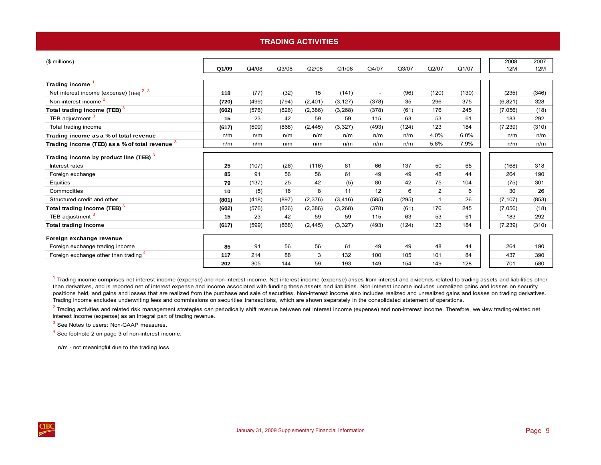### **TRADING ACTIVITIES**

<span id="page-12-0"></span>

| (\$ millions)                                       |       |       |       |          |          |                          |       |                |       | 2008       | 2007       |
|-----------------------------------------------------|-------|-------|-------|----------|----------|--------------------------|-------|----------------|-------|------------|------------|
|                                                     | Q1/09 | Q4/08 | Q3/08 | Q2/08    | Q1/08    | Q4/07                    | Q3/07 | Q2/07          | Q1/07 | <b>12M</b> | <b>12M</b> |
| <b>Trading income</b>                               |       |       |       |          |          |                          |       |                |       |            |            |
| Net interest income (expense) (TEB) <sup>2, 3</sup> | 118   | (77)  | (32)  | 15       | (141)    | $\overline{\phantom{a}}$ | (96)  | (120)          | (130) | (235)      | (346)      |
| Non-interest income <sup>2</sup>                    | (720) | (499) | (794) | (2,401)  | (3, 127) | (378)                    | 35    | 296            | 375   | (6, 821)   | 328        |
| Total trading income (TEB) <sup>3</sup>             | (602) | (576) | (826) | (2,386)  | (3,268)  | (378)                    | (61)  | 176            | 245   | (7,056)    | (18)       |
| TEB adjustment <sup>3</sup>                         | 15    | 23    | 42    | 59       | 59       | 115                      | 63    | 53             | 61    | 183        | 292        |
| Total trading income                                | (617) | (599) | (868) | (2, 445) | (3, 327) | (493)                    | (124) | 123            | 184   | (7, 239)   | (310)      |
| Trading income as a % of total revenue              | n/m   | n/m   | n/m   | n/m      | n/m      | n/m                      | n/m   | 4.0%           | 6.0%  | n/m        | n/m        |
| Trading income (TEB) as a % of total revenue $3$    | n/m   | n/m   | n/m   | n/m      | n/m      | n/m                      | n/m   | 5.8%           | 7.9%  | n/m        | n/m        |
| Trading income by product line (TEB) <sup>3</sup>   |       |       |       |          |          |                          |       |                |       |            |            |
| Interest rates                                      | 25    | (107) | (26)  | (116)    | 81       | 66                       | 137   | 50             | 65    | (168)      | 318        |
| Foreign exchange                                    | 85    | 91    | 56    | 56       | 61       | 49                       | 49    | 48             | 44    | 264        | 190        |
| Equities                                            | 79    | (137) | 25    | 42       | (5)      | 80                       | 42    | 75             | 104   | (75)       | 301        |
| Commodities                                         | 10    | (5)   | 16    | 8        | 11       | 12                       | 6     | $\mathbf{2}$   | 6     | 30         | 26         |
| Structured credit and other                         | (801) | (418) | (897) | (2,376)  | (3, 416) | (585)                    | (295) | $\overline{1}$ | 26    | (7, 107)   | (853)      |
| Total trading income (TEB) <sup>3</sup>             | (602) | (576) | (826) | (2,386)  | (3,268)  | (378)                    | (61)  | 176            | 245   | (7,056)    | (18)       |
| TEB adjustment <sup>3</sup>                         | 15    | 23    | 42    | 59       | 59       | 115                      | 63    | 53             | 61    | 183        | 292        |
| <b>Total trading income</b>                         | (617) | (599) | (868) | (2, 445) | (3, 327) | (493)                    | (124) | 123            | 184   | (7, 239)   | (310)      |
| Foreign exchange revenue                            |       |       |       |          |          |                          |       |                |       |            |            |
| Foreign exchange trading income                     | 85    | 91    | 56    | 56       | 61       | 49                       | 49    | 48             | 44    | 264        | 190        |
| Foreign exchange other than trading <sup>4</sup>    | 117   | 214   | 88    | 3        | 132      | 100                      | 105   | 101            | 84    | 437        | 390        |
|                                                     | 202   | 305   | 144   | 59       | 193      | 149                      | 154   | 149            | 128   | 701        | 580        |

 $1$  Trading income comprises net interest income (expense) and non-interest income. Net interest income (expense) arises from interest and dividends related to trading assets and liabilities other than derivatives, and is reported net of interest expense and income associated with funding these assets and liabilities. Non-interest income includes unrealized gains and losses on security positions held, and gains and losses that are realized from the purchase and sale of securities. Non-interest income also includes realized and unrealized gains and losses on trading derivatives. Trading income excludes underwriting fees and commissions on securities transactions, which are shown separately in the consolidated statement of operations.

 $2$  Trading activities and related risk management strategies can periodically shift revenue between net interest income (expense) and non-interest income. Therefore, we view trading-related net interest income (expense) as an integral part of trading revenue.

<sup>3</sup> See Notes to users: Non-GAAP measures.

4 See footnote 2 on page 3 of non-interest income.

n/m - not meaningful due to the trading loss.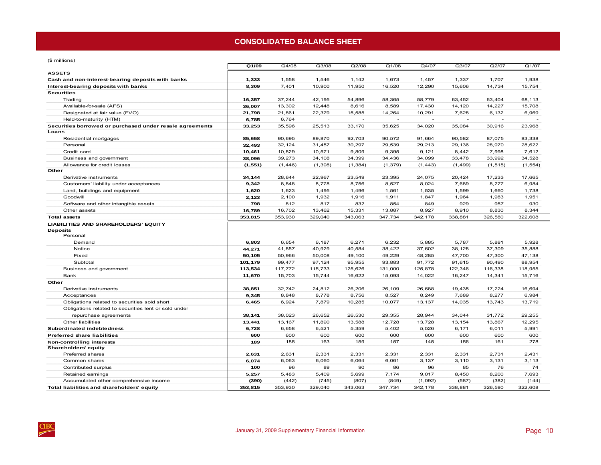### **CONSOLIDATED BALANCE SHEET**

<span id="page-13-0"></span> $(6 \text{ million})$ 

| $(\psi$ in intervals $\eta$                                                |          |          |          |          |          |          |          |          |          |
|----------------------------------------------------------------------------|----------|----------|----------|----------|----------|----------|----------|----------|----------|
|                                                                            | Q1/09    | Q4/08    | Q3/08    | Q2/08    | Q1/08    | Q4/07    | Q3/07    | Q2/07    | Q1/07    |
| <b>ASSETS</b>                                                              |          |          |          |          |          |          |          |          |          |
| Cash and non-interest-bearing deposits with banks                          | 1,333    | 1,558    | 1,546    | 1,142    | 1,673    | 1,457    | 1,337    | 1,707    | 1,938    |
| Interest-bearing deposits with banks                                       | 8,309    | 7,401    | 10,900   | 11,950   | 16,520   | 12,290   | 15,606   | 14,734   | 15,754   |
| <b>Securities</b>                                                          |          |          |          |          |          |          |          |          |          |
| Trading                                                                    | 16,357   | 37,244   | 42,195   | 54,896   | 58,365   | 58,779   | 63,452   | 63,404   | 68,113   |
| Available-for-sale (AFS)                                                   | 36,007   | 13,302   | 12,448   | 8,616    | 8,589    | 17,430   | 14,120   | 14,227   | 15,708   |
| Designated at fair value (FVO)                                             | 21,798   | 21,861   | 22,379   | 15,585   | 14,264   | 10,291   | 7,628    | 6,132    | 6,969    |
| Held-to-maturity (HTM)                                                     | 6,785    | 6,764    |          |          |          |          |          |          |          |
| Securities borrowed or purchased under resale agreements<br>Loans          | 33,253   | 35,596   | 25,513   | 33,170   | 35,625   | 34,020   | 35,084   | 30,916   | 23,968   |
|                                                                            | 85,658   | 90,695   | 89,870   | 92,703   | 90,572   | 91,664   | 90,582   | 87,075   | 83,338   |
| Residential mortgages<br>Personal                                          | 32,493   | 32,124   | 31,457   | 30,297   | 29,539   | 29,213   | 29,136   | 28,970   | 28,622   |
| Credit card                                                                | 10,461   | 10,829   | 10,571   | 9,809    | 9,395    | 9,121    | 8,442    | 7,998    | 7,612    |
| Business and government                                                    | 38,096   | 39,273   | 34,108   | 34,399   | 34,436   | 34,099   | 33,478   | 33,992   | 34,528   |
| Allowance for credit losses                                                |          |          |          |          |          |          |          |          |          |
| Other                                                                      | (1, 551) | (1, 446) | (1, 398) | (1, 384) | (1, 379) | (1, 443) | (1, 499) | (1, 515) | (1, 554) |
| Derivative instruments                                                     | 34,144   | 28,644   | 22,967   | 23,549   | 23,395   | 24,075   | 20,424   | 17,233   | 17,665   |
| Customers' liability under acceptances                                     | 9,342    | 8,848    | 8,778    | 8,756    | 8,527    | 8,024    | 7,689    | 8,277    | 6,984    |
| Land, buildings and equipment                                              | 1,620    | 1,623    | 1,495    | 1,496    | 1,561    | 1,535    | 1,599    | 1,660    | 1,738    |
| Goodwill                                                                   | 2,123    | 2,100    | 1,932    | 1,916    | 1,911    | 1,847    | 1,964    | 1,983    | 1,951    |
| Software and other intangible assets                                       | 798      | 812      | 817      | 832      | 854      | 849      | 929      | 957      | 930      |
| Other assets                                                               | 16,789   | 16,702   | 13,462   | 15,331   | 13,887   | 8,927    | 8,910    | 8,830    | 8,344    |
| <b>Total assets</b>                                                        | 353,815  | 353,930  | 329,040  | 343,063  | 347,734  | 342,178  | 338,881  | 326,580  | 322,608  |
| <b>LIABILITIES AND SHAREHOLDERS' EQUITY</b><br><b>Deposits</b><br>Personal |          |          |          |          |          |          |          |          |          |
| Demand                                                                     | 6,803    | 6,654    | 6,187    | 6,271    | 6,232    | 5,885    | 5,787    | 5,881    | 5,928    |
| Notice                                                                     | 44,271   | 41,857   | 40,929   | 40,584   | 38,422   | 37,602   | 38,128   | 37,309   | 35,888   |
| Fixed                                                                      | 50,105   | 50,966   | 50,008   | 49,100   | 49,229   | 48,285   | 47,700   | 47,300   | 47,138   |
| Subtotal                                                                   | 101,179  | 99,477   | 97,124   | 95,955   | 93,883   | 91,772   | 91,615   | 90,490   | 88,954   |
| Business and government                                                    | 113,534  | 117,772  | 115,733  | 125,626  | 131,000  | 125,878  | 122,346  | 116,338  | 118,955  |
| Bank                                                                       | 11,670   | 15,703   | 15,744   | 16,622   | 15,093   | 14,022   | 16,247   | 14,341   | 15,716   |
| Other                                                                      |          |          |          |          |          |          |          |          |          |
| Derivative instruments                                                     | 38,851   | 32,742   | 24,812   | 26,206   | 26,109   | 26,688   | 19,435   | 17,224   | 16,694   |
| Acceptances                                                                | 9,345    | 8,848    | 8,778    | 8,756    | 8,527    | 8,249    | 7,689    | 8,277    | 6,984    |
| Obligations related to securities sold short                               | 6,465    | 6,924    | 7,879    | 10,285   | 10,077   | 13,137   | 14,035   | 13,743   | 13,719   |
| Obligations related to securities lent or sold under                       |          |          |          |          |          |          |          |          |          |
| repurchase agreements                                                      | 38,141   | 38,023   | 26,652   | 26,530   | 29,355   | 28,944   | 34,044   | 31,772   | 29,255   |
| Other liabilities                                                          | 13,441   | 13,167   | 11,890   | 13,588   | 12,728   | 13,728   | 13,154   | 13,867   | 12,295   |
| Subordinated indebtedness                                                  | 6,728    | 6,658    | 6,521    | 5,359    | 5,402    | 5,526    | 6,171    | 6,011    | 5,991    |
| <b>Preferred share liabilities</b>                                         | 600      | 600      | 600      | 600      | 600      | 600      | 600      | 600      | 600      |
| Non-controlling interests                                                  | 189      | 185      | 163      | 159      | 157      | 145      | 156      | 161      | 278      |
| <b>Shareholders' equity</b>                                                |          |          |          |          |          |          |          |          |          |
| Preferred shares                                                           | 2,631    | 2,631    | 2,331    | 2,331    | 2,331    | 2,331    | 2,331    | 2,731    | 2,431    |
| Common shares                                                              | 6,074    | 6,063    | 6,060    | 6,064    | 6,061    | 3,137    | 3,110    | 3,131    | 3,113    |
| Contributed surplus                                                        | 100      | 96       | 89       | 90       | 86       | 96       | 85       | 76       | 74       |
| Retained earnings                                                          | 5,257    | 5,483    | 5,409    | 5,699    | 7,174    | 9,017    | 8,450    | 8,200    | 7,693    |
| Accumulated other comprehensive income                                     | (390)    | (442)    | (745)    | (807)    | (849)    | (1,092)  | (587)    | (382)    | (144)    |
| Total liabilities and shareholders' equity                                 | 353,815  | 353,930  | 329,040  | 343,063  | 347,734  | 342,178  | 338,881  | 326,580  | 322,608  |

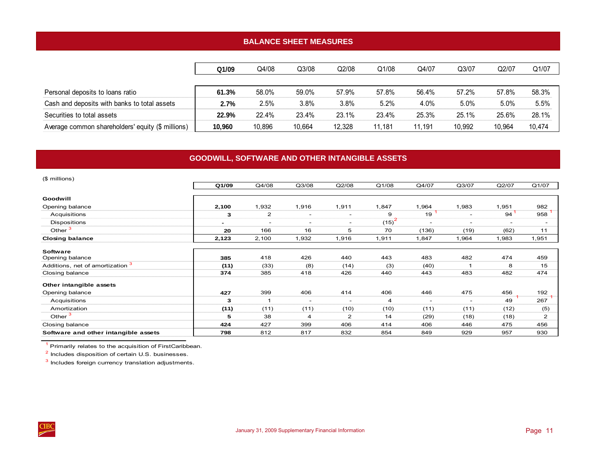# **BALANCE SHEET MEASURES**

<span id="page-14-0"></span>

|                                                   | Q1/09  | Q4/08  | Q3/08  | Q2/08  | Q1/08  | Q4/07  | Q3/07  | Q2/07  | Q1/07  |
|---------------------------------------------------|--------|--------|--------|--------|--------|--------|--------|--------|--------|
|                                                   |        |        |        |        |        |        |        |        |        |
| Personal deposits to loans ratio                  | 61.3%  | 58.0%  | 59.0%  | 57.9%  | 57.8%  | 56.4%  | 57.2%  | 57.8%  | 58.3%  |
| Cash and deposits with banks to total assets      | 2.7%   | 2.5%   | 3.8%   | 3.8%   | 5.2%   | 4.0%   | 5.0%   | 5.0%   | 5.5%   |
| Securities to total assets                        | 22.9%  | 22.4%  | 23.4%  | 23.1%  | 23.4%  | 25.3%  | 25.1%  | 25.6%  | 28.1%  |
| Average common shareholders' equity (\$ millions) | 10.960 | 10.896 | 10.664 | 12.328 | 11.181 | 11.191 | 10.992 | 10.964 | 10.474 |

# **GOODWILL, SOFTWARE AND OTHER INTANGIBLE ASSETS**

| (\$ millions)                        |                              |                          |                          |                          |          |                          |                          |                          |                          |
|--------------------------------------|------------------------------|--------------------------|--------------------------|--------------------------|----------|--------------------------|--------------------------|--------------------------|--------------------------|
|                                      | Q1/09                        | Q4/08                    | Q3/08                    | Q2/08                    | Q1/08    | Q4/07                    | Q3/07                    | Q2/07                    | Q1/07                    |
| Goodwill                             |                              |                          |                          |                          |          |                          |                          |                          |                          |
| Opening balance                      | 2,100                        | 1,932                    | 1,916                    | 1,911                    | 1,847    | 1,964                    | 1,983                    | 1,951                    | 982                      |
| Acquisitions                         | 3                            | $\overline{2}$           | $\overline{\phantom{a}}$ | $\overline{\phantom{a}}$ | 9        | 19                       | $\overline{\phantom{a}}$ | 94                       | 958                      |
| Dispositions                         | $\qquad \qquad \blacksquare$ | $\overline{\phantom{a}}$ | $\overline{\phantom{0}}$ | $\overline{\phantom{a}}$ | $(15)^2$ | $\overline{\phantom{0}}$ | $\overline{\phantom{a}}$ | $\overline{\phantom{a}}$ | $\overline{\phantom{a}}$ |
| Other <sup>3</sup>                   | 20                           | 166                      | 16                       | 5                        | 70       | (136)                    | (19)                     | (62)                     | 11                       |
| <b>Closing balance</b>               | 2,123                        | 2,100                    | 1,932                    | 1,916                    | 1,911    | 1,847                    | 1,964                    | 1,983                    | 1,951                    |
|                                      |                              |                          |                          |                          |          |                          |                          |                          |                          |
| <b>Software</b><br>Opening balance   | 385                          | 418                      | 426                      | 440                      | 443      | 483                      | 482                      | 474                      | 459                      |
| Additions, net of amortization 3     | (11)                         | (33)                     | (8)                      | (14)                     | (3)      | (40)                     | -1                       | 8                        | 15                       |
| Closing balance                      | 374                          | 385                      | 418                      | 426                      | 440      | 443                      | 483                      | 482                      | 474                      |
| Other intangible assets              |                              |                          |                          |                          |          |                          |                          |                          |                          |
| Opening balance                      | 427                          | 399                      | 406                      | 414                      | 406      | 446                      | 475                      | 456                      | 192                      |
| Acquisitions                         | 3                            |                          | $\overline{\phantom{a}}$ | $\overline{\phantom{a}}$ | 4        | $\overline{\phantom{a}}$ | $\overline{\phantom{a}}$ | 49                       | 267                      |
| Amortization                         | (11)                         | (11)                     | (11)                     | (10)                     | (10)     | (11)                     | (11)                     | (12)                     | (5)                      |
| Other $3$                            | 5                            | 38                       | 4                        | $\overline{2}$           | 14       | (29)                     | (18)                     | (18)                     | 2                        |
| Closing balance                      | 424                          | 427                      | 399                      | 406                      | 414      | 406                      | 446                      | 475                      | 456                      |
| Software and other intangible assets | 798                          | 812                      | 817                      | 832                      | 854      | 849                      | 929                      | 957                      | 930                      |

<sup>1</sup> Primarily relates to the acquisition of FirstCaribbean.

2 Includes disposition of certain U.S. businesses.

3 Includes foreign currency translation adjustments.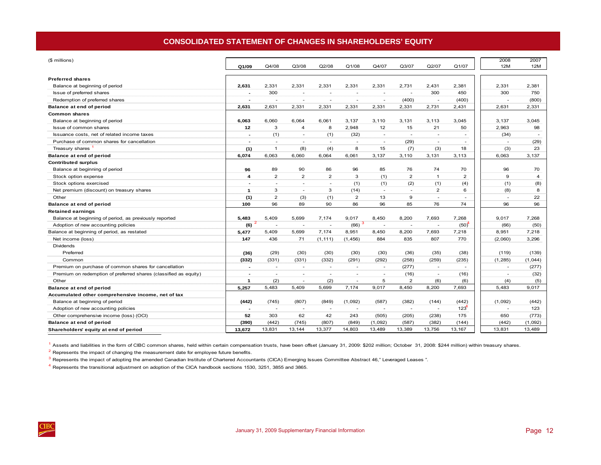# **CONSOLIDATED STATEMENT OF CHANGES IN SHAREHOLDERS' EQUITY**

<span id="page-15-0"></span>

| (\$ millions)                                                    |                          |                          |                          |                          |                          |                          |                          |                          |                          | 2008                     | 2007                              |
|------------------------------------------------------------------|--------------------------|--------------------------|--------------------------|--------------------------|--------------------------|--------------------------|--------------------------|--------------------------|--------------------------|--------------------------|-----------------------------------|
|                                                                  | Q1/09                    | Q4/08                    | Q3/08                    | Q2/08                    | Q1/08                    | Q4/07                    | Q3/07                    | Q2/07                    | Q1/07                    | 12M                      | 12M                               |
|                                                                  |                          |                          |                          |                          |                          |                          |                          |                          |                          |                          |                                   |
| <b>Preferred shares</b>                                          |                          |                          |                          |                          |                          |                          |                          |                          |                          |                          |                                   |
| Balance at beginning of period                                   | 2,631                    | 2,331                    | 2,331                    | 2,331                    | 2,331                    | 2,331                    | 2,731                    | 2,431                    | 2,381                    | 2,331                    | 2,381                             |
| Issue of preferred shares                                        |                          | 300                      |                          |                          |                          |                          |                          | 300                      | 450                      | 300                      | 750                               |
| Redemption of preferred shares                                   |                          | ٠                        | ٠                        | ٠                        | ÷                        | $\overline{\phantom{a}}$ | (400)                    | $\overline{\phantom{a}}$ | (400)                    | $\overline{\phantom{a}}$ | (800)                             |
| Balance at end of period                                         | 2,631                    | 2,631                    | 2,331                    | 2,331                    | 2,331                    | 2,331                    | 2,331                    | 2,731                    | 2,431                    | 2,631                    | 2,331                             |
| <b>Common shares</b>                                             |                          |                          |                          |                          |                          |                          |                          |                          |                          |                          |                                   |
| Balance at beginning of period                                   | 6,063                    | 6,060                    | 6,064                    | 6,061                    | 3,137                    | 3,110                    | 3,131                    | 3,113                    | 3,045                    | 3,137                    | 3,045                             |
| Issue of common shares                                           | 12                       | 3                        | 4                        | 8                        | 2,948                    | 12 <sub>2</sub>          | 15                       | 21                       | 50                       | 2,963                    | 98                                |
| Issuance costs, net of related income taxes                      | $\overline{\phantom{0}}$ | (1)                      | $\sim$                   | (1)                      | (32)                     | $\sim$                   | $\sim$                   | $\sim$                   | $\sim$                   | (34)                     |                                   |
| Purchase of common shares for cancellation                       | $\overline{\phantom{0}}$ | $\sim$                   | $\overline{\phantom{a}}$ | $\sim$                   | $\overline{\phantom{a}}$ | $\sim$                   | (29)                     | $\sim$                   | $\overline{\phantom{a}}$ |                          | (29)<br>$\sim$                    |
| Treasury shares                                                  | (1)                      | $\mathbf{1}$             | (8)                      | (4)                      | 8                        | 15                       | (7)                      | (3)                      | 18                       | (3)                      | 23                                |
| Balance at end of period                                         | 6,074                    | 6,063                    | 6,060                    | 6,064                    | 6,061                    | 3,137                    | 3,110                    | 3,131                    | 3,113                    | 6,063                    | 3,137                             |
| <b>Contributed surplus</b>                                       |                          |                          |                          |                          |                          |                          |                          |                          |                          |                          |                                   |
| Balance at beginning of period                                   | 96                       | 89                       | 90                       | 86                       | 96                       | 85                       | 76                       | 74                       | 70                       | 96                       | 70                                |
| Stock option expense                                             | 4                        | $\overline{2}$           | $\overline{2}$           | $\overline{2}$           | 3                        | (1)                      | 2                        | $\mathbf{1}$             | $\overline{\mathbf{c}}$  | 9                        | $\overline{4}$                    |
| Stock options exercised                                          |                          | ٠                        | ٠                        | $\sim$                   | (1)                      | (1)                      | (2)                      | (1)                      | (4)                      | (1)                      | (8)                               |
| Net premium (discount) on treasury shares                        | $\mathbf{1}$             | 3                        | ٠                        | 3                        | (14)                     | $\sim$                   | $\sim$                   | $\overline{2}$           | 6                        | (8)                      | 8                                 |
| Other                                                            | (1)                      | 2                        | (3)                      | (1)                      | 2                        | 13                       | 9                        | $\overline{\phantom{a}}$ | ٠                        | $\overline{\phantom{a}}$ | 22                                |
| Balance at end of period                                         | 100                      | 96                       | 89                       | 90                       | 86                       | 96                       | 85                       | 76                       | 74                       | 96                       | 96                                |
| <b>Retained earnings</b>                                         |                          |                          |                          |                          |                          |                          |                          |                          |                          |                          |                                   |
| Balance at beginning of period, as previously reported           | 5,483                    | 5,409                    | 5,699                    | 7,174                    | 9,017                    | 8,450                    | 8,200                    | 7,693                    | 7,268                    | 9,017                    | 7,268                             |
| Adoption of new accounting policies                              | (6)                      | ٠                        | ٠                        | $\overline{\phantom{a}}$ | (66)                     |                          |                          |                          | (50)                     | (66)                     | (50)                              |
| Balance at beginning of period, as restated                      | 5,477                    | 5.409                    | 5,699                    | 7.174                    | 8,951                    | 8,450                    | 8,200                    | 7,693                    | 7,218                    | 8,951                    | 7,218                             |
| Net income (loss)                                                | 147                      | 436                      | 71                       | (1, 111)                 | (1, 456)                 | 884                      | 835                      | 807                      | 770                      | (2,060)                  | 3,296                             |
| Dividends                                                        |                          |                          |                          |                          |                          |                          |                          |                          |                          |                          |                                   |
| Preferred                                                        | (36)                     | (29)                     | (30)                     | (30)                     | (30)                     | (30)                     | (36)                     | (35)                     | (38)                     | (119)                    | (139)                             |
| Common                                                           | (332)                    | (331)                    | (331)                    | (332)                    | (291)                    | (292)                    | (258)                    | (259)                    | (235)                    | (1, 285)                 | (1,044)                           |
| Premium on purchase of common shares for cancellation            | $\overline{\phantom{0}}$ | $\overline{\phantom{a}}$ | $\overline{\phantom{a}}$ | $\sim$                   | $\overline{\phantom{a}}$ | $\overline{\phantom{a}}$ | (277)                    | $\sim$                   | $\overline{\phantom{a}}$ |                          | (277)<br>$\overline{\phantom{a}}$ |
| Premium on redemption of preferred shares (classified as equity) |                          | ٠                        | ٠                        | $\overline{\phantom{a}}$ | $\sim$                   | $\overline{\phantom{a}}$ | (16)                     | $\sim$                   | (16)                     |                          | (32)<br>$\sim$                    |
| Other                                                            | $\mathbf{1}$             | (2)                      | ÷.                       | (2)                      | ÷                        | 5                        | $\overline{2}$           | (6)                      | (6)                      | (4)                      | (5)                               |
| Balance at end of period                                         | 5,257                    | 5,483                    | 5,409                    | 5,699                    | 7,174                    | 9,017                    | 8,450                    | 8,200                    | 7,693                    | 5,483                    | 9,017                             |
| Accumulated other comprehensive income, net of tax               |                          |                          |                          |                          |                          |                          |                          |                          |                          |                          |                                   |
| Balance at beginning of period                                   | (442)                    | (745)                    | (807)                    | (849)                    | (1,092)                  | (587)                    | (382)                    | (144)                    | (442)                    | (1,092)                  | (442)                             |
| Adoption of new accounting policies                              |                          | $\overline{\phantom{a}}$ | $\overline{\phantom{a}}$ | $\overline{\phantom{a}}$ | $\overline{\phantom{a}}$ | $\overline{\phantom{a}}$ | $\overline{\phantom{a}}$ | $\overline{\phantom{a}}$ | 123                      |                          | 123                               |
| Other comprehensive income (loss) (OCI)                          | 52                       | 303                      | 62                       | 42                       | 243                      | (505)                    | (205)                    | (238)                    | 175                      | 650                      | (773)                             |
| Balance at end of period                                         | (390)                    | (442)                    | (745)                    | (807)                    | (849)                    | (1,092)                  | (587)                    | (382)                    | (144)                    | (442)                    | (1,092)                           |
| Shareholders' equity at end of period                            | 13,672                   | 13,831                   | 13,144                   | 13,377                   | 14,803                   | 13,489                   | 13,389                   | 13,756                   | 13,167                   | 13,831                   | 13,489                            |

<sup>1</sup> Assets and liabilities in the form of CIBC common shares, held within certain compensation trusts, have been offset (January 31, 2009: \$202 million; October 31, 2008: \$244 million) within treasury shares.

 $2$  Represents the impact of changing the measurement date for employee future benefits.

 $3$  Represents the impact of adopting the amended Canadian Institute of Chartered Accountants (CICA) Emerging Issues Committee Abstract 46," Leveraged Leases ".

4 Represents the transitional adjustment on adoption of the CICA handbook sections 1530, 3251, 3855 and 3865.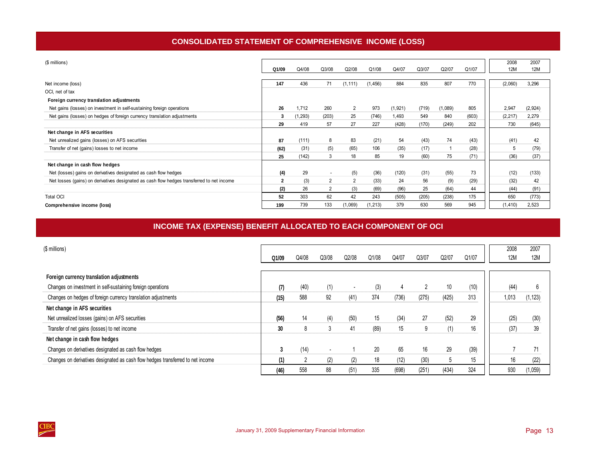# **CONSOLIDATED STATEMENT OF COMPREHENSIVE INCOME (LOSS)**

<span id="page-16-0"></span>

| (\$ millions)                                                                              |              |          |                |                |          |         |       |         |       | 2008     | 2007       |
|--------------------------------------------------------------------------------------------|--------------|----------|----------------|----------------|----------|---------|-------|---------|-------|----------|------------|
|                                                                                            |              |          |                |                |          |         |       |         |       | 12M      |            |
|                                                                                            | Q1/09        | Q4/08    | Q3/08          | Q2/08          | Q1/08    | Q4/07   | Q3/07 | Q2/07   | Q1/07 |          | <b>12M</b> |
|                                                                                            |              |          |                |                |          |         |       |         |       |          |            |
| Net income (loss)                                                                          | 147          | 436      | 71             | (1, 111)       | (1, 456) | 884     | 835   | 807     | 770   | (2,060)  | 3,296      |
| OCI, net of tax                                                                            |              |          |                |                |          |         |       |         |       |          |            |
| Foreign currency translation adjustments                                                   |              |          |                |                |          |         |       |         |       |          |            |
| Net gains (losses) on investment in self-sustaining foreign operations                     | 26           | 1,712    | 260            | $\overline{2}$ | 973      | (1,921) | (719) | (1,089) | 805   | 2,947    | (2,924)    |
| Net gains (losses) on hedges of foreign currency translation adjustments                   | 3            | (1, 293) | (203)          | 25             | (746)    | 1,493   | 549   | 840     | (603) | (2, 217) | 2,279      |
|                                                                                            | 29           | 419      | 57             | 27             | 227      | (428)   | (170) | (249)   | 202   | 730      | (645)      |
| Net change in AFS securities                                                               |              |          |                |                |          |         |       |         |       |          |            |
| Net unrealized gains (losses) on AFS securities                                            | 87           | (111)    | 8              | 83             | (21)     | 54      | (43)  | 74      | (43)  | (41)     | 42         |
| Transfer of net (gains) losses to net income                                               | (62)         | (31)     | (5)            | (65)           | 106      | (35)    | (17)  |         | (28)  | 5        | (79)       |
|                                                                                            | 25           | (142)    | 3              | 18             | 85       | 19      | (60)  | 75      | (71)  | (36)     | (37)       |
| Net change in cash flow hedges                                                             |              |          |                |                |          |         |       |         |       |          |            |
| Net (losses) gains on derivatives designated as cash flow hedges                           | (4)          | 29       | $\sim$         | (5)            | (36)     | (120)   | (31)  | (55)    | 73    | (12)     | (133)      |
| Net losses (gains) on derivatives designated as cash flow hedges transferred to net income | $\mathbf{2}$ | (3)      | $\overline{2}$ | $\overline{2}$ | (33)     | 24      | 56    | (9)     | (29)  | (32)     | 42         |
|                                                                                            | (2)          | 26       | $\overline{2}$ | (3)            | (69)     | (96)    | 25    | (64)    | 44    | (44)     | (91)       |
| <b>Total OCI</b>                                                                           | 52           | 303      | 62             | 42             | 243      | (505)   | (205) | (238)   | 175   | 650      | (773)      |
| Comprehensive income (loss)                                                                | 199          | 739      | 133            | (1,069)        | (1, 213) | 379     | 630   | 569     | 945   | (1, 410) | 2,523      |

# **INCOME TAX (EXPENSE) BENEFIT ALLOCATED TO EACH COMPONENT OF OCI**

| (\$ millions)                                                                   |       |                |                          |       |       |       |       |       |       | 2008       | 2007       |
|---------------------------------------------------------------------------------|-------|----------------|--------------------------|-------|-------|-------|-------|-------|-------|------------|------------|
|                                                                                 | Q1/09 | Q4/08          | Q3/08                    | Q2/08 | Q1/08 | Q4/07 | Q3/07 | Q2/07 | Q1/07 | <b>12M</b> | <b>12M</b> |
|                                                                                 |       |                |                          |       |       |       |       |       |       |            |            |
| Foreign currency translation adjustments                                        |       |                |                          |       |       |       |       |       |       |            |            |
| Changes on investment in self-sustaining foreign operations                     | (7)   | (40)           | (1)                      |       | (3)   |       | 2     | 10    | (10)  | (44)       | 6          |
| Changes on hedges of foreign currency translation adjustments                   | (15)  | 588            | 92                       | (41)  | 374   | (736) | (275) | (425) | 313   | 1,013      | (1, 123)   |
| Net change in AFS securities                                                    |       |                |                          |       |       |       |       |       |       |            |            |
| Net unrealized losses (gains) on AFS securities                                 | (56)  | 14             | (4)                      | (50)  | 15    | (34)  | 27    | (52)  | 29    | (25)       | (30)       |
| Transfer of net gains (losses) to net income                                    | 30    | 8              | 3                        | 41    | (89)  | 15    | 9     | (1)   | 16    | (37)       | 39         |
| Net change in cash flow hedges                                                  |       |                |                          |       |       |       |       |       |       |            |            |
| Changes on derivatives designated as cash flow hedges                           |       | (14)           | $\overline{\phantom{a}}$ |       | 20    | 65    | 16    | 29    | (39)  |            | 71         |
| Changes on derivatives designated as cash flow hedges transferred to net income | (1)   | $\overline{2}$ | (2)                      | (2)   | 18    | (12)  | (30)  | b     | 15    | 16         | (22)       |
|                                                                                 | (46)  | 558            | 88                       | (51)  | 335   | (698) | (251) | (434) | 324   | 930        | (1,059)    |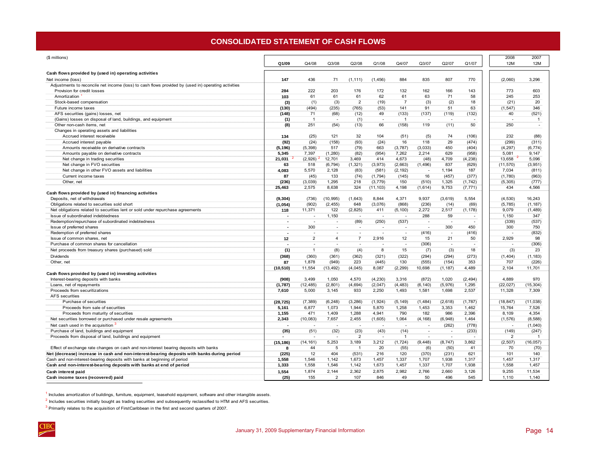### **CONSOLIDATED STATEMENT OF CASH FLOWS**

<span id="page-17-0"></span>

| (\$ millions)                                                                                       |                      |                          |                          |                          |                          |                          |                          |                          |               | 2008                     | 2007                     |
|-----------------------------------------------------------------------------------------------------|----------------------|--------------------------|--------------------------|--------------------------|--------------------------|--------------------------|--------------------------|--------------------------|---------------|--------------------------|--------------------------|
|                                                                                                     | Q1/09                | Q4/08                    | Q3/08                    | Q2/08                    | Q1/08                    | Q4/07                    | Q3/07                    | Q2/07                    | Q1/07         | <b>12M</b>               | 12M                      |
| Cash flows provided by (used in) operating activities                                               |                      |                          |                          |                          |                          |                          |                          |                          |               |                          |                          |
| Net income (loss)                                                                                   | 147                  | 436                      | 71                       | (1, 111)                 | (1, 456)                 | 884                      | 835                      | 807                      | 770           | (2,060)                  | 3,296                    |
| Adjustments to reconcile net income (loss) to cash flows provided by (used in) operating activities |                      |                          |                          |                          |                          |                          |                          |                          |               |                          |                          |
| Provision for credit losses                                                                         | 284                  | 222                      | 203                      | 176                      | 172                      | 132                      | 162                      | 166                      | 143           | 773                      | 603                      |
| Amortization                                                                                        | 103                  | 61                       | 61                       | 61                       | 62                       | 61                       | 63                       | 71                       | 58            | 245                      | 253                      |
| Stock-based compensation                                                                            | (3)                  | (1)                      | (3)                      | $\overline{2}$           | (19)                     | $\overline{7}$           | (3)                      | (2)                      | 18            | (21)                     | 20                       |
| Future income taxes                                                                                 | (130)                | (494)                    | (235)                    | (765)                    | (53)                     | 141                      | 91                       | 51                       | 63            | (1, 547)                 | 346                      |
| AFS securities (gains) losses, net                                                                  | (148)                | 71                       | (68)                     | (12)                     | 49                       | (133)                    | (137)                    | (119)                    | (132)         | 40                       | (521)                    |
| (Gains) losses on disposal of land, buildings, and equipment                                        | (1)                  | $\overline{1}$           | $\overline{\phantom{a}}$ | (1)                      | $\overline{\phantom{a}}$ | $\overline{1}$           | $\overline{\phantom{a}}$ | $\sim$                   |               | ÷,                       | $\overline{1}$           |
| Other non-cash items, net                                                                           | (8)                  | 251                      | (54)                     | (13)                     | 66                       | (158)                    | 119                      | (11)                     | 50            | 250                      | $\overline{\phantom{a}}$ |
| Changes in operating assets and liabilities                                                         |                      |                          |                          |                          |                          |                          |                          |                          |               |                          |                          |
| Accrued interest receivable                                                                         | 134                  | (25)                     | 121                      | 32                       | 104                      | (51)                     | (5)                      | 74                       | (106)         | 232                      | (88)                     |
| Accrued interest payable                                                                            | (92)                 | (24)                     | (158)                    | (93)                     | (24)                     | 16                       | 118                      | 29                       | (474)         | (299)                    | (311)                    |
| Amounts receivable on derivative contracts                                                          | (5, 196)             | (5, 398)                 | 517                      | (79)                     | 663                      | (3,787)                  | (3,033)                  | 450                      | (404)         | (4, 297)                 | (6, 774)                 |
| Amounts payable on derivative contracts                                                             | 5,345                | 7,397                    | (1, 280)                 | (82)                     | (954)                    | 7,262                    | 2,214                    | 629                      | (958)         | 5,081                    | 9.147                    |
| Net change in trading securities                                                                    | 21,031               | (2,926)                  | 12,701                   | 3,469                    | 414                      | 4,673                    | (48)                     | 4,709                    | (4, 238)      | 13.658                   | 5,096                    |
| Net change in FVO securities                                                                        | 63                   | 518                      | (6, 794)                 | (1, 321)                 | (3,973)                  | (2,663)                  | (1,496)                  | 837                      | (629)         | (11, 570)                | (3,951)                  |
| Net change in other FVO assets and liabilities                                                      | 4,083                | 5,570                    | 2,128                    | (83)                     | (581)                    | (2, 192)                 | $\overline{a}$           | 1,194                    | 187           | 7,034                    | (811)                    |
| Current income taxes                                                                                | 87                   | (45)                     | 133                      | (74)                     | (1,794)                  | (145)                    | 16                       | (457)                    | (377)         | (1,780)                  | (963)                    |
| Other, net                                                                                          | (236)                | (3,039)                  | 1,295                    | 218                      | (3,779)                  | 150                      | (510)                    | 1,325                    | (1,742)       | (5, 305)                 | (777)                    |
|                                                                                                     | 25,463               | 2,575                    | 8,638                    | 324                      | (11, 103)                | 4,198                    | (1,614)                  | 9,753                    | (7, 771)      | 434                      | 4,566                    |
| Cash flows provided by (used in) financing activities                                               |                      |                          |                          |                          |                          |                          |                          |                          |               |                          |                          |
| Deposits, net of withdrawals<br>Obligations related to securities sold short                        | (9, 304)<br>(1,054)  | (736)<br>(902)           | (10, 995)<br>(2, 455)    | (1,643)<br>648           | 8,844<br>(3,076)         | 4,371<br>(868)           | 9,937<br>(236)           | (3,619)<br>(14)          | 5,554<br>(69) | (4, 530)<br>(5,785)      | 16,243<br>(1, 187)       |
| Net obligations related to securities lent or sold under repurchase agreements                      | 118                  | 11,371                   | 122                      | (2,825)                  | 411                      | (5, 100)                 | 2,272                    | 2,517                    | (1, 178)      | 9,079                    | (1,489)                  |
| Issue of subordinated indebtedness                                                                  |                      | ÷                        | 1,150                    | $\overline{\phantom{a}}$ | $\overline{\phantom{a}}$ | $\overline{\phantom{a}}$ | 288                      | 59                       |               | 1,150                    | 347                      |
| Redemption/repurchase of subordinated indebtedness                                                  | ٠                    | ٠                        | $\overline{\phantom{a}}$ | (89)                     | (250)                    | (537)                    | $\overline{\phantom{a}}$ | $\overline{\phantom{a}}$ |               | (339)                    | (537)                    |
| Issue of preferred shares                                                                           | $\ddot{\phantom{1}}$ | 300                      | $\sim$                   | $\sim$                   | $\overline{\phantom{a}}$ |                          | $\sim$                   | 300                      | 450           | 300                      | 750                      |
| Redemption of preferred shares                                                                      | ٠                    | $\overline{a}$           |                          | $\overline{\phantom{a}}$ | $\overline{\phantom{a}}$ | $\overline{\phantom{a}}$ | (416)                    | $\overline{a}$           | (416)         | ÷                        | (832)                    |
| Issue of common shares, net                                                                         | 12                   | $\overline{2}$           | 4                        | $\overline{7}$           | 2,916                    | 12                       | 15                       | 21                       | 50            | 2,929                    | 98                       |
| Purchase of common shares for cancellation                                                          |                      | ٠                        |                          | $\overline{\phantom{a}}$ | $\overline{\phantom{a}}$ | $\overline{\phantom{a}}$ | (306)                    | $\sim$                   |               | $\overline{\phantom{a}}$ | (306)                    |
| Net proceeds from treasury shares (purchased) sold                                                  | (1)                  | $\mathbf{1}$             | (8)                      | (4)                      | 8                        | 15                       | (7)                      | (3)                      | 18            | (3)                      | 23                       |
| Dividends                                                                                           | (368)                | (360)                    | (361)                    | (362)                    | (321)                    | (322)                    | (294)                    | (294)                    | (273)         | (1, 404)                 | (1, 183)                 |
| Other, net                                                                                          | 87                   | 1,878                    | (949)                    | 223                      | (445)                    | 130                      | (555)                    | (154)                    | 353           | 707                      | (226)                    |
|                                                                                                     | (10, 510)            | 11,554                   | (13, 492)                | (4,045)                  | 8,087                    | (2, 299)                 | 10,698                   | (1, 187)                 | 4,489         | 2,104                    | 11,701                   |
| Cash flows provided by (used in) investing activities                                               |                      |                          |                          |                          |                          |                          |                          |                          |               |                          |                          |
| Interest-bearing deposits with banks                                                                | (908)                | 3,499                    | 1,050                    | 4,570                    | (4, 230)                 | 3,316                    | (872)                    | 1,020                    | (2, 494)      | 4,889                    | 970                      |
| Loans, net of repayments                                                                            | (1,787)              | (12, 485)                | (2,801)                  | (4, 694)                 | (2,047)                  | (4, 483)                 | (6, 140)                 | (5,976)                  | 1,295         | (22, 027)                | (15, 304)                |
| Proceeds from securitizations                                                                       | 7.610                | 5,000                    | 3.145                    | 933                      | 2.250                    | 1,493                    | 1,581                    | 1,698                    | 2,537         | 11,328                   | 7,309                    |
| <b>AFS</b> securities                                                                               |                      |                          |                          |                          |                          |                          |                          |                          |               |                          |                          |
| Purchase of securities                                                                              | (28, 725)            | (7, 389)                 | (6, 248)                 | (3, 286)                 | (1, 924)                 | (5, 149)                 | (1,484)                  | (2,618)                  | (1,787)       | (18, 847)                | (11, 038)                |
| Proceeds from sale of securities                                                                    | 5,161                | 6,877                    | 1,073                    | 1,944                    | 5,870                    | 1,258                    | 1,453                    | 3,353                    | 1,462         | 15,764                   | 7,526                    |
| Proceeds from maturity of securities                                                                | 1,155                | 471                      | 1,409                    | 1,288                    | 4,941                    | 790                      | 182                      | 986                      | 2,396         | 8,109                    | 4,354                    |
| Net securities borrowed or purchased under resale agreements                                        | 2.343                | (10,083)                 | 7,657                    | 2.455                    | (1.605)                  | 1,064                    | (4, 168)                 | (6,948)                  | 1.464         | (1, 576)                 | (8,588)                  |
| Net cash used in the acquisition                                                                    | ÷                    | $\overline{\phantom{a}}$ |                          | $\overline{a}$           | $\overline{a}$           | $\overline{\phantom{a}}$ | $\overline{\phantom{a}}$ | (262)                    | (778)         | $\overline{a}$           | (1,040)                  |
| Purchase of land, buildings and equipment                                                           | (35)                 | (51)                     | (32)                     | (23)                     | (43)                     | (14)                     | $\overline{\phantom{a}}$ | $\overline{\phantom{a}}$ | (233)         | (149)                    | (247)                    |
| Proceeds from disposal of land, buildings and equipment                                             | $\blacksquare$       |                          |                          | $\overline{2}$           | $\overline{\phantom{a}}$ | $\overline{1}$           | ٠                        | $\overline{\phantom{a}}$ |               | $\overline{2}$           | $\mathbf{1}$             |
|                                                                                                     | (15, 186)            | (14, 161)                | 5,253                    | 3,189                    | 3,212                    | (1, 724)                 | (9, 448)                 | (8, 747)                 | 3,862         | (2, 507)                 | (16, 057)                |
| Effect of exchange rate changes on cash and non-interest bearing deposits with banks                | 8                    | 44                       | 5                        | $\overline{1}$           | 20                       | (55)                     | (6)                      | (50)                     | 41            | 70                       | (70)                     |
| Net (decrease) increase in cash and non-interest-bearing deposits with banks during period          | (225)                | 12                       | 404                      | (531)                    | 216                      | 120                      | (370)                    | (231)                    | 621           | 101                      | 140                      |
| Cash and non-interest-bearing deposits with banks at beginning of period                            | 1,558                | 1,546                    | 1,142                    | 1,673                    | 1,457                    | 1,337                    | 1,707                    | 1,938                    | 1,317         | 1,457                    | 1,317                    |
| Cash and non-interest-bearing deposits with banks at end of period                                  | 1.333                | 1,558                    | 1,546                    | 1,142                    | 1,673                    | 1,457                    | 1,337                    | 1,707                    | 1,938         | 1,558                    | 1,457                    |
| Cash interest paid                                                                                  | 1,554                | 1,874                    | 2,144                    | 2,362                    | 2,875                    | 2,982                    | 2,766                    | 2,660                    | 3,126         | 9,255                    | 11,534                   |
| Cash income taxes (recovered) paid                                                                  | (25)                 | 155                      | $\overline{2}$           | 107                      | 846                      | 49                       | 50                       | 496                      | 545           | 1,110                    | 1,140                    |
|                                                                                                     |                      |                          |                          |                          |                          |                          |                          |                          |               |                          |                          |

 $1$  Includes amortization of buildings, furniture, equipment, leasehold equipment, software and other intangible assets.

 $2$  Includes securities initially bought as trading securities and subsequently reclassified to HTM and AFS securities.

<sup>3</sup> Primarily relates to the acquisition of FirstCaribbean in the first and second quarters of 2007.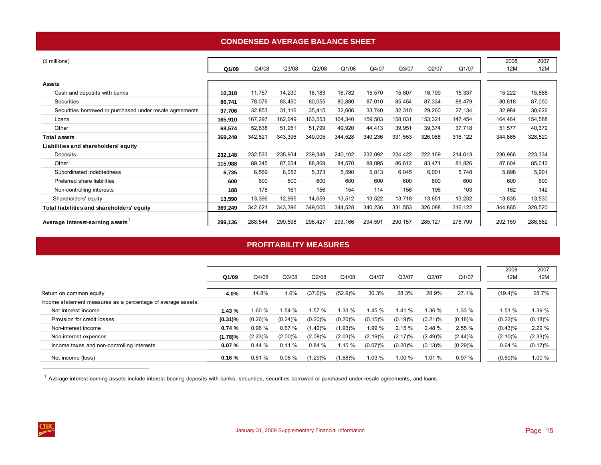### **CONDENSED AVERAGE BALANCE SHEET**

<span id="page-18-0"></span>

| (\$ millions)                                            |         |         |         |         |         |         |          |         |         | 2008    | 2007    |
|----------------------------------------------------------|---------|---------|---------|---------|---------|---------|----------|---------|---------|---------|---------|
|                                                          | Q1/09   | Q4/08   | Q3/08   | Q2/08   | Q1/08   | Q4/07   | Q3/07    | Q2/07   | Q1/07   | 12M     | 12M     |
|                                                          |         |         |         |         |         |         |          |         |         |         |         |
| <b>Assets</b>                                            |         |         |         |         |         |         |          |         |         |         |         |
| Cash and deposits with banks                             | 10,318  | 11,757  | 14,230  | 18,183  | 16,782  | 15,570  | 15,807   | 16,799  | 15,337  | 15,222  | 15,888  |
| Securities                                               | 86,741  | 78,076  | 83,450  | 80,055  | 80,880  | 87,010  | 85,454   | 87,334  | 88,479  | 80,618  | 87,050  |
| Securities borrowed or purchased under resale agreements | 37,706  | 32,853  | 31,116  | 35,415  | 32,606  | 33,740  | 32,310   | 29,260  | 27,134  | 32,984  | 30,622  |
| Loans                                                    | 165,910 | 167,297 | 162,649 | 163,553 | 164,340 | 159,503 | 158,031  | 153,321 | 147,454 | 164,464 | 154,588 |
| Other                                                    | 68,574  | 52,638  | 51,951  | 51,799  | 49,920  | 44,413  | 39,951   | 39,374  | 37,718  | 51,577  | 40,372  |
| <b>Total assets</b>                                      | 369,249 | 342,621 | 343,396 | 349,005 | 344,528 | 340,236 | 331,553  | 326,088 | 316,122 | 344,865 | 328,520 |
| Liabilities and shareholders' equity                     |         |         |         |         |         |         |          |         |         |         |         |
| Deposits                                                 | 232,148 | 232,533 | 235,934 | 239,348 | 240,102 | 232,092 | 224,422  | 222,169 | 214,613 | 236,966 | 223,334 |
| Other                                                    | 115,988 | 89,345  | 87,654  | 88,869  | 84,570  | 88,095  | 86,612   | 83,471  | 81,826  | 87,604  | 85,013  |
| Subordinated indebtedness                                | 6,735   | 6,569   | 6,052   | 5,373   | 5,590   | 5,813   | 6,045    | 6,001   | 5,748   | 5,898   | 5,901   |
| Preferred share liabilities                              | 600     | 600     | 600     | 600     | 600     | 600     | 600      | 600     | 600     | 600     | 600     |
| Non-controlling interests                                | 188     | 178     | 161     | 156     | 154     | 114     | 156      | 196     | 103     | 162     | 142     |
| Shareholders' equity                                     | 13,590  | 13,396  | 12,995  | 14,659  | 13,512  | 13,522  | 13,718   | 13,651  | 13,232  | 13,635  | 13,530  |
| Total liabilities and shareholders' equity               | 369,249 | 342,621 | 343,396 | 349,005 | 344,528 | 340,236 | 331,553  | 326,088 | 316,122 | 344,865 | 328,520 |
| Average interest-earning assets                          | 299,136 | 288,544 | 290,598 | 296,427 | 293,166 | 294,591 | 290, 157 | 285,127 | 276,799 | 292,159 | 286,682 |

# **PROFITABILITY MEASURES**

|                                                              | Q1/09      | Q4/08      | Q3/08      | Q2/08      | Q1/08      | Q4/07      | Q3/07      | Q2/07      | Q1/07    | 2008<br>12M | 2007<br>12M |
|--------------------------------------------------------------|------------|------------|------------|------------|------------|------------|------------|------------|----------|-------------|-------------|
| Return on common equity                                      | 4.0%       | 14.8%      | .6%        | $(37.6)\%$ | (52.9)%    | 30.3%      | 28.3%      | 28.9%      | 27.1%    | $(19.4)\%$  | 28.7%       |
| Income statement measures as a percentage of average assets: |            |            |            |            |            |            |            |            |          |             |             |
| Net interest income                                          | 1.43%      | 1.60 %     | 1.54 %     | 1.57 %     | $.33\%$    | 1.45 %     | 1.41 %     | 1.36 %     | $1.33\%$ | 1.51 %      | 1.39 %      |
| Provision for credit losses                                  | $(0.31)\%$ | $(0.26)\%$ | (0.24)%    | (0.20)%    | $(0.20)\%$ | $(0.15)\%$ | (0.19)%    | $(0.21)$ % | (0.18)%  | (0.22)%     | (0.18)%     |
| Non-interest income                                          | 0.74%      | 0.96%      | 0.67%      | (1.42)%    | (1.93)%    | 1.99 %     | 2.15%      | 2.48 %     | 2.55%    | (0.43)%     | 2.29%       |
| Non-interest expenses                                        | (1.78)%    | $(2.23)\%$ | $(2.00)\%$ | $(2.08)\%$ | $(2.03)\%$ | (2.19)%    | $(2.17)\%$ | (2.49)%    | (2.44)%  | $(2.10)\%$  | $(2.33)\%$  |
| Income taxes and non-controlling interests                   | 0.07%      | 0.44%      | 0.11%      | 0.84%      | 1.15%      | (0.07)%    | $(0.20)\%$ | (0.13)%    | (0.29)%  | 0.64%       | (0.17)%     |
| Net income (loss)                                            | 0.16%      | 0.51%      | 0.08%      | (1.29)%    | $(1.68)\%$ | 1.03 %     | 1.00 %     | 1.01 %     | 0.97%    | $(0.60)\%$  | 1.00 %      |

 $<sup>1</sup>$  Average interest-earning assets include interest-bearing deposits with banks, securities, securities borrowed or purchased under resale agreements, and loans.</sup>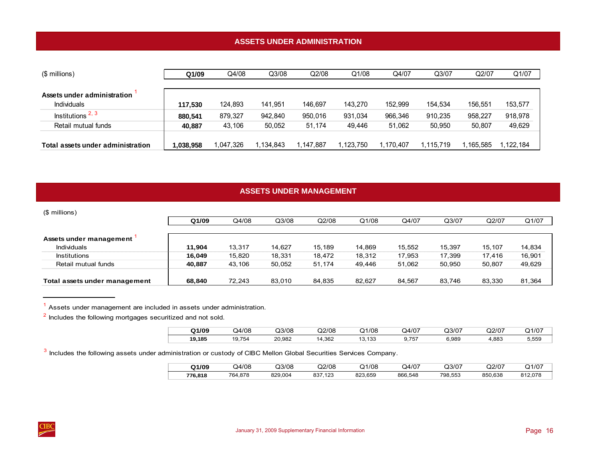# **ASSETS UNDER ADMINISTRATION**

<span id="page-19-0"></span>

| (\$ millions)                     | Q1/09     | Q4/08    | Q3/08    | Q2/08     | Q1/08     | Q4/07     | Q3/07     | Q2/07    | Q1/07     |
|-----------------------------------|-----------|----------|----------|-----------|-----------|-----------|-----------|----------|-----------|
|                                   |           |          |          |           |           |           |           |          |           |
| Assets under administration       |           |          |          |           |           |           |           |          |           |
| <b>Individuals</b>                | 117.530   | 124.893  | 141.951  | 146.697   | 143.270   | 152.999   | 154.534   | 156.551  | 153,577   |
| Institutions $2, 3$               | 880.541   | 879.327  | 942.840  | 950.016   | 931,034   | 966.346   | 910,235   | 958.227  | 918,978   |
| Retail mutual funds               | 40.887    | 43.106   | 50.052   | 51.174    | 49,446    | 51.062    | 50.950    | 50,807   | 49,629    |
|                                   |           |          |          |           |           |           |           |          |           |
| Total assets under administration | 1,038,958 | ,047,326 | .134.843 | 1.147.887 | 1.123.750 | 1.170.407 | 1.115.719 | .165.585 | 1,122,184 |

# **ASSETS UNDER MANAGEMENT**

| (\$ millions)                                 |        |        |        |        |        |        |        |        |        |
|-----------------------------------------------|--------|--------|--------|--------|--------|--------|--------|--------|--------|
|                                               | Q1/09  | Q4/08  | Q3/08  | Q2/08  | Q1/08  | Q4/07  | Q3/07  | Q2/07  | Q1/07  |
| Assets under management<br><b>Individuals</b> | 11.904 | 13,317 | 14.627 | 15.189 | 14.869 | 15.552 | 15.397 | 15,107 | 14,834 |
| <b>Institutions</b>                           | 16.049 | 15,820 | 18,331 | 18,472 | 18,312 | 17,953 | 17.399 | 17.416 | 16,901 |
| Retail mutual funds                           | 40.887 | 43,106 | 50,052 | 51.174 | 49,446 | 51,062 | 50.950 | 50,807 | 49,629 |
| Total assets under management                 | 68.840 | 72.243 | 83.010 | 84.835 | 82.627 | 84.567 | 83.746 | 83.330 | 81,364 |

 $1$  Assets under management are included in assets under administration.

 $2$  Includes the following mortgages securitized and not sold.

| 1/09   | Q4/08       | Q3/08  | Q2/08             | 1/08                         | 24/07 | Q3/07 | Q2/07 | Q1/07 |
|--------|-------------|--------|-------------------|------------------------------|-------|-------|-------|-------|
| 19,185 | .754<br>ت ا | 20,982 | 1,362<br>ıд<br>__ | 133<br>$\sim$<br>, I JV<br>. | 9,757 | 6,989 | .883  | 5,559 |

<sup>3</sup> Includes the following assets under administration or custody of CIBC Mellon Global Securities Services Company.

| Q1/09   | Q4/08   | Q3/08   | Q2/08          | 21/08<br>. . | 4/07د   | Q3/07   | Q2/07   | Q1/07   |
|---------|---------|---------|----------------|--------------|---------|---------|---------|---------|
| 776,818 | 764.878 | 829.004 | 837,123<br>027 | 823.659      | 866,548 | 798.553 | 850.638 | 812.078 |

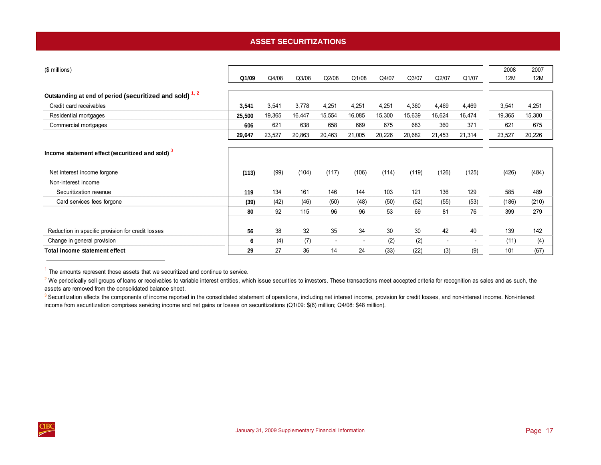# **ASSET SECURITIZATIONS**

<span id="page-20-0"></span>

| (\$ millions)                                                      |        |        |        |        |                          |        |        |                          |                          | 2008   | 2007   |
|--------------------------------------------------------------------|--------|--------|--------|--------|--------------------------|--------|--------|--------------------------|--------------------------|--------|--------|
|                                                                    | Q1/09  | Q4/08  | Q3/08  | Q2/08  | Q1/08                    | Q4/07  | Q3/07  | Q2/07                    | Q1/07                    | 12M    | 12M    |
|                                                                    |        |        |        |        |                          |        |        |                          |                          |        |        |
| Outstanding at end of period (securitized and sold) <sup>1,2</sup> |        |        |        |        |                          |        |        |                          |                          |        |        |
| Credit card receivables                                            | 3,541  | 3,541  | 3,778  | 4,251  | 4,251                    | 4,251  | 4,360  | 4,469                    | 4,469                    | 3,541  | 4,251  |
| Residential mortgages                                              | 25,500 | 19,365 | 16,447 | 15,554 | 16,085                   | 15,300 | 15,639 | 16,624                   | 16,474                   | 19,365 | 15,300 |
| Commercial mortgages                                               | 606    | 621    | 638    | 658    | 669                      | 675    | 683    | 360                      | 371                      | 621    | 675    |
|                                                                    | 29,647 | 23,527 | 20,863 | 20,463 | 21,005                   | 20,226 | 20,682 | 21,453                   | 21,314                   | 23,527 | 20,226 |
|                                                                    |        |        |        |        |                          |        |        |                          |                          |        |        |
| Income statement effect (securitized and sold) 3                   |        |        |        |        |                          |        |        |                          |                          |        |        |
|                                                                    |        |        |        |        |                          |        |        |                          |                          |        |        |
| Net interest income forgone                                        | (113)  | (99)   | (104)  | (117)  | (106)                    | (114)  | (119)  | (126)                    | (125)                    | (426)  | (484)  |
| Non-interest income                                                |        |        |        |        |                          |        |        |                          |                          |        |        |
| Securitization revenue                                             | 119    | 134    | 161    | 146    | 144                      | 103    | 121    | 136                      | 129                      | 585    | 489    |
| Card services fees forgone                                         | (39)   | (42)   | (46)   | (50)   | (48)                     | (50)   | (52)   | (55)                     | (53)                     | (186)  | (210)  |
|                                                                    | 80     | 92     | 115    | 96     | 96                       | 53     | 69     | 81                       | 76                       | 399    | 279    |
|                                                                    |        |        |        |        |                          |        |        |                          |                          |        |        |
| Reduction in specific provision for credit losses                  | 56     | 38     | 32     | 35     | 34                       | 30     | 30     | 42                       | 40                       | 139    | 142    |
| Change in general provision                                        | 6      | (4)    | (7)    |        | $\overline{\phantom{a}}$ | (2)    | (2)    | $\overline{\phantom{a}}$ | $\overline{\phantom{0}}$ | (11)   | (4)    |
| Total income statement effect                                      | 29     | 27     | 36     | 14     | 24                       | (33)   | (22)   | (3)                      | (9)                      | 101    | (67)   |

 $1$  The amounts represent those assets that we securitized and continue to service.

<sup>2</sup> We periodically sell groups of loans or receivables to variable interest entities, which issue securities to investors. These transactions meet accepted criteria for recognition as sales and as such, the assets are removed from the consolidated balance sheet.

<sup>3</sup> Securitization affects the components of income reported in the consolidated statement of operations, including net interest income, provision for credit losses, and non-interest income. Non-interest income from securitization comprises servicing income and net gains or losses on securitizations (Q1/09: \$(6) million; Q4/08: \$48 million).

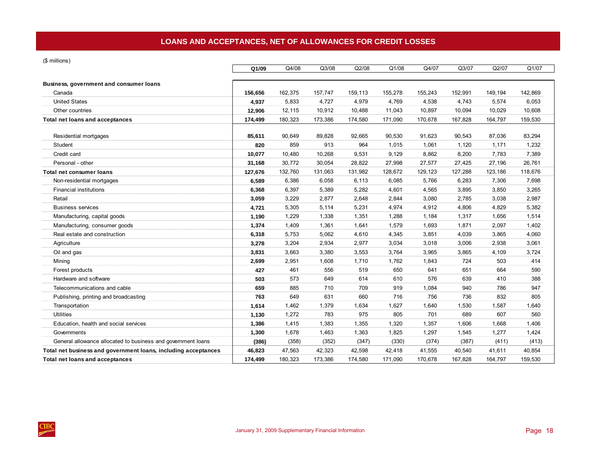<span id="page-21-0"></span>(\$ millions)

|                                                                | Q1/09   | Q4/08   | Q3/08   | Q2/08   | Q1/08   | Q4/07   | Q3/07   | Q2/07   | Q1/07   |
|----------------------------------------------------------------|---------|---------|---------|---------|---------|---------|---------|---------|---------|
| Business, government and consumer loans                        |         |         |         |         |         |         |         |         |         |
| Canada                                                         | 156,656 | 162,375 | 157,747 | 159,113 | 155,278 | 155,243 | 152,991 | 149,194 | 142,869 |
| <b>United States</b>                                           | 4,937   | 5,833   | 4,727   | 4,979   | 4,769   | 4,538   | 4,743   | 5,574   | 6,053   |
| Other countries                                                | 12,906  | 12,115  | 10,912  | 10,488  | 11,043  | 10,897  | 10,094  | 10,029  | 10,608  |
| Total net loans and acceptances                                | 174,499 | 180,323 | 173,386 | 174,580 | 171,090 | 170,678 | 167,828 | 164,797 | 159,530 |
| Residential mortgages                                          | 85,611  | 90,649  | 89,828  | 92,665  | 90,530  | 91,623  | 90,543  | 87,036  | 83,294  |
| Student                                                        | 820     | 859     | 913     | 964     | 1,015   | 1,061   | 1,120   | 1,171   | 1,232   |
| Credit card                                                    | 10,077  | 10,480  | 10,268  | 9,531   | 9,129   | 8,862   | 8,200   | 7,783   | 7,389   |
| Personal - other                                               | 31,168  | 30,772  | 30,054  | 28,822  | 27,998  | 27,577  | 27,425  | 27,196  | 26,761  |
| <b>Total net consumer loans</b>                                | 127,676 | 132,760 | 131,063 | 131,982 | 128,672 | 129,123 | 127,288 | 123,186 | 118,676 |
| Non-residential mortgages                                      | 6,589   | 6,386   | 6,058   | 6,113   | 6,085   | 5,766   | 6,283   | 7,306   | 7,698   |
| <b>Financial institutions</b>                                  | 6,368   | 6,397   | 5,389   | 5,282   | 4,601   | 4,565   | 3,895   | 3,850   | 3,265   |
| Retail                                                         | 3,059   | 3,229   | 2,877   | 2,648   | 2,844   | 3,080   | 2,785   | 3,038   | 2,987   |
| <b>Business services</b>                                       | 4,721   | 5,305   | 5,114   | 5,231   | 4,974   | 4,912   | 4,806   | 4,829   | 5,382   |
| Manufacturing, capital goods                                   | 1,190   | 1,229   | 1,338   | 1,351   | 1,288   | 1,184   | 1,317   | 1,656   | 1,514   |
| Manufacturing, consumer goods                                  | 1,374   | 1,409   | 1,361   | 1,641   | 1,579   | 1,693   | 1,871   | 2,097   | 1,402   |
| Real estate and construction                                   | 6,318   | 5,753   | 5,062   | 4,610   | 4,345   | 3,851   | 4,039   | 3,865   | 4,060   |
| Agriculture                                                    | 3,278   | 3,204   | 2,934   | 2,977   | 3,034   | 3,018   | 3,006   | 2,938   | 3,061   |
| Oil and gas                                                    | 3,831   | 3,663   | 3,380   | 3,553   | 3,764   | 3,965   | 3,865   | 4,109   | 3,724   |
| Mining                                                         | 2,699   | 2,951   | 1,608   | 1,710   | 1,762   | 1,843   | 724     | 503     | 414     |
| Forest products                                                | 427     | 461     | 556     | 519     | 650     | 641     | 651     | 664     | 590     |
| Hardware and software                                          | 503     | 573     | 649     | 614     | 610     | 576     | 639     | 410     | 388     |
| Telecommunications and cable                                   | 659     | 885     | 710     | 709     | 919     | 1,084   | 940     | 786     | 947     |
| Publishing, printing and broadcasting                          | 763     | 649     | 631     | 660     | 716     | 756     | 736     | 832     | 805     |
| Transportation                                                 | 1,614   | 1,462   | 1,379   | 1,634   | 1,627   | 1,640   | 1,530   | 1,587   | 1,640   |
| <b>Utilities</b>                                               | 1,130   | 1,272   | 783     | 975     | 805     | 701     | 689     | 607     | 560     |
| Education, health and social services                          | 1,386   | 1,415   | 1,383   | 1,355   | 1,320   | 1,357   | 1,606   | 1,668   | 1,406   |
| Governments                                                    | 1,300   | 1,678   | 1,463   | 1,363   | 1,825   | 1,297   | 1,545   | 1,277   | 1,424   |
| General allowance allocated to business and government loans   | (386)   | (358)   | (352)   | (347)   | (330)   | (374)   | (387)   | (411)   | (413)   |
| Total net business and government loans, including acceptances | 46,823  | 47,563  | 42,323  | 42,598  | 42,418  | 41,555  | 40,540  | 41,611  | 40,854  |
| Total net loans and acceptances                                | 174,499 | 180,323 | 173,386 | 174,580 | 171,090 | 170,678 | 167,828 | 164,797 | 159,530 |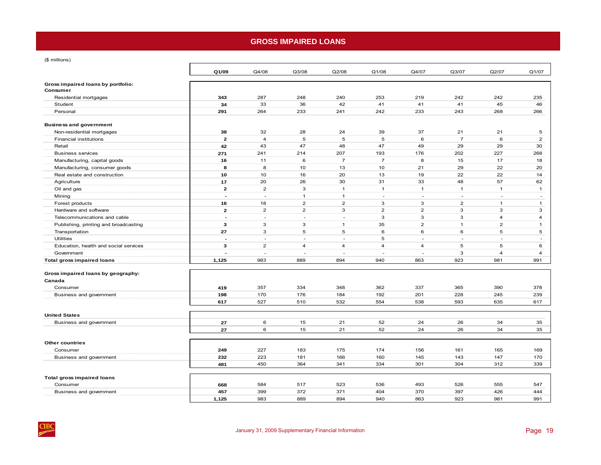# **GROSS IMPAIRED LOANS**

<span id="page-22-0"></span>(\$ millions)

| Gross impaired loans by portfolio:<br>Consumer<br>343<br>287<br>248<br>240<br>253<br>219<br>242<br>242<br>Residential mortgages<br>34<br>33<br>36<br>42<br>41<br>41<br>41<br>45<br>Student<br>233<br>Personal<br>291<br>264<br>241<br>242<br>233<br>243<br>268<br><b>Business and government</b><br>32<br>28<br>24<br>39<br>37<br>21<br>Non-residential mortgages<br>38<br>21<br>5<br>5<br>$\overline{7}$<br>$\overline{2}$<br>$\overline{4}$<br>5<br>6<br>6<br>Financial institutions<br>42<br>43<br>47<br>48<br>47<br>49<br>29<br>29<br>Retail<br>207<br>176<br>202<br>227<br><b>Business services</b><br>241<br>214<br>193<br>271<br>$\overline{7}$<br>$\overline{7}$<br>8<br>Manufacturing, capital goods<br>11<br>6<br>15<br>17<br>16<br>8<br>8<br>10<br>13<br>10<br>21<br>29<br>22<br>Manufacturing, consumer goods<br>10<br>16<br>20<br>22<br>22<br>Real estate and construction<br>10<br>13<br>19<br>26<br>31<br>33<br>48<br>57<br>20<br>30<br>Agriculture<br>17 | Q1/07          |
|--------------------------------------------------------------------------------------------------------------------------------------------------------------------------------------------------------------------------------------------------------------------------------------------------------------------------------------------------------------------------------------------------------------------------------------------------------------------------------------------------------------------------------------------------------------------------------------------------------------------------------------------------------------------------------------------------------------------------------------------------------------------------------------------------------------------------------------------------------------------------------------------------------------------------------------------------------------------------|----------------|
|                                                                                                                                                                                                                                                                                                                                                                                                                                                                                                                                                                                                                                                                                                                                                                                                                                                                                                                                                                          |                |
|                                                                                                                                                                                                                                                                                                                                                                                                                                                                                                                                                                                                                                                                                                                                                                                                                                                                                                                                                                          | 235            |
|                                                                                                                                                                                                                                                                                                                                                                                                                                                                                                                                                                                                                                                                                                                                                                                                                                                                                                                                                                          | 46             |
|                                                                                                                                                                                                                                                                                                                                                                                                                                                                                                                                                                                                                                                                                                                                                                                                                                                                                                                                                                          | 266            |
|                                                                                                                                                                                                                                                                                                                                                                                                                                                                                                                                                                                                                                                                                                                                                                                                                                                                                                                                                                          |                |
|                                                                                                                                                                                                                                                                                                                                                                                                                                                                                                                                                                                                                                                                                                                                                                                                                                                                                                                                                                          |                |
|                                                                                                                                                                                                                                                                                                                                                                                                                                                                                                                                                                                                                                                                                                                                                                                                                                                                                                                                                                          | 5              |
|                                                                                                                                                                                                                                                                                                                                                                                                                                                                                                                                                                                                                                                                                                                                                                                                                                                                                                                                                                          | $\overline{2}$ |
|                                                                                                                                                                                                                                                                                                                                                                                                                                                                                                                                                                                                                                                                                                                                                                                                                                                                                                                                                                          | 30             |
|                                                                                                                                                                                                                                                                                                                                                                                                                                                                                                                                                                                                                                                                                                                                                                                                                                                                                                                                                                          | 268            |
|                                                                                                                                                                                                                                                                                                                                                                                                                                                                                                                                                                                                                                                                                                                                                                                                                                                                                                                                                                          | 18             |
|                                                                                                                                                                                                                                                                                                                                                                                                                                                                                                                                                                                                                                                                                                                                                                                                                                                                                                                                                                          | 20             |
|                                                                                                                                                                                                                                                                                                                                                                                                                                                                                                                                                                                                                                                                                                                                                                                                                                                                                                                                                                          | 14             |
|                                                                                                                                                                                                                                                                                                                                                                                                                                                                                                                                                                                                                                                                                                                                                                                                                                                                                                                                                                          | 62             |
| $\overline{2}$<br>$\overline{2}$<br>3<br>Oil and gas<br>$\mathbf{1}$<br>$\mathbf{1}$<br>$\mathbf{1}$<br>$\mathbf{1}$<br>$\mathbf{1}$                                                                                                                                                                                                                                                                                                                                                                                                                                                                                                                                                                                                                                                                                                                                                                                                                                     | $\mathbf{1}$   |
| $\overline{1}$<br>Mining<br>$\mathbf{1}$<br>$\overline{\phantom{a}}$<br>$\overline{\phantom{a}}$<br>$\sim$<br>$\overline{\phantom{a}}$<br>$\sim$<br>$\overline{a}$                                                                                                                                                                                                                                                                                                                                                                                                                                                                                                                                                                                                                                                                                                                                                                                                       | $\sim$         |
| $\overline{2}$<br>$\overline{2}$<br>$\overline{2}$<br>16<br>18<br>3<br>3<br>Forest products<br>$\mathbf{1}$                                                                                                                                                                                                                                                                                                                                                                                                                                                                                                                                                                                                                                                                                                                                                                                                                                                              | $\mathbf{1}$   |
| Hardware and software<br>$\mathbf{2}$<br>$\overline{2}$<br>$\overline{2}$<br>3<br>$\overline{2}$<br>$\overline{2}$<br>3<br>3                                                                                                                                                                                                                                                                                                                                                                                                                                                                                                                                                                                                                                                                                                                                                                                                                                             | 3              |
| $\mathbf{3}$<br>3<br>3<br>Telecommunications and cable<br>$\overline{4}$<br>$\overline{a}$<br>$\sim$<br>×.<br>$\overline{\phantom{a}}$                                                                                                                                                                                                                                                                                                                                                                                                                                                                                                                                                                                                                                                                                                                                                                                                                                   | $\overline{4}$ |
| 3<br>3<br>35<br>$\overline{2}$<br>$\overline{2}$<br>$\mathbf{3}$<br>$\mathbf{1}$<br>Publishing, printing and broadcasting<br>$\mathbf{1}$                                                                                                                                                                                                                                                                                                                                                                                                                                                                                                                                                                                                                                                                                                                                                                                                                                | $\mathbf{1}$   |
| 27<br>3<br>5<br>5<br>6<br>6<br>6<br>Transportation<br>5                                                                                                                                                                                                                                                                                                                                                                                                                                                                                                                                                                                                                                                                                                                                                                                                                                                                                                                  | 5              |
| <b>Utilities</b><br>5<br>$\overline{a}$<br>÷.<br>$\sim$<br>$\sim$<br>$\sim$<br>$\sim$<br>×.                                                                                                                                                                                                                                                                                                                                                                                                                                                                                                                                                                                                                                                                                                                                                                                                                                                                              | $\sim$         |
| 3<br>$\overline{2}$<br>5<br>Education, health and social services<br>$\overline{4}$<br>4<br>$\overline{4}$<br>$\overline{4}$<br>5                                                                                                                                                                                                                                                                                                                                                                                                                                                                                                                                                                                                                                                                                                                                                                                                                                        | 6              |
| 3<br>Government<br>$\overline{a}$<br>4<br>÷.<br>Î,                                                                                                                                                                                                                                                                                                                                                                                                                                                                                                                                                                                                                                                                                                                                                                                                                                                                                                                       | $\overline{4}$ |
| <b>Total gross impaired loans</b><br>1,125<br>983<br>889<br>894<br>940<br>863<br>923<br>981                                                                                                                                                                                                                                                                                                                                                                                                                                                                                                                                                                                                                                                                                                                                                                                                                                                                              | 991            |
| Gross impaired loans by geography:                                                                                                                                                                                                                                                                                                                                                                                                                                                                                                                                                                                                                                                                                                                                                                                                                                                                                                                                       |                |
| Canada                                                                                                                                                                                                                                                                                                                                                                                                                                                                                                                                                                                                                                                                                                                                                                                                                                                                                                                                                                   |                |
| 357<br>334<br>348<br>337<br>365<br>390<br>Consumer<br>419<br>362                                                                                                                                                                                                                                                                                                                                                                                                                                                                                                                                                                                                                                                                                                                                                                                                                                                                                                         | 378            |
| 228<br>Business and government<br>170<br>176<br>192<br>201<br>245<br>198<br>184                                                                                                                                                                                                                                                                                                                                                                                                                                                                                                                                                                                                                                                                                                                                                                                                                                                                                          | 239            |
| 527<br>532<br>554<br>538<br>593<br>635<br>617<br>510                                                                                                                                                                                                                                                                                                                                                                                                                                                                                                                                                                                                                                                                                                                                                                                                                                                                                                                     | 617            |
|                                                                                                                                                                                                                                                                                                                                                                                                                                                                                                                                                                                                                                                                                                                                                                                                                                                                                                                                                                          |                |
| <b>United States</b>                                                                                                                                                                                                                                                                                                                                                                                                                                                                                                                                                                                                                                                                                                                                                                                                                                                                                                                                                     |                |
| 6<br>Business and government<br>27<br>15<br>21<br>52<br>24<br>26<br>34                                                                                                                                                                                                                                                                                                                                                                                                                                                                                                                                                                                                                                                                                                                                                                                                                                                                                                   | 35             |
| 27<br>6<br>15<br>26<br>34<br>21<br>52<br>24                                                                                                                                                                                                                                                                                                                                                                                                                                                                                                                                                                                                                                                                                                                                                                                                                                                                                                                              | 35             |
|                                                                                                                                                                                                                                                                                                                                                                                                                                                                                                                                                                                                                                                                                                                                                                                                                                                                                                                                                                          |                |
| <b>Other countries</b>                                                                                                                                                                                                                                                                                                                                                                                                                                                                                                                                                                                                                                                                                                                                                                                                                                                                                                                                                   |                |
| 227<br>183<br>175<br>174<br>165<br>Consumer<br>249<br>156<br>161                                                                                                                                                                                                                                                                                                                                                                                                                                                                                                                                                                                                                                                                                                                                                                                                                                                                                                         | 169            |
| 223<br>181<br>166<br>160<br>145<br>143<br>147<br>Business and government<br>232                                                                                                                                                                                                                                                                                                                                                                                                                                                                                                                                                                                                                                                                                                                                                                                                                                                                                          | 170            |
| 301<br>304<br>312<br>450<br>364<br>341<br>334<br>481                                                                                                                                                                                                                                                                                                                                                                                                                                                                                                                                                                                                                                                                                                                                                                                                                                                                                                                     | 339            |
| <b>Total gross impaired loans</b>                                                                                                                                                                                                                                                                                                                                                                                                                                                                                                                                                                                                                                                                                                                                                                                                                                                                                                                                        |                |
| Consumer<br>584<br>517<br>523<br>493<br>526<br>555<br>668<br>536                                                                                                                                                                                                                                                                                                                                                                                                                                                                                                                                                                                                                                                                                                                                                                                                                                                                                                         | 547            |
| Business and government<br>457<br>399<br>372<br>371<br>404<br>370<br>397<br>426                                                                                                                                                                                                                                                                                                                                                                                                                                                                                                                                                                                                                                                                                                                                                                                                                                                                                          | 444            |
| 1,125<br>983<br>889<br>894<br>940<br>863<br>923<br>981                                                                                                                                                                                                                                                                                                                                                                                                                                                                                                                                                                                                                                                                                                                                                                                                                                                                                                                   | 991            |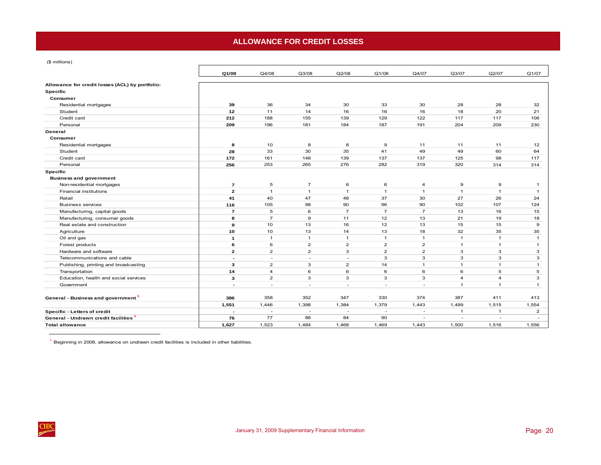# **ALLOWANCE FOR CREDIT LOSSES**

<span id="page-23-0"></span>(\$ millions)

|                                                 | Q1/09                    | Q4/08                    | Q3/08                    | Q2/08                    | Q1/08                    | Q4/07                    | Q3/07                    | Q2/07          | Q1/07          |
|-------------------------------------------------|--------------------------|--------------------------|--------------------------|--------------------------|--------------------------|--------------------------|--------------------------|----------------|----------------|
| Allowance for credit losses (ACL) by portfolio: |                          |                          |                          |                          |                          |                          |                          |                |                |
| <b>Specific</b>                                 |                          |                          |                          |                          |                          |                          |                          |                |                |
| Consumer                                        |                          |                          |                          |                          |                          |                          |                          |                |                |
| Residential mortgages                           | 39                       | 36                       | 34                       | 30                       | 33                       | 30                       | 28                       | 28             | 32             |
| Student                                         | 12                       | 11                       | 14                       | 16                       | 16                       | 16                       | 18                       | 20             | 21             |
| Credit card                                     | 212                      | 188                      | 155                      | 139                      | 129                      | 122                      | 117                      | 117            | 106            |
| Personal                                        | 209                      | 196                      | 181                      | 184                      | 187                      | 191                      | 204                      | 209            | 230            |
| General                                         |                          |                          |                          |                          |                          |                          |                          |                |                |
| Consumer                                        |                          |                          |                          |                          |                          |                          |                          |                |                |
| Residential mortgages                           | 8                        | 10                       | 8                        | 8                        | $\boldsymbol{9}$         | 11                       | 11                       | 11             | 12             |
| Student                                         | 28                       | 33                       | 30                       | 35                       | 41                       | 49                       | 49                       | 60             | 64             |
| Credit card                                     | 172                      | 161                      | 148                      | 139                      | 137                      | 137                      | 125                      | 98             | 117            |
| Personal                                        | 256                      | 253                      | 265                      | 276                      | 282                      | 319                      | 320                      | 314            | 314            |
| <b>Specific</b>                                 |                          |                          |                          |                          |                          |                          |                          |                |                |
| <b>Business and government</b>                  |                          |                          |                          |                          |                          |                          |                          |                |                |
| Non-residential mortgages                       | $\overline{7}$           | 5                        | $\overline{7}$           | 6                        | 6                        | 4                        | 9                        | 9              | $\overline{1}$ |
| <b>Financial institutions</b>                   | $\overline{2}$           | $\overline{1}$           | $\mathbf{1}$             | $\mathbf{1}$             | $\overline{1}$           | $\mathbf{1}$             | $\overline{1}$           | $\overline{1}$ | $\overline{1}$ |
| Retail                                          | 41                       | 40                       | 47                       | 48                       | 37                       | 30                       | 27                       | 26             | 24             |
| <b>Business services</b>                        | 116                      | 105                      | 98                       | 90                       | 96                       | 90                       | 102                      | 107            | 124            |
| Manufacturing, capital goods                    | $\overline{7}$           | 5                        | 6                        | $\overline{7}$           | $\overline{7}$           | $\overline{7}$           | 13                       | 16             | 15             |
| Manufacturing, consumer goods                   | 8                        | $\overline{7}$           | 9                        | 11                       | 12                       | 13                       | 21                       | 19             | 18             |
| Real estate and construction                    | 9                        | 10                       | 13                       | 16                       | 12                       | 13                       | 15                       | 15             | 9              |
| Agriculture                                     | 10                       | 10                       | 13                       | 14                       | 13                       | 18                       | 32                       | 35             | 35             |
| Oil and gas                                     | $\mathbf{1}$             | $\mathbf{1}$             | $\mathbf{1}$             | $\mathbf{1}$             | $\mathbf{1}$             | $\mathbf{1}$             | $\mathbf{1}$             | $\mathbf{1}$   | $\overline{1}$ |
| Forest products                                 | 6                        | 6                        | $\overline{2}$           | $\overline{2}$           | $\overline{2}$           | $\overline{2}$           | $\mathbf{1}$             | $\mathbf{1}$   | $\mathbf{1}$   |
| Hardware and software                           | $\mathbf{2}$             | $\overline{2}$           | $\overline{2}$           | 3                        | $\overline{2}$           | $\overline{2}$           | 3                        | 3              | 3              |
| Telecommunications and cable                    | $\sim$                   | $\overline{\phantom{a}}$ | $\overline{\phantom{a}}$ | $\overline{a}$           | 3                        | 3                        | 3                        | 3              | 3              |
| Publishing, printing and broadcasting           | 3                        | $\overline{2}$           | 3                        | $\overline{2}$           | 14                       | $\mathbf{1}$             | $\mathbf{1}$             | $\mathbf{1}$   | $\mathbf{1}$   |
| Transportation                                  | 14                       | $\overline{4}$           | 6                        | 6                        | 6                        | 6                        | 6                        | 5              | 5              |
| Education, health and social services           | 3                        | $\overline{2}$           | 3                        | 3                        | 3                        | 3                        | $\overline{4}$           | $\overline{4}$ | 3              |
| Government                                      | $\overline{\phantom{a}}$ | $\overline{\phantom{a}}$ | $\overline{\phantom{a}}$ | $\overline{\phantom{a}}$ | $\overline{\phantom{a}}$ | $\overline{\phantom{a}}$ | $\overline{1}$           | $\overline{1}$ | $\mathbf{1}$   |
|                                                 |                          |                          |                          |                          |                          |                          |                          |                |                |
| General - Business and government <sup>1</sup>  | 386                      | 358                      | 352                      | 347                      | 330                      | 374                      | 387                      | 411            | 413            |
|                                                 | 1,551                    | 1,446                    | 1,398                    | 1,384                    | 1,379                    | 1,443                    | 1,499                    | 1,515          | 1,554          |
| Specific - Letters of credit                    |                          | $\overline{\phantom{a}}$ | $\overline{\phantom{a}}$ | $\overline{\phantom{a}}$ | $\overline{\phantom{a}}$ | $\overline{a}$           | 1                        | $\mathbf{1}$   | $\overline{2}$ |
| General - Undrawn credit facilities             | 76                       | 77                       | 86                       | 84                       | 90                       | $\overline{a}$           | $\overline{\phantom{a}}$ | ÷              | $\overline{a}$ |
| <b>Total allowance</b>                          | 1,627                    | 1,523                    | 1,484                    | 1,468                    | 1,469                    | 1,443                    | 1,500                    | 1,516          | 1,556          |

 $<sup>1</sup>$  Beginning in 2008, allowance on undrawn credit facilities is included in other liabilities.</sup>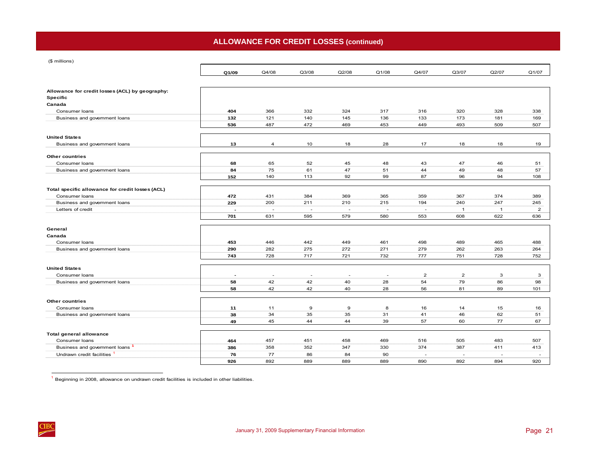# **ALLOWANCE FOR CREDIT LOSSES (continued)**

|  | (\$ millions) |
|--|---------------|
|  |               |

 $\frac{\text{CIBC}}{\text{C}}$ 

| $(\psi$ in motion                                                  |                          |                          |                          |                          |                |                          |                          |              |                          |
|--------------------------------------------------------------------|--------------------------|--------------------------|--------------------------|--------------------------|----------------|--------------------------|--------------------------|--------------|--------------------------|
|                                                                    | Q1/09                    | Q4/08                    | Q3/08                    | Q2/08                    | Q1/08          | Q4/07                    | Q3/07                    | Q2/07        | Q1/07                    |
|                                                                    |                          |                          |                          |                          |                |                          |                          |              |                          |
| Allowance for credit losses (ACL) by geography:<br><b>Specific</b> |                          |                          |                          |                          |                |                          |                          |              |                          |
| Canada                                                             |                          |                          |                          |                          |                |                          |                          |              |                          |
| Consumer loans                                                     | 404                      | 366                      | 332                      | 324                      | 317            | 316                      | 320                      | 328          | 338                      |
| Business and government loans                                      | 132                      | 121                      | 140                      | 145                      | 136            | 133                      | 173                      | 181          | 169                      |
|                                                                    | 536                      | 487                      | 472                      | 469                      | 453            | 449                      | 493                      | 509          | 507                      |
| <b>United States</b>                                               |                          |                          |                          |                          |                |                          |                          |              |                          |
| Business and government loans                                      | 13                       | $\overline{a}$           | 10                       | 18                       | 28             | 17                       | 18                       | 18           | 19                       |
| <b>Other countries</b>                                             |                          |                          |                          |                          |                |                          |                          |              |                          |
| Consumer loans                                                     | 68                       | 65                       | 52                       | 45                       | 48             | 43                       | 47                       | 46           | 51                       |
| Business and government loans                                      | 84                       | 75                       | 61                       | 47                       | 51             | 44                       | 49                       | 48           | 57                       |
|                                                                    | 152                      | 140                      | 113                      | 92                       | 99             | 87                       | 96                       | 94           | 108                      |
| Total specific allowance for credit losses (ACL)                   |                          |                          |                          |                          |                |                          |                          |              |                          |
| Consumer loans                                                     | 472                      | 431                      | 384                      | 369                      | 365            | 359                      | 367                      | 374          | 389                      |
| Business and government loans                                      | 229                      | 200                      | 211                      | 210                      | 215            | 194                      | 240                      | 247          | 245                      |
| Letters of credit                                                  |                          | $\overline{\phantom{a}}$ | $\overline{a}$           |                          | $\overline{a}$ |                          | $\mathbf{1}$             | $\mathbf{1}$ | $\overline{2}$           |
|                                                                    | 701                      | 631                      | 595                      | 579                      | 580            | 553                      | 608                      | 622          | 636                      |
|                                                                    |                          |                          |                          |                          |                |                          |                          |              |                          |
| General                                                            |                          |                          |                          |                          |                |                          |                          |              |                          |
| Canada                                                             |                          |                          |                          |                          |                |                          |                          |              |                          |
| Consumer loans                                                     | 453                      | 446                      | 442                      | 449                      | 461            | 498                      | 489                      | 465          | 488                      |
| Business and government loans                                      | 290                      | 282                      | 275                      | 272                      | 271            | 279                      | 262                      | 263          | 264                      |
|                                                                    | 743                      | 728                      | 717                      | 721                      | 732            | 777                      | 751                      | 728          | 752                      |
| <b>United States</b>                                               |                          |                          |                          |                          |                |                          |                          |              |                          |
| Consumer loans                                                     | $\overline{\phantom{a}}$ | $\overline{\phantom{a}}$ | $\overline{\phantom{a}}$ | $\overline{\phantom{a}}$ | $\sim$         | $\overline{2}$           | $\overline{\mathbf{c}}$  | 3            | 3                        |
| Business and government loans                                      | 58                       | 42                       | 42                       | 40                       | 28             | 54                       | 79                       | 86           | 98                       |
|                                                                    | 58                       | 42                       | 42                       | 40                       | 28             | 56                       | 81                       | 89           | 101                      |
| <b>Other countries</b>                                             |                          |                          |                          |                          |                |                          |                          |              |                          |
| Consumer loans                                                     |                          | 11                       | $\mathbf 9$              | 9                        | 8              | 16                       | 14                       | 15           | 16                       |
|                                                                    | 11<br>38                 |                          | 35                       | 35                       | 31             |                          |                          | 62           |                          |
| Business and government loans                                      |                          | 34                       |                          |                          |                | 41                       | 46                       |              | 51                       |
|                                                                    | 49                       | 45                       | 44                       | 44                       | 39             | 57                       | 60                       | 77           | 67                       |
| <b>Total general allowance</b>                                     |                          |                          |                          |                          |                |                          |                          |              |                          |
| Consumer loans                                                     | 464                      | 457                      | 451                      | 458                      | 469            | 516                      | 505                      | 483          | 507                      |
| Business and government loans <sup>1</sup>                         | 386                      | 358                      | 352                      | 347                      | 330            | 374                      | 387                      | 411          | 413                      |
| Undrawn credit facilities <sup>1</sup>                             | 76                       | 77                       | 86                       | 84                       | 90             | $\overline{\phantom{a}}$ | $\overline{\phantom{a}}$ | ۰.           | $\overline{\phantom{a}}$ |
|                                                                    | 926                      | 892                      | 889                      | 889                      | 889            | 890                      | 892                      | 894          | 920                      |
|                                                                    |                          |                          |                          |                          |                |                          |                          |              |                          |

<sup>1</sup> Beginning in 2008, allowance on undrawn credit facilities is included in other liabilities.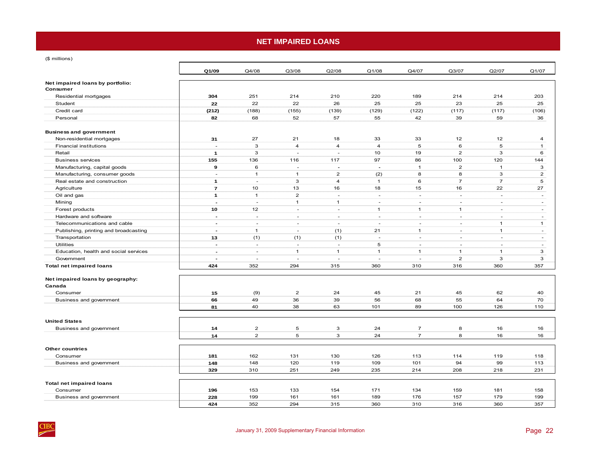# **NET IMPAIRED LOANS**

<span id="page-25-0"></span>(\$ millions)

 $rac{C\text{B}}{2}$ 

|                                              | Q1/09                    | Q4/08          | Q3/08          | Q2/08                    | Q1/08                    | Q4/07          | Q3/07                    | Q2/07          | Q1/07          |
|----------------------------------------------|--------------------------|----------------|----------------|--------------------------|--------------------------|----------------|--------------------------|----------------|----------------|
| Net impaired loans by portfolio:<br>Consumer |                          |                |                |                          |                          |                |                          |                |                |
| Residential mortgages                        | 304                      | 251            | 214            | 210                      | 220                      | 189            | 214                      | 214            | 203            |
| Student                                      | 22                       | 22             | 22             | 26                       | 25                       | 25             | 23                       | 25             | 25             |
| Credit card                                  | (212)                    | (188)          | (155)          | (139)                    | (129)                    | (122)          | (117)                    | (117)          | (106)          |
| Personal                                     | 82                       | 68             | 52             | 57                       | 55                       | 42             | 39                       | 59             | 36             |
|                                              |                          |                |                |                          |                          |                |                          |                |                |
| <b>Business and government</b>               |                          |                |                |                          |                          |                |                          |                |                |
| Non-residential mortgages                    | 31                       | 27             | 21             | 18                       | 33                       | 33             | 12                       | 12             | 4              |
| Financial institutions                       | $\sim$                   | 3              | $\overline{4}$ | $\overline{4}$           | $\overline{4}$           | 5              | 6                        | 5              | $\mathbf{1}$   |
| Retail                                       | $\mathbf{1}$             | 3              | $\sim$         | $\sim$                   | 10                       | 19             | $\overline{2}$           | 3              | 6              |
| <b>Business services</b>                     | 155                      | 136            | 116            | 117                      | 97                       | 86             | 100                      | 120            | 144            |
| Manufacturing, capital goods                 | 9                        | 6              | $\sim$         | $\overline{\phantom{a}}$ | $\overline{\phantom{a}}$ | $\mathbf{1}$   | $\overline{2}$           | $\mathbf{1}$   | 3              |
| Manufacturing, consumer goods                | ÷.                       | $\mathbf{1}$   | $\mathbf{1}$   | $\overline{2}$           | (2)                      | 8              | 8                        | 3              | $\overline{2}$ |
| Real estate and construction                 | $\mathbf{1}$             | ÷,             | 3              | $\overline{4}$           | $\mathbf{1}$             | 6              | $\overline{7}$           | $\overline{7}$ | 5              |
| Agriculture                                  | $\overline{7}$           | 10             | 13             | 16                       | 18                       | 15             | 16                       | 22             | 27             |
| Oil and gas                                  | $\mathbf{1}$             | $\mathbf{1}$   | $\overline{2}$ | ÷.                       | $\sim$                   | ÷.             | $\sim$                   | ÷              | $\sim$         |
| Mining                                       | $\overline{a}$           | ÷.             | $\mathbf{1}$   | $\mathbf{1}$             | ÷.                       | ÷.             | ÷.                       | $\sim$         | $\sim$         |
| Forest products                              | 10                       | 12             | ÷              | $\sim$                   | $\mathbf{1}$             | $\mathbf{1}$   | $\mathbf{1}$             | $\sim$         | $\sim$         |
| Hardware and software                        | $\overline{\phantom{a}}$ | $\sim$         | $\sim$         | $\sim$                   | $\sim$                   | $\sim$         | $\overline{\phantom{a}}$ | $\sim$         | $\sim$         |
| Telecommunications and cable                 | $\blacksquare$           | ÷.             | ÷.             | $\sim$                   | ÷                        | ÷.             | $\sim$                   | $\mathbf{1}$   | $\mathbf{1}$   |
| Publishing, printing and broadcasting        | $\blacksquare$           | $\mathbf{1}$   | ٠              | (1)                      | 21                       | $\mathbf{1}$   | $\sim$                   | $\mathbf{1}$   | $\sim$         |
| Transportation                               | 13                       | (1)            | (1)            | (1)                      | $\sim$                   | $\sim$         | $\sim$                   | $\sim$         | $\sim$         |
| <b>Utilities</b>                             | $\blacksquare$           | $\sim$         | $\sim$         | $\sim$                   | 5                        | $\sim$         | ä,                       | $\sim$         | $\sim$         |
| Education, health and social services        | $\blacksquare$           | ÷,             | $\mathbf{1}$   | $\mathbf{1}$             | $\mathbf{1}$             | $\mathbf{1}$   | $\mathbf{1}$             | $\overline{1}$ | 3              |
| Government                                   | $\overline{a}$           | ÷              | L.             | ÷.                       | ÷.                       | ÷.             | $\overline{2}$           | з              | 3              |
| <b>Total net impaired loans</b>              | 424                      | 352            | 294            | 315                      | 360                      | 310            | 316                      | 360            | 357            |
|                                              |                          |                |                |                          |                          |                |                          |                |                |
| Net impaired loans by geography:             |                          |                |                |                          |                          |                |                          |                |                |
| Canada                                       |                          |                |                |                          |                          |                |                          |                |                |
| Consumer                                     | 15                       | (9)            | $\overline{c}$ | 24                       | 45                       | 21             | 45                       | 62             | 40             |
| Business and government                      | 66                       | 49             | 36             | 39                       | 56                       | 68             | 55                       | 64             | 70             |
|                                              | 81                       | 40             | 38             | 63                       | 101                      | 89             | 100                      | 126            | 110            |
|                                              |                          |                |                |                          |                          |                |                          |                |                |
| <b>United States</b>                         |                          |                |                |                          |                          |                |                          |                |                |
| Business and government                      | 14                       | $\overline{2}$ | 5              | 3                        | 24                       | $\overline{7}$ | 8                        | 16             | 16             |
|                                              | 14                       | $\overline{2}$ | 5              | 3                        | 24                       | $\overline{7}$ | 8                        | 16             | 16             |
|                                              |                          |                |                |                          |                          |                |                          |                |                |
| <b>Other countries</b>                       |                          |                |                |                          |                          |                |                          |                |                |
| Consumer                                     | 181                      | 162            | 131            | 130                      | 126                      | 113            | 114                      | 119            | 118            |
| Business and government                      | 148                      | 148            | 120            | 119                      | 109                      | 101            | 94                       | 99             | 113            |
|                                              | 329                      | 310            | 251            | 249                      | 235                      | 214            | 208                      | 218            | 231            |
| <b>Total net impaired loans</b>              |                          |                |                |                          |                          |                |                          |                |                |
| Consumer                                     | 196                      | 153            | 133            | 154                      | 171                      | 134            | 159                      | 181            | 158            |
| Business and government                      | 228                      | 199            | 161            | 161                      | 189                      | 176            | 157                      | 179            | 199            |
|                                              | 424                      | 352            | 294            | 315                      | 360                      | 310            | 316                      | 360            | 357            |
|                                              |                          |                |                |                          |                          |                |                          |                |                |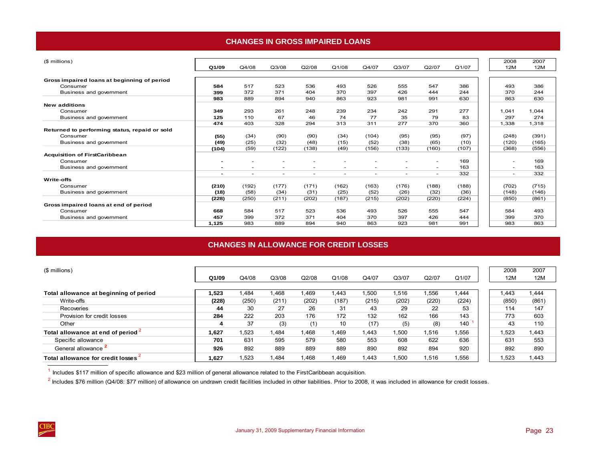## **CHANGES IN GROSS IMPAIRED LOANS**

<span id="page-26-0"></span>

| (\$ millions)                                 |                          |                          |                          |                          |                          |                          |                          |                          |       | 2008       | 2007                            |
|-----------------------------------------------|--------------------------|--------------------------|--------------------------|--------------------------|--------------------------|--------------------------|--------------------------|--------------------------|-------|------------|---------------------------------|
|                                               | Q1/09                    | Q4/08                    | Q3/08                    | Q2/08                    | Q1/08                    | Q4/07                    | Q3/07                    | Q2/07                    | Q1/07 | <b>12M</b> | 12M                             |
|                                               |                          |                          |                          |                          |                          |                          |                          |                          |       |            |                                 |
| Gross impaired loans at beginning of period   |                          |                          |                          |                          |                          |                          |                          |                          |       |            |                                 |
| Consumer                                      | 584                      | 517                      | 523                      | 536                      | 493                      | 526                      | 555                      | 547                      | 386   | 493        | 386                             |
| Business and government                       | 399                      | 372                      | 371                      | 404                      | 370                      | 397                      | 426                      | 444                      | 244   | 370        | 244                             |
|                                               | 983                      | 889                      | 894                      | 940                      | 863                      | 923                      | 981                      | 991                      | 630   | 863        | 630                             |
| <b>New additions</b>                          |                          |                          |                          |                          |                          |                          |                          |                          |       |            |                                 |
| Consumer                                      | 349                      | 293                      | 261                      | 248                      | 239                      | 234                      | 242                      | 291                      | 277   | 1,041      | 1,044                           |
| Business and government                       | 125                      | 110                      | 67                       | 46                       | 74                       | 77                       | 35                       | 79                       | 83    | 297        | 274                             |
|                                               | 474                      | 403                      | 328                      | 294                      | 313                      | 311                      | 277                      | 370                      | 360   | 1,338      | 1,318                           |
| Returned to performing status, repaid or sold |                          |                          |                          |                          |                          |                          |                          |                          |       |            |                                 |
| Consumer                                      | (55)                     | (34)                     | (90)                     | (90)                     | (34)                     | (104)                    | (95)                     | (95)                     | (97)  | (248)      | (391)                           |
| Business and government                       | (49)                     | (25)                     | (32)                     | (48)                     | (15)                     | (52)                     | (38)                     | (65)                     | (10)  | (120)      | (165)                           |
|                                               | (104)                    | (59)                     | (122)                    | (138)                    | (49)                     | (156)                    | (133)                    | (160)                    | (107) | (368)      | (556)                           |
| <b>Acquisition of FirstCaribbean</b>          |                          |                          |                          |                          |                          |                          |                          |                          |       |            |                                 |
| Consumer                                      |                          | $\overline{\phantom{a}}$ |                          | ٠                        |                          | ٠                        |                          | $\overline{\phantom{a}}$ | 169   |            | 169<br>$\overline{\phantom{a}}$ |
| Business and government                       | $\overline{\phantom{a}}$ | $\overline{\phantom{a}}$ | $\overline{\phantom{a}}$ | $\overline{\phantom{a}}$ | $\overline{\phantom{a}}$ | $\overline{\phantom{a}}$ | $\overline{\phantom{a}}$ | $\overline{\phantom{a}}$ | 163   |            | 163<br>$\overline{\phantom{a}}$ |
|                                               | $\overline{\phantom{a}}$ | $\overline{\phantom{a}}$ | $\overline{\phantom{a}}$ | ٠                        | ٠                        | ٠                        | $\overline{\phantom{a}}$ | $\overline{a}$           | 332   |            | 332<br>$\overline{\phantom{a}}$ |
| Write-offs                                    |                          |                          |                          |                          |                          |                          |                          |                          |       |            |                                 |
| Consumer                                      | (210)                    | (192)                    | (177)                    | (171)                    | (162)                    | (163)                    | (176)                    | (188)                    | (188) | (702)      | (715)                           |
| Business and government                       | (18)                     | (58)                     | (34)                     | (31)                     | (25)                     | (52)                     | (26)                     | (32)                     | (36)  | (148)      | (146)                           |
|                                               | (228)                    | (250)                    | (211)                    | (202)                    | (187)                    | (215)                    | (202)                    | (220)                    | (224) | (850)      | (861)                           |
| Gross impaired loans at end of period         |                          |                          |                          |                          |                          |                          |                          |                          |       |            |                                 |
| Consumer                                      | 668                      | 584                      | 517                      | 523                      | 536                      | 493                      | 526                      | 555                      | 547   | 584        | 493                             |
| Business and government                       | 457                      | 399                      | 372                      | 371                      | 404                      | 370                      | 397                      | 426                      | 444   | 399        | 370                             |
|                                               | 1.125                    | 983                      | 889                      | 894                      | 940                      | 863                      | 923                      | 981                      | 991   | 983        | 863                             |
|                                               |                          |                          |                          |                          |                          |                          |                          |                          |       |            |                                 |

# **CHANGES IN ALLOWANCE FOR CREDIT LOSSES**

| (\$ millions)                          |       |       |       |       |       |       |                    |       |       | 2008  | 2007  |
|----------------------------------------|-------|-------|-------|-------|-------|-------|--------------------|-------|-------|-------|-------|
|                                        | Q1/09 | Q4/08 | Q3/08 | Q2/08 | Q1/08 | Q4/07 | Q <sub>3</sub> /07 | Q2/07 | Q1/07 | 12M   | 12M   |
| Total allowance at beginning of period | 1,523 | 1,484 | 1,468 | 1,469 | 1.443 | 1,500 | .516               | 1,556 | 1,444 | 1,443 | 1,444 |
| Write-offs                             | (228) | (250) | (211) | (202) | (187) | (215) | (202)              | (220) | (224) | (850) | (861) |
| Recoveries                             | 44    | 30    | 27    | 26    | 31    | 43    | 29                 | 22    | 53    | 114   | 147   |
| Provision for credit losses            | 284   | 222   | 203   | 176   | 172   | 132   | 162                | 166   | 143   | 773   | 603   |
| Other                                  | 4     | 37    | (3)   | (1)   | 10    | (17)  | (5)                | (8)   | 140   | 43    | 110   |
| Total allowance at end of period       | 1.627 | 1.523 | 1.484 | 1.468 | 1.469 | 1,443 | 1,500              | 1.516 | 1,556 | 1.523 | 443.۱ |
| Specific allowance                     | 701   | 631   | 595   | 579   | 580   | 553   | 608                | 622   | 636   | 631   | 553   |
| General allowance <sup>2</sup>         | 926   | 892   | 889   | 889   | 889   | 890   | 892                | 894   | 920   | 892   | 890   |
| Total allowance for credit losses      | .,627 | 1,523 | .484، | 1,468 | 1,469 | 1,443 | .500               | 1,516 | 1,556 | .523  | 1,443 |

 $1$  Includes \$117 million of specific allowance and \$23 million of general allowance related to the FirstCaribbean acquisition.

 $^2$  Includes \$76 million (Q4/08: \$77 million) of allowance on undrawn credit facilities included in other liabilities. Prior to 2008, it was included in allowance for credit losses.

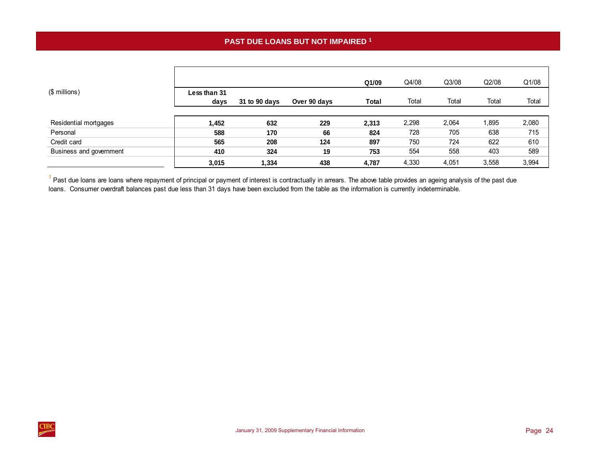<span id="page-27-0"></span>

|                         |                      |               |              | Q1/09 | Q4/08 | Q3/08 | Q2/08 | Q1/08 |
|-------------------------|----------------------|---------------|--------------|-------|-------|-------|-------|-------|
| (\$ millions)           | Less than 31<br>days | 31 to 90 days | Over 90 days | Total | Total | Total | Total | Total |
| Residential mortgages   | 1,452                | 632           | 229          | 2,313 | 2,298 | 2,064 | 1,895 | 2,080 |
| Personal                | 588                  | 170           | 66           | 824   | 728   | 705   | 638   | 715   |
| Credit card             | 565                  | 208           | 124          | 897   | 750   | 724   | 622   | 610   |
| Business and government | 410                  | 324           | 19           | 753   | 554   | 558   | 403   | 589   |
|                         | 3,015                | 1,334         | 438          | 4,787 | 4,330 | 4,051 | 3,558 | 3,994 |

 $<sup>1</sup>$  Past due loans are loans where repayment of principal or payment of interest is contractually in arrears. The above table provides an ageing analysis of the past due</sup> loans. Consumer overdraft balances past due less than 31 days have been excluded from the table as the information is currently indeterminable.

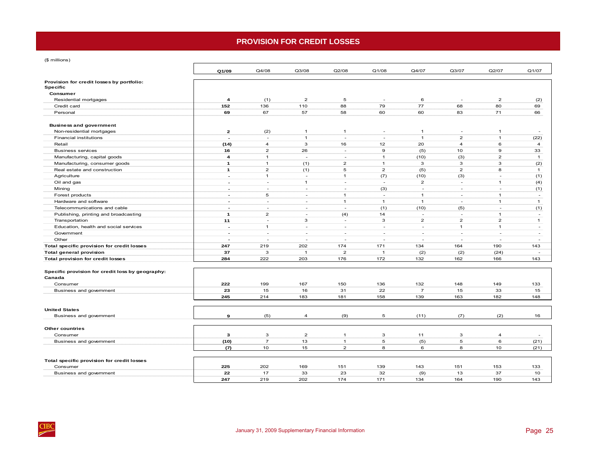# **PROVISION FOR CREDIT LOSSES**

<span id="page-28-0"></span>(\$ millions)

|                                                              | Q1/09                    | Q4/08          | Q3/08          | Q2/08          | Q1/08                    | Q4/07          | Q3/07                     | Q2/07                    | Q1/07           |
|--------------------------------------------------------------|--------------------------|----------------|----------------|----------------|--------------------------|----------------|---------------------------|--------------------------|-----------------|
| Provision for credit losses by portfolio:<br><b>Specific</b> |                          |                |                |                |                          |                |                           |                          |                 |
| Consumer                                                     |                          |                |                |                |                          |                |                           |                          |                 |
| Residential mortgages                                        | $\overline{\mathbf{4}}$  | (1)            | $\overline{2}$ | 5              | $\sim$                   | 6              | $\overline{\phantom{a}}$  | $\overline{2}$           | (2)             |
| Credit card                                                  | 152                      | 136            | 110            | 88             | 79                       | 77             | 68                        | 80                       | 69              |
| Personal                                                     | 69                       | 67             | 57             | 58             | 60                       | 60             | 83                        | 71                       | 66              |
| <b>Business and government</b>                               |                          |                |                |                |                          |                |                           |                          |                 |
| Non-residential mortgages                                    | $\overline{2}$           | (2)            | $\overline{1}$ | $\overline{1}$ | $\sim$                   | $\mathbf{1}$   | $\sim$                    | $\overline{1}$           |                 |
| <b>Financial institutions</b>                                | $\overline{\phantom{a}}$ | $\sim$         | $\overline{1}$ | $\sim$         | $\overline{\phantom{a}}$ | $\mathbf{1}$   | $\overline{2}$            | $\mathbf{1}$             | (22)            |
| Retail                                                       | (14)                     | $\overline{4}$ | 3              | 16             | 12                       | 20             | $\overline{4}$            | 6                        | $\overline{a}$  |
| <b>Business services</b>                                     | 16                       | $\overline{2}$ | 26             | $\sim$         | 9                        | (5)            | 10                        | 9                        | 33              |
| Manufacturing, capital goods                                 | $\overline{\mathbf{4}}$  | $\mathbf{1}$   | $\sim$         | $\sim$         | $\mathbf{1}$             | (10)           | (3)                       | $\overline{2}$           | $\mathbf{1}$    |
| Manufacturing, consumer goods                                | $\mathbf{1}$             | $\mathbf{1}$   | (1)            | $\overline{2}$ | $\mathbf{1}$             | 3              | 3                         | 3                        | (2)             |
| Real estate and construction                                 | $\mathbf{1}$             | $\overline{2}$ | (1)            | 5              | $\overline{2}$           | (5)            | $\overline{2}$            | 8                        | $\mathbf{1}$    |
| Agriculture                                                  | $\blacksquare$           | $\mathbf{1}$   | $\sim$         | $\mathbf{1}$   | (7)                      | (10)           | (3)                       | $\overline{a}$           | (1)             |
| Oil and gas                                                  | $\sim$                   | $\sim$         | $\mathbf{1}$   | $\sim$         | $\sim$                   | $\overline{2}$ | $\overline{a}$            | $\mathbf{1}$             | (4)             |
| Mining                                                       | $\blacksquare$           | $\sim$         | $\sim$         | $\sim$         | (3)                      | $\sim$         | $\overline{a}$            | $\overline{\phantom{a}}$ | (1)             |
| Forest products                                              | $\sim$                   | 5              | $\sim$         | $\overline{1}$ | $\sim$                   | $\mathbf{1}$   | $\overline{a}$            | $\mathbf{1}$             | $\sim$          |
| Hardware and software                                        | $\blacksquare$           | $\sim$         | $\sim$         | $\overline{1}$ | $\mathbf{1}$             | $\mathbf{1}$   | $\overline{a}$            | $\mathbf{1}$             | $\mathbf{1}$    |
| Telecommunications and cable                                 | $\blacksquare$           | $\sim$         | $\sim$         | $\sim$         | (1)                      | (10)           | (5)                       | $\sim$                   | (1)             |
| Publishing, printing and broadcasting                        | $\mathbf{1}$             | $\overline{2}$ | $\sim$         | (4)            | 14                       | $\sim$         | $\sim$                    | $\mathbf{1}$             | $\sim$          |
| Transportation                                               | 11                       | $\sim$         | 3              | $\sim$         | 3                        | $\overline{2}$ | $\overline{2}$            | $\overline{2}$           | $\mathbf{1}$    |
| Education, health and social services                        | $\blacksquare$           | $\mathbf{1}$   | $\sim$         | $\sim$         | $\sim$                   | $\sim$         | $\mathbf{1}$              | $\mathbf{1}$             | $\sim$          |
| Government                                                   | $\sim$                   | $\sim$         | $\sim$         | $\sim$         | $\sim$                   | $\sim$         | $\sim$                    | $\sim$                   | $\sim$          |
| Other                                                        | $\blacksquare$           | $\sim$         | $\sim$         | $\sim$         | $\sim$                   | $\sim$         | $\overline{a}$            | $\sim$                   | $\sim$          |
| Total specific provision for credit losses                   | 247                      | 219            | 202            | 174            | 171                      | 134            | 164                       | 190                      | 143             |
| Total general provision                                      | 37                       | 3              | $\mathbf{1}$   | $\overline{2}$ | $\overline{1}$           | (2)            | (2)                       | (24)                     | $\sim$          |
| <b>Total provision for credit losses</b>                     | 284                      | 222            | 203            | 176            | 172                      | 132            | 162                       | 166                      | 143             |
| Specific provision for credit loss by geography:<br>Canada   |                          |                |                |                |                          |                |                           |                          |                 |
| Consumer                                                     | 222                      | 199            | 167            | 150            | 136                      | 132            | 148                       | 149                      | 133             |
| Business and government                                      | 23                       | 15             | 16             | 31             | 22                       | $\overline{7}$ | 15                        | 33                       | 15              |
|                                                              | 245                      | 214            | 183            | 181            | 158                      | 139            | 163                       | 182                      | 148             |
| <b>United States</b>                                         |                          |                |                |                |                          |                |                           |                          |                 |
| Business and government                                      | 9                        | (5)            | 4              | (9)            | 5                        | (11)           | (7)                       | (2)                      | 16              |
| Other countries                                              |                          |                |                |                |                          |                |                           |                          |                 |
| Consumer                                                     | 3                        | $\mathsf 3$    | $\overline{2}$ | $\mathbf{1}$   | $\mathbf 3$              | 11             | $\ensuremath{\mathsf{3}}$ | $\overline{a}$           | $\sim$          |
| Business and government                                      | (10)                     | $\overline{7}$ | 13             | $\mathbf{1}$   | 5                        | (5)            | 5                         | 6                        | (21)            |
|                                                              | (7)                      | 10             | 15             | $\overline{2}$ | 8                        | 6              | 8                         | 10                       | (21)            |
|                                                              |                          |                |                |                |                          |                |                           |                          |                 |
| Total specific provision for credit losses                   |                          |                |                |                |                          |                |                           |                          |                 |
| Consumer                                                     | 225                      | 202            | 169            | 151            | 139                      | 143            | 151                       | 153                      | 133             |
| Business and government                                      | 22                       | 17             | 33             | 23             | 32                       | (9)            | 13                        | 37                       | 10 <sup>°</sup> |
|                                                              | 247                      | 219            | 202            | 174            | 171                      | 134            | 164                       | 190                      | 143             |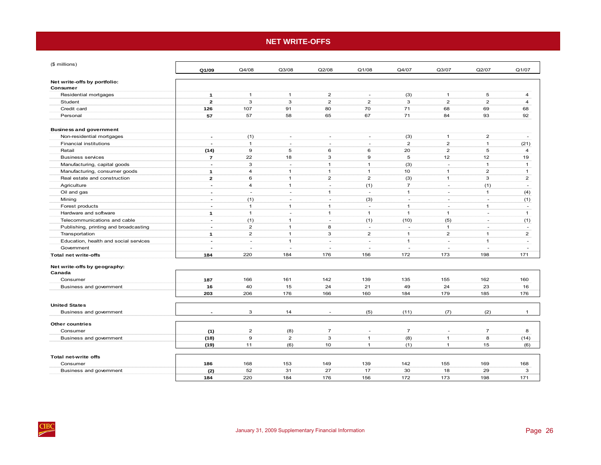# **NET WRITE-OFFS**

<span id="page-29-0"></span>

| (\$ millions)                            | Q1/09                    | Q4/08                    | Q3/08          | Q2/08                    | Q1/08                    | Q4/07                    | Q3/07                    | Q2/07                    | Q1/07                    |
|------------------------------------------|--------------------------|--------------------------|----------------|--------------------------|--------------------------|--------------------------|--------------------------|--------------------------|--------------------------|
|                                          |                          |                          |                |                          |                          |                          |                          |                          |                          |
| Net write-offs by portfolio:<br>Consumer |                          |                          |                |                          |                          |                          |                          |                          |                          |
| Residential mortgages                    | $\mathbf{1}$             | $\mathbf{1}$             | $\mathbf{1}$   | $\mathbf 2$              | $\overline{\phantom{a}}$ | (3)                      | $\mathbf{1}$             | 5                        | $\overline{4}$           |
| Student                                  | $\overline{2}$           | 3                        | 3              | $\overline{2}$           | $\overline{2}$           | 3                        | $\overline{2}$           | $\overline{2}$           | $\overline{4}$           |
| Credit card                              | 126                      | 107                      | 91             | 80                       | 70                       | 71                       | 68                       | 69                       | 68                       |
| Personal                                 | 57                       | 57                       | 58             | 65                       | 67                       | 71                       | 84                       | 93                       | 92                       |
|                                          |                          |                          |                |                          |                          |                          |                          |                          |                          |
| <b>Business and government</b>           |                          |                          |                |                          |                          |                          |                          |                          |                          |
| Non-residential mortgages                | $\overline{a}$           | (1)                      | $\sim$         | $\overline{\phantom{a}}$ | $\overline{\phantom{a}}$ | (3)                      | $\mathbf{1}$             | $\overline{c}$           | $\sim$                   |
| <b>Financial institutions</b>            | $\overline{\phantom{a}}$ | $\mathbf{1}$             | ÷.             | $\sim$                   | ÷,                       | $\overline{2}$           | $\overline{2}$           | $\mathbf{1}$             | (21)                     |
| Retail                                   | (14)                     | $\mathbf 9$              | 5              | 6                        | 6                        | 20                       | $\overline{2}$           | 5                        | 4                        |
| <b>Business services</b>                 | $\overline{7}$           | 22                       | 18             | 3                        | $\mathbf 9$              | 5                        | 12                       | 12                       | 19                       |
| Manufacturing, capital goods             | $\blacksquare$           | 3                        | ÷.             | $\mathbf{1}$             | $\mathbf{1}$             | (3)                      | $\overline{\phantom{a}}$ | $\mathbf{1}$             | $\mathbf{1}$             |
| Manufacturing, consumer goods            | 1                        | $\overline{4}$           | $\mathbf{1}$   | $\mathbf{1}$             | $\mathbf{1}$             | 10                       | $\mathbf{1}$             | $\overline{2}$           | $\mathbf{1}$             |
| Real estate and construction             | $\mathbf{2}$             | 6                        | $\mathbf{1}$   | $\overline{2}$           | $\overline{2}$           | (3)                      | $\mathbf{1}$             | 3                        | $\overline{2}$           |
| Agriculture                              | $\overline{\phantom{a}}$ | $\overline{4}$           | $\mathbf{1}$   | $\sim$                   | (1)                      | $\overline{7}$           | ÷                        | (1)                      | ÷.                       |
| Oil and gas                              | $\overline{\phantom{a}}$ | $\overline{\phantom{a}}$ | $\sim$         | $\mathbf{1}$             | $\sim$                   | $\mathbf{1}$             | ٠                        | $\mathbf{1}$             | (4)                      |
| Mining                                   | $\overline{\phantom{a}}$ | (1)                      | ÷.             | $\sim$                   | (3)                      | $\overline{\phantom{a}}$ | ٠                        | $\overline{\phantom{a}}$ | (1)                      |
| Forest products                          | $\overline{\phantom{a}}$ | $\mathbf{1}$             | $\mathbf{1}$   | $\mathbf{1}$             | $\overline{\phantom{a}}$ | $\mathbf{1}$             | $\overline{\phantom{a}}$ | $\mathbf{1}$             | $\overline{\phantom{a}}$ |
| Hardware and software                    | $\mathbf{1}$             | $\mathbf{1}$             | ÷.             | $\mathbf{1}$             | $\mathbf{1}$             | $\mathbf{1}$             | $\mathbf{1}$             | $\overline{\phantom{a}}$ | $\mathbf{1}$             |
| Telecommunications and cable             | $\overline{\phantom{a}}$ | (1)                      | $\mathbf{1}$   | $\sim$                   | (1)                      | (10)                     | (5)                      | $\overline{\phantom{a}}$ | (1)                      |
| Publishing, printing and broadcasting    | $\overline{\phantom{a}}$ | $\overline{2}$           | $\mathbf{1}$   | 8                        | $\sim$                   | $\sim$                   | $\mathbf{1}$             | $\overline{\phantom{a}}$ | $\sim$                   |
| Transportation                           | 1                        | $\overline{2}$           | $\mathbf{1}$   | 3                        | $\overline{2}$           | $\mathbf{1}$             | $\overline{2}$           | $\mathbf{1}$             | $\overline{2}$           |
| Education, health and social services    | $\overline{\phantom{a}}$ | $\sim$                   | $\mathbf{1}$   | ä,                       | ÷,                       | $\mathbf{1}$             | ÷,                       | $\mathbf{1}$             | $\overline{\phantom{a}}$ |
| Government                               | $\overline{a}$           | $\sim$                   | $\sim$         | ä,                       | $\overline{\phantom{a}}$ | ÷,                       | ÷,                       | ÷,                       | ÷.                       |
| <b>Total net write-offs</b>              | 184                      | 220                      | 184            | 176                      | 156                      | 172                      | 173                      | 198                      | 171                      |
| Net write-offs by geography:             |                          |                          |                |                          |                          |                          |                          |                          |                          |
| Canada                                   |                          |                          |                |                          |                          |                          |                          |                          |                          |
| Consumer                                 | 187                      | 166                      | 161            | 142                      | 139                      | 135                      | 155                      | 162                      | 160                      |
| Business and government                  | 16                       | 40                       | 15             | 24                       | 21                       | 49                       | 24                       | 23                       | 16                       |
|                                          | 203                      | 206                      | 176            | 166                      | 160                      | 184                      | 179                      | 185                      | 176                      |
| <b>United States</b>                     |                          |                          |                |                          |                          |                          |                          |                          |                          |
| Business and government                  |                          | 3                        | 14             |                          | (5)                      | (11)                     | (7)                      | (2)                      | $\mathbf{1}$             |
| <b>Other countries</b>                   |                          |                          |                |                          |                          |                          |                          |                          |                          |
| Consumer                                 | (1)                      | $\overline{c}$           | (8)            | $\overline{7}$           | $\overline{\phantom{a}}$ | $\overline{7}$           | $\overline{\phantom{a}}$ | $\overline{7}$           | 8                        |
| Business and government                  | (18)                     | 9                        | $\overline{2}$ | 3                        | $\mathbf{1}$             | (8)                      | $\mathbf{1}$             | 8                        | (14)                     |
|                                          | (19)                     | 11                       | (6)            | 10                       | $\mathbf{1}$             | (1)                      | $\mathbf{1}$             | 15                       | (6)                      |
|                                          |                          |                          |                |                          |                          |                          |                          |                          |                          |
| <b>Total net-write offs</b>              |                          |                          |                |                          |                          |                          |                          |                          |                          |
| Consumer<br>Business and government      | 186<br>(2)               | 168<br>52                | 153<br>31      | 149<br>27                | 139<br>17                | 142<br>30                | 155<br>18                | 169<br>29                | 168<br>3                 |
|                                          | 184                      | 220                      | 184            | 176                      | 156                      | 172                      | 173                      | 198                      | 171                      |
|                                          |                          |                          |                |                          |                          |                          |                          |                          |                          |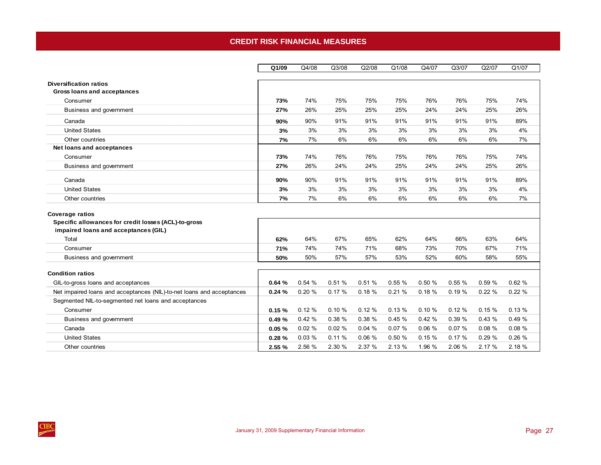# **CREDIT RISK FINANCIAL MEASURES**

<span id="page-30-0"></span>

|                                                                                                                        | Q1/09  | Q4/08  | Q3/08  | Q2/08  | Q1/08  | Q4/07  | Q3/07  | Q2/07  | Q1/07  |
|------------------------------------------------------------------------------------------------------------------------|--------|--------|--------|--------|--------|--------|--------|--------|--------|
|                                                                                                                        |        |        |        |        |        |        |        |        |        |
| <b>Diversification ratios</b>                                                                                          |        |        |        |        |        |        |        |        |        |
| <b>Gross loans and acceptances</b>                                                                                     |        |        |        |        |        |        |        |        |        |
| Consumer                                                                                                               | 73%    | 74%    | 75%    | 75%    | 75%    | 76%    | 76%    | 75%    | 74%    |
| Business and government                                                                                                | 27%    | 26%    | 25%    | 25%    | 25%    | 24%    | 24%    | 25%    | 26%    |
| Canada                                                                                                                 | 90%    | 90%    | 91%    | 91%    | 91%    | 91%    | 91%    | 91%    | 89%    |
| <b>United States</b>                                                                                                   | 3%     | 3%     | 3%     | 3%     | 3%     | 3%     | 3%     | 3%     | 4%     |
| Other countries                                                                                                        | 7%     | 7%     | 6%     | 6%     | 6%     | 6%     | 6%     | 6%     | 7%     |
| Net loans and acceptances                                                                                              |        |        |        |        |        |        |        |        |        |
| Consumer                                                                                                               | 73%    | 74%    | 76%    | 76%    | 75%    | 76%    | 76%    | 75%    | 74%    |
| Business and government                                                                                                | 27%    | 26%    | 24%    | 24%    | 25%    | 24%    | 24%    | 25%    | 26%    |
| Canada                                                                                                                 | 90%    | 90%    | 91%    | 91%    | 91%    | 91%    | 91%    | 91%    | 89%    |
| <b>United States</b>                                                                                                   | 3%     | 3%     | 3%     | 3%     | 3%     | 3%     | 3%     | 3%     | 4%     |
| Other countries                                                                                                        | 7%     | 7%     | 6%     | 6%     | 6%     | 6%     | 6%     | 6%     | 7%     |
| <b>Coverage ratios</b><br>Specific allowances for credit losses (ACL)-to-gross<br>impaired loans and acceptances (GIL) |        |        |        |        |        |        |        |        |        |
| Total                                                                                                                  | 62%    | 64%    | 67%    | 65%    | 62%    | 64%    | 66%    | 63%    | 64%    |
| Consumer                                                                                                               | 71%    | 74%    | 74%    | 71%    | 68%    | 73%    | 70%    | 67%    | 71%    |
| Business and government                                                                                                | 50%    | 50%    | 57%    | 57%    | 53%    | 52%    | 60%    | 58%    | 55%    |
| <b>Condition ratios</b>                                                                                                |        |        |        |        |        |        |        |        |        |
| GIL-to-gross loans and acceptances                                                                                     | 0.64%  | 0.54%  | 0.51%  | 0.51%  | 0.55%  | 0.50%  | 0.55%  | 0.59 % | 0.62%  |
| Net impaired loans and acceptances (NIL)-to-net loans and acceptances                                                  | 0.24%  | 0.20%  | 0.17%  | 0.18%  | 0.21%  | 0.18%  | 0.19%  | 0.22%  | 0.22%  |
| Segmented NIL-to-segmented net loans and acceptances                                                                   |        |        |        |        |        |        |        |        |        |
| Consumer                                                                                                               | 0.15%  | 0.12%  | 0.10%  | 0.12%  | 0.13%  | 0.10%  | 0.12%  | 0.15%  | 0.13%  |
| Business and government                                                                                                | 0.49%  | 0.42%  | 0.38%  | 0.38%  | 0.45%  | 0.42%  | 0.39 % | 0.43%  | 0.49 % |
| Canada                                                                                                                 | 0.05%  | 0.02%  | 0.02%  | 0.04%  | 0.07%  | 0.06%  | 0.07%  | 0.08%  | 0.08%  |
| <b>United States</b>                                                                                                   | 0.28%  | 0.03%  | 0.11%  | 0.06%  | 0.50%  | 0.15%  | 0.17%  | 0.29%  | 0.26%  |
| Other countries                                                                                                        | 2.55 % | 2.56 % | 2.30 % | 2.37 % | 2.13 % | 1.96 % | 2.06 % | 2.17 % | 2.18 % |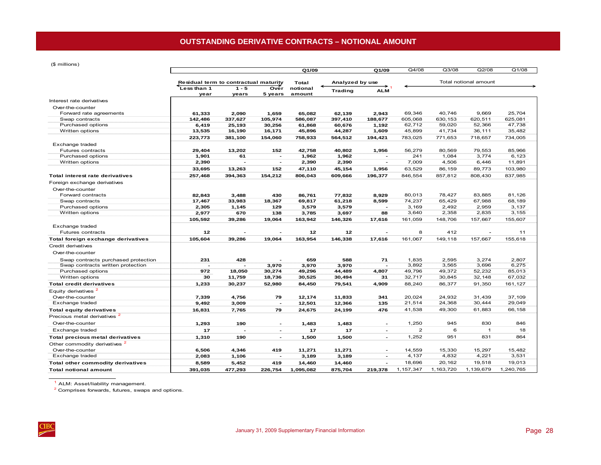<span id="page-31-0"></span>(\$ millions)

|                                          |                                       |                          |                          | Q1/09             |                   | Q1/09                    | Q4/08             | Q3/08             | Q2/08                 | Q1/08             |  |
|------------------------------------------|---------------------------------------|--------------------------|--------------------------|-------------------|-------------------|--------------------------|-------------------|-------------------|-----------------------|-------------------|--|
|                                          |                                       |                          |                          |                   |                   |                          |                   |                   |                       |                   |  |
|                                          | Residual term to contractual maturity |                          |                          | Total             | Analyzed by use   |                          |                   |                   | Total notional amount |                   |  |
|                                          | Less than 1                           | $1 - 5$                  | Ovér                     | notional          | Trading           | <b>ALM</b>               |                   |                   |                       |                   |  |
|                                          | year                                  | years                    | 5 years                  | amount            |                   |                          |                   |                   |                       |                   |  |
| Interest rate derivatives                |                                       |                          |                          |                   |                   |                          |                   |                   |                       |                   |  |
| Over-the-counter                         |                                       |                          |                          |                   |                   |                          |                   |                   |                       |                   |  |
| Forward rate agreements                  | 61,333                                | 2,090                    | 1,659                    | 65.082            | 62,139            | 2,943                    | 69.346<br>605,068 | 40.746<br>630,153 | 9,669<br>620,511      | 25.704<br>625,081 |  |
| Swap contracts<br>Purchased options      | 142,486<br>6,419                      | 337,627<br>25,193        | 105,974<br>30,256        | 586,087<br>61,868 | 397,410<br>60,676 | 188,677<br>1,192         | 62,712            | 59,020            | 52,366                | 47,738            |  |
| Written options                          | 13,535                                | 16,190                   | 16,171                   | 45,896            | 44,287            | 1,609                    | 45,899            | 41,734            | 36,111                | 35,482            |  |
|                                          |                                       |                          |                          |                   |                   |                          | 783,025           | 771,653           | 718,657               | 734,005           |  |
|                                          | 223,773                               | 381,100                  | 154.060                  | 758.933           | 564.512           | 194,421                  |                   |                   |                       |                   |  |
| Exchange traded<br>Futures contracts     | 29,404                                | 13,202                   | 152                      | 42,758            | 40,802            | 1,956                    | 56,279            | 80,569            | 79,553                | 85,966            |  |
| Purchased options                        | 1,901                                 | 61                       | $\blacksquare$           | 1,962             | 1,962             | $\blacksquare$           | 241               | 1,084             | 3.774                 | 6.123             |  |
| Written options                          | 2,390                                 | $\overline{\phantom{a}}$ | $\overline{\phantom{a}}$ | 2,390             | 2,390             | $\overline{\phantom{a}}$ | 7,009             | 4,506             | 6,446                 | 11,891            |  |
|                                          | 33,695                                | 13,263                   | 152                      | 47,110            | 45,154            | 1,956                    | 63,529            | 86,159            | 89,773                | 103,980           |  |
|                                          |                                       |                          |                          |                   |                   |                          |                   |                   |                       |                   |  |
| <b>Total interest rate derivatives</b>   | 257,468                               | 394,363                  | 154,212                  | 806,043           | 609,666           | 196,377                  | 846,554           | 857,812           | 808,430               | 837,985           |  |
| Foreign exchange derivatives             |                                       |                          |                          |                   |                   |                          |                   |                   |                       |                   |  |
| Over-the-counter                         |                                       |                          |                          |                   |                   |                          |                   |                   |                       |                   |  |
| Forward contracts                        | 82.843                                | 3.488                    | 430                      | 86.761            | 77,832            | 8.929                    | 80.013            | 78.427            | 83.885                | 81.126            |  |
| Swap contracts                           | 17,467                                | 33,983                   | 18,367                   | 69,817            | 61,218            | 8,599                    | 74,237            | 65,429            | 67,988                | 68,189            |  |
| Purchased options                        | 2,305                                 | 1,145                    | 129                      | 3,579             | 3,579             | $\overline{\phantom{a}}$ | 3,169             | 2,492             | 2,959                 | 3,137             |  |
| Written options                          | 2,977                                 | 670                      | 138                      | 3,785             | 3,697             | 88                       | 3,640             | 2,358             | 2,835                 | 3,155             |  |
|                                          | 105,592                               | 39,286                   | 19,064                   | 163,942           | 146,326           | 17,616                   | 161,059           | 148,706           | 157,667               | 155,607           |  |
| Exchange traded                          |                                       |                          |                          |                   |                   |                          |                   |                   |                       |                   |  |
| <b>Futures contracts</b>                 | 12                                    |                          |                          | 12                | 12                |                          | 8                 | 412               |                       | 11                |  |
| Total foreign exchange derivatives       | 105,604                               | 39,286                   | 19,064                   | 163,954           | 146,338           | 17,616                   | 161,067           | 149,118           | 157,667               | 155,618           |  |
| Credit derivatives                       |                                       |                          |                          |                   |                   |                          |                   |                   |                       |                   |  |
| Over-the-counter                         |                                       |                          |                          |                   |                   |                          |                   |                   |                       |                   |  |
| Swap contracts purchased protection      | 231                                   | 428                      |                          | 659               | 588               | 71                       | 1.835             | 2,595             | 3,274                 | 2.807             |  |
| Swap contracts written protection        |                                       |                          | 3,970                    | 3,970             | 3,970             | $\overline{a}$           | 3,892             | 3,565             | 3,696                 | 6,275             |  |
| Purchased options                        | 972                                   | 18,050                   | 30,274                   | 49,296            | 44,489            | 4,807                    | 49,796            | 49,372            | 52,232                | 85,013            |  |
| Written options                          | 30                                    | 11,759                   | 18,736                   | 30,525            | 30,494            | 31                       | 32,717            | 30,845            | 32,148                | 67,032            |  |
| <b>Total credit derivatives</b>          | 1,233                                 | 30,237                   | 52,980                   | 84,450            | 79,541            | 4,909                    | 88,240            | 86,377            | 91,350                | 161,127           |  |
| Equity derivatives <sup>2</sup>          |                                       |                          |                          |                   |                   |                          |                   |                   |                       |                   |  |
| Over-the-counter                         | 7,339                                 | 4,756                    | 79                       | 12,174            | 11,833            | 341                      | 20,024            | 24,932            | 31,439                | 37,109            |  |
| Exchange traded                          | 9,492                                 | 3,009                    | $\overline{\phantom{a}}$ | 12,501            | 12,366            | 135                      | 21,514            | 24,368            | 30,444                | 29,049            |  |
| <b>Total equity derivatives</b>          | 16,831                                | 7,765                    | 79                       | 24,675            | 24,199            | 476                      | 41,538            | 49,300            | 61,883                | 66,158            |  |
| Precious metal derivatives               |                                       |                          |                          |                   |                   |                          |                   |                   |                       |                   |  |
| Over-the-counter                         | 1,293                                 | 190                      | $\overline{\phantom{a}}$ | 1,483             | 1,483             | $\overline{\phantom{a}}$ | 1,250             | 945               | 830                   | 846               |  |
| Exchange traded                          | 17                                    | $\overline{\phantom{0}}$ | $\overline{\phantom{a}}$ | 17                | 17                | $\sim$                   | $\overline{2}$    | 6                 | $\mathbf{1}$          | 18                |  |
| Total precious metal derivatives         | 1,310                                 | 190                      | $\blacksquare$           | 1,500             | 1,500             | $\blacksquare$           | 1,252             | 951               | 831                   | 864               |  |
| Other commodity derivatives <sup>2</sup> |                                       |                          |                          |                   |                   |                          |                   |                   |                       |                   |  |
| Over-the-counter                         | 6,506                                 | 4.346                    | 419                      | 11.271            | 11,271            | $\overline{\phantom{a}}$ | 14.559            | 15.330            | 15.297                | 15.482            |  |
| Exchange traded                          | 2,083                                 | 1,106                    | $\overline{\phantom{a}}$ | 3,189             | 3,189             | $\blacksquare$           | 4,137             | 4,832             | 4,221                 | 3,531             |  |
| Total other commodity derivatives        | 8,589                                 | 5,452                    | 419                      | 14,460            | 14,460            | $\overline{a}$           | 18,696            | 20,162            | 19,518                | 19,013            |  |
| <b>Total notional amount</b>             | 391,035                               | 477.293                  | 226,754                  | 1,095,082         | 875,704           | 219,378                  | 1,157,347         | 1,163,720         | 1,139,679             | 1,240,765         |  |
|                                          |                                       |                          |                          |                   |                   |                          |                   |                   |                       |                   |  |

1 ALM: Asset/liability management.

2 Comprises forwards, futures, swaps and options.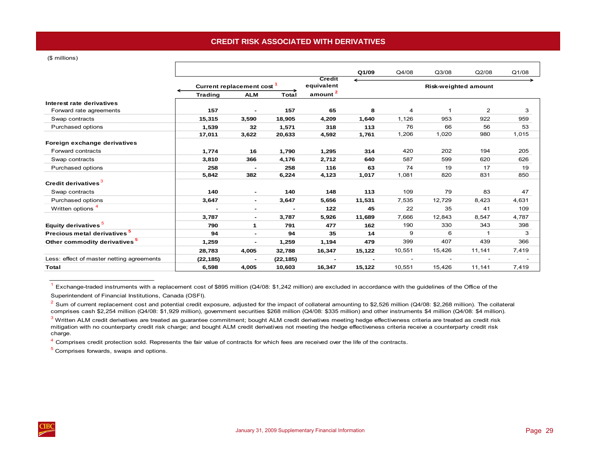# **CREDIT RISK ASSOCIATED WITH DERIVATIVES**

<span id="page-32-0"></span>(\$ millions)

|                                           |                |                          |           |                             | Q1/09  | Q4/08  | Q3/08                       | Q2/08          | Q1/08 |
|-------------------------------------------|----------------|--------------------------|-----------|-----------------------------|--------|--------|-----------------------------|----------------|-------|
|                                           |                | Current replacement cost |           | <b>Credit</b><br>equivalent |        |        | <b>Risk-weighted amount</b> |                |       |
|                                           | <b>Trading</b> | <b>ALM</b>               | Total     | $\frac{amount^2}{2}$        |        |        |                             |                |       |
| Interest rate derivatives                 |                |                          |           |                             |        |        |                             |                |       |
| Forward rate agreements                   | 157            | $\overline{\phantom{0}}$ | 157       | 65                          | 8      | 4      | 1                           | $\overline{2}$ | 3     |
| Swap contracts                            | 15,315         | 3,590                    | 18,905    | 4,209                       | 1,640  | 1,126  | 953                         | 922            | 959   |
| Purchased options                         | 1,539          | 32                       | 1,571     | 318                         | 113    | 76     | 66                          | 56             | 53    |
|                                           | 17,011         | 3,622                    | 20,633    | 4,592                       | 1,761  | 1,206  | 1,020                       | 980            | 1,015 |
| Foreign exchange derivatives              |                |                          |           |                             |        |        |                             |                |       |
| Forward contracts                         | 1,774          | 16                       | 1,790     | 1,295                       | 314    | 420    | 202                         | 194            | 205   |
| Swap contracts                            | 3,810          | 366                      | 4,176     | 2,712                       | 640    | 587    | 599                         | 620            | 626   |
| Purchased options                         | 258            |                          | 258       | 116                         | 63     | 74     | 19                          | 17             | 19    |
|                                           | 5,842          | 382                      | 6,224     | 4,123                       | 1,017  | 1,081  | 820                         | 831            | 850   |
| Credit derivatives <sup>3</sup>           |                |                          |           |                             |        |        |                             |                |       |
| Swap contracts                            | 140            |                          | 140       | 148                         | 113    | 109    | 79                          | 83             | 47    |
| Purchased options                         | 3,647          | $\overline{\phantom{0}}$ | 3,647     | 5,656                       | 11,531 | 7,535  | 12,729                      | 8,423          | 4,631 |
| Written options <sup>4</sup>              |                | $\overline{\phantom{0}}$ |           | 122                         | 45     | 22     | 35                          | 41             | 109   |
|                                           | 3,787          | $\overline{\phantom{0}}$ | 3,787     | 5,926                       | 11,689 | 7,666  | 12,843                      | 8,547          | 4,787 |
| Equity derivatives <sup>5</sup>           | 790            | 1.                       | 791       | 477                         | 162    | 190    | 330                         | 343            | 398   |
| Precious metal derivatives <sup>5</sup>   | 94             | $\overline{\phantom{0}}$ | 94        | 35                          | 14     | 9      | 6                           |                | 3     |
| Other commodity derivatives <sup>5</sup>  | 1,259          | $\overline{\phantom{0}}$ | 1,259     | 1,194                       | 479    | 399    | 407                         | 439            | 366   |
|                                           | 28,783         | 4,005                    | 32,788    | 16,347                      | 15,122 | 10,551 | 15,426                      | 11,141         | 7,419 |
| Less: effect of master netting agreements | (22, 185)      | -                        | (22, 185) |                             |        |        | $\overline{\phantom{a}}$    |                |       |
| <b>Total</b>                              | 6,598          | 4,005                    | 10,603    | 16,347                      | 15,122 | 10,551 | 15,426                      | 11,141         | 7,419 |

 Exchange-traded instruments with a replacement cost of \$895 million (Q4/08: \$1,242 million) are excluded in accordance with the guidelines of the Office of the Superintendent of Financial Institutions, Canada (OSFI).

<sup>2</sup> Sum of current replacement cost and potential credit exposure, adjusted for the impact of collateral amounting to \$2,526 million (Q4/08: \$2,268 million). The collateral comprises cash \$2,254 million (Q4/08: \$1,929 million), government securities \$268 million (Q4/08: \$335 million) and other instruments \$4 million (Q4/08: \$4 million).

 $3$  Written ALM credit derivatives are treated as quarantee commitment; bought ALM credit derivatives meeting hedge effectiveness criteria are treated as credit risk mitigation with no counterparty credit risk charge; and bought ALM credit derivatives not meeting the hedge effectiveness criteria receive a counterparty credit risk charge.

<sup>4</sup> Comprises credit protection sold. Represents the fair value of contracts for which fees are received over the life of the contracts.

5 Comprises forwards, swaps and options.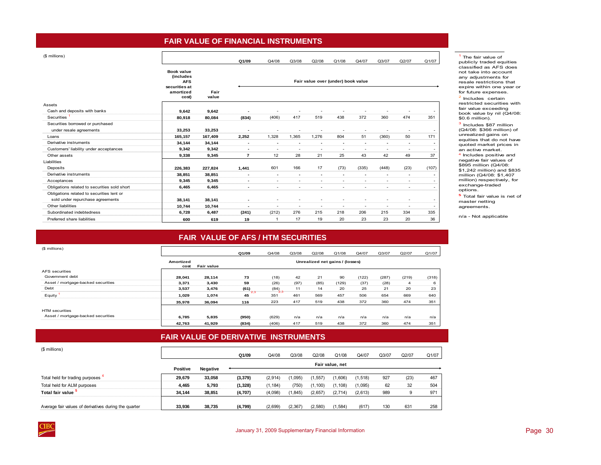## **FAIR VALUE OF FINANCIAL INSTRUMENTS**

<span id="page-33-0"></span>

|  | (\$ millions) |  |
|--|---------------|--|
|--|---------------|--|

|                                              |                                                        |               | Q1/09                    | Q4/08                    | Q3/08                    | Q2/08                              | Q1/08                    | Q4/07                    | Q3/07                    | Q2/07                    | Q1/07                    |
|----------------------------------------------|--------------------------------------------------------|---------------|--------------------------|--------------------------|--------------------------|------------------------------------|--------------------------|--------------------------|--------------------------|--------------------------|--------------------------|
|                                              | Book value<br>(includes<br><b>AFS</b><br>securities at |               |                          |                          |                          | Fair value over (under) book value |                          |                          |                          |                          |                          |
|                                              | amortized<br>cost)                                     | Fair<br>value |                          |                          |                          |                                    |                          |                          |                          |                          |                          |
| Assets                                       |                                                        |               |                          |                          |                          |                                    |                          |                          |                          |                          |                          |
| Cash and deposits with banks                 | 9,642                                                  | 9,642         |                          |                          |                          |                                    |                          |                          |                          |                          | ٠                        |
| Securities                                   | 80,918                                                 | 80,084        | (834)                    | (406)                    | 417                      | 519                                | 438                      | 372                      | 360                      | 474                      | 351                      |
| Securities borrowed or purchased             |                                                        |               |                          |                          |                          |                                    |                          |                          |                          |                          |                          |
| under resale agreements                      | 33,253                                                 | 33,253        | $\overline{\phantom{a}}$ | ۰                        | $\overline{\phantom{a}}$ | $\overline{\phantom{a}}$           | ٠                        | $\overline{\phantom{a}}$ | $\overline{\phantom{a}}$ | $\overline{\phantom{a}}$ | $\overline{\phantom{a}}$ |
| Loans                                        | 165,157                                                | 167,409       | 2,252                    | 1,328                    | 1,365                    | 1,276                              | 804                      | 51                       | (360)                    | 50                       | 171                      |
| Derivative instruments                       | 34,144                                                 | 34,144        | ۰                        | $\blacksquare$           | ٠                        | ٠                                  | ٠                        | $\overline{\phantom{a}}$ | $\overline{\phantom{a}}$ | ٠                        | $\overline{\phantom{a}}$ |
| Customers' liability under acceptances       | 9,342                                                  | 9,342         | ۰                        | $\overline{\phantom{a}}$ | $\overline{\phantom{a}}$ | $\sim$                             | $\sim$                   | $\overline{\phantom{a}}$ | $\sim$                   | $\sim$                   | -                        |
| Other assets                                 | 9,338                                                  | 9,345         | $\overline{7}$           | 12                       | 28                       | 21                                 | 25                       | 43                       | 42                       | 49                       | 37                       |
| Liabilities                                  |                                                        |               |                          |                          |                          |                                    |                          |                          |                          |                          |                          |
| Deposits                                     | 226,383                                                | 227,824       | 1,441                    | 601                      | 166                      | 17                                 | (73)                     | (335)                    | (448)                    | (23)                     | (107)                    |
| Derivative instruments                       | 38,851                                                 | 38,851        | $\overline{\phantom{a}}$ | $\blacksquare$           |                          | ۰                                  | ۰                        |                          | ٠                        | $\blacksquare$           | $\overline{\phantom{a}}$ |
| Acceptances                                  | 9.345                                                  | 9,345         | $\overline{\phantom{a}}$ | ۰                        |                          |                                    | ٠                        |                          | ٠                        | $\overline{\phantom{a}}$ | $\sim$                   |
| Obligations related to securities sold short | 6,465                                                  | 6,465         | ۰                        | ۰                        | $\overline{\phantom{a}}$ | $\overline{\phantom{a}}$           | $\overline{\phantom{a}}$ | $\overline{\phantom{a}}$ | $\overline{\phantom{a}}$ | $\overline{\phantom{a}}$ | ۰                        |
| Obligations related to securities lent or    |                                                        |               |                          |                          |                          |                                    |                          |                          |                          |                          |                          |
| sold under repurchase agreements             | 38,141                                                 | 38,141        | ۰                        | ۰                        |                          |                                    |                          |                          | ٠                        | ٠                        | -                        |
| Other liabilities                            | 10,744                                                 | 10,744        | $\overline{\phantom{a}}$ | $\overline{\phantom{a}}$ | $\overline{\phantom{a}}$ | $\overline{\phantom{a}}$           | $\sim$                   | $\overline{\phantom{a}}$ | $\overline{\phantom{a}}$ | $\overline{\phantom{a}}$ | -                        |
| Subordinated indebtedness                    | 6,728                                                  | 6,487         | (241)                    | (212)                    | 276                      | 215                                | 218                      | 206                      | 215                      | 334                      | 335                      |
| Preferred share liabilities                  | 600                                                    | 619           | 19                       | -1                       | 17                       | 19                                 | 20                       | 23                       | 23                       | 20                       | 36                       |

### <sup>1</sup> The fair value of publicly traded equities classified as AFS does not take into account any adjustments for resale restrictions that expire within one year or for future expenses.

<sup>2</sup> Includes certain restricted securities with fair value exceeding book value by nil (Q4/08: \$0.6 million).

3 Includes \$87 million (Q4/08: \$366 million) of unrealized gains on equities that do not have quoted market prices in an active market.

4 Includes positive and negative fair values of \$895 million (Q4/08: \$1,242 million) and \$835 million (Q4/08: \$1,407 million) respectively, for exchange-traded options.

**5** Total fair value is net of master netting agreements.

# **FAIR VALUE OF AFS / HTM SECURITIES**

| (\$ millions)                      |                   |                   | Q1/09     | Q4/08       | Q3/08 | Q2/08 | Q1/08                           | Q4/07 | Q3/07 | Q2/07 | Q1/07 |
|------------------------------------|-------------------|-------------------|-----------|-------------|-------|-------|---------------------------------|-------|-------|-------|-------|
|                                    | Amortized<br>cost | <b>Fair value</b> |           |             |       |       | Unrealized net gains / (losses) |       |       |       |       |
| AFS securities                     |                   |                   |           |             |       |       |                                 |       |       |       |       |
| Government debt                    | 28.041            | 28.114            | 73        | (18)        | 42    | 21    | 90                              | (122) | (287) | (219) | (318) |
| Asset / mortgage-backed securities | 3,371             | 3,430             | 59        | (26)        | (97)  | (85)  | (129)                           | (37)  | (28)  | 4     | 6     |
| Debt                               | 3,537             | 3,476             | (61)      | (84)<br>2.3 | 11    | 14    | 20                              | 25    | 21    | 20    | 23    |
| Equity                             | 1,029             | 1,074             | 2.3<br>45 | 351         | 461   | 569   | 457                             | 506   | 654   | 669   | 640   |
|                                    | 35.978            | 36.094            | 116       | 223         | 417   | 519   | 438                             | 372   | 360   | 474   | 351   |
| <b>HTM</b> securities              |                   |                   |           |             |       |       |                                 |       |       |       |       |
| Asset / mortgage-backed securities | 6,785             | 5,835             | (950)     | (629)       | n/a   | n/a   | n/a                             | n/a   | n/a   | n/a   | n/a   |
|                                    | 42.763            | 41.929            | (834)     | (406)       | 417   | 519   | 438                             | 372   | 360   | 474   | 351   |

# **FAIR VALUE OF DERIVATIVE INSTRUMENTS**

| (\$ millions)                                         |          |          | Q1/09    | Q4/08    | Q3/08    | Q2/08   | Q1/08           | Q4/07    | Q <sub>3</sub> /07 | Q2/07 | Q1/07 |
|-------------------------------------------------------|----------|----------|----------|----------|----------|---------|-----------------|----------|--------------------|-------|-------|
|                                                       | Positive | Negative |          |          |          |         | Fair value, net |          |                    |       |       |
| Total held for trading purposes                       | 29.679   | 33,058   | (3, 379) | (2,914)  | 1,095)   | 1,557   | (1,606)         | (1, 518) | 927                | (23)  | 467   |
| Total held for ALM purposes                           | 4,465    | 5,793    | (1, 328) | (1, 184) | (750)    | 1,100)  | (1, 108)        | (1,095)  | 62                 | 32    | 504   |
| Total fair value                                      | 34.144   | 38,851   | (4,707)  | (4,098)  | 1,845)   | (2,657) | (2,714)         | (2,613)  | 989                |       | 971   |
| Average fair values of derivatives during the quarter | 33.936   | 38,735   | (4,799)  | (2,699)  | (2, 367) | (2,580) | 1,584)          | (617)    | 130                | 631   | 258   |



n/a - Not applicable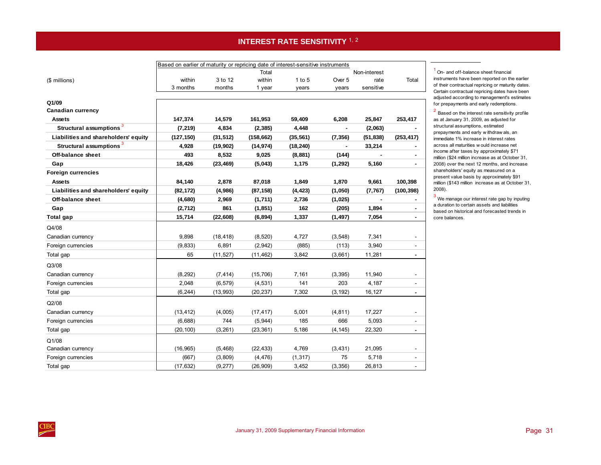# **INTEREST RATE SENSITIVITY 1, 2**

<span id="page-34-0"></span>

|                                      | Based on earlier of maturity or repricing date of interest-sensitive instruments |           |            |           |          |              |            |
|--------------------------------------|----------------------------------------------------------------------------------|-----------|------------|-----------|----------|--------------|------------|
|                                      |                                                                                  |           | Total      |           |          | Non-interest |            |
| (\$ millions)                        | within                                                                           | 3 to 12   | within     | 1 to 5    | Over 5   | rate         | Total      |
|                                      | 3 months                                                                         | months    | 1 year     | years     | years    | sensitive    |            |
|                                      |                                                                                  |           |            |           |          |              |            |
| Q1/09<br><b>Canadian currency</b>    |                                                                                  |           |            |           |          |              |            |
| Assets                               | 147,374                                                                          | 14,579    | 161,953    | 59,409    | 6,208    | 25,847       | 253,417    |
| Structural assumptions <sup>3</sup>  | (7, 219)                                                                         | 4,834     | (2, 385)   | 4,448     |          | (2,063)      |            |
| Liabilities and shareholders' equity | (127, 150)                                                                       | (31, 512) | (158, 662) | (35, 561) | (7, 356) | (51, 838)    | (253, 417) |
| Structural assumptions <sup>3</sup>  | 4,928                                                                            | (19,902)  | (14, 974)  | (18, 240) | ٠        | 33,214       |            |
| Off-balance sheet                    | 493                                                                              | 8,532     | 9,025      |           |          |              |            |
|                                      |                                                                                  |           |            | (8,881)   | (144)    |              |            |
| Gap                                  | 18,426                                                                           | (23, 469) | (5,043)    | 1,175     | (1, 292) | 5,160        |            |
| <b>Foreign currencies</b>            |                                                                                  |           |            |           |          |              |            |
| Assets                               | 84,140                                                                           | 2,878     | 87,018     | 1,849     | 1,870    | 9,661        | 100,398    |
| Liabilities and shareholders' equity | (82, 172)                                                                        | (4,986)   | (87, 158)  | (4, 423)  | (1,050)  | (7, 767)     | (100, 398) |
| Off-balance sheet                    | (4,680)                                                                          | 2,969     | (1,711)    | 2,736     | (1,025)  |              |            |
| Gap                                  | (2, 712)                                                                         | 861       | (1, 851)   | 162       | (205)    | 1,894        |            |
| Total gap                            | 15,714                                                                           | (22, 608) | (6, 894)   | 1,337     | (1, 497) | 7,054        | ۰.         |
| Q4/08                                |                                                                                  |           |            |           |          |              |            |
| Canadian currency                    | 9,898                                                                            | (18, 418) | (8,520)    | 4,727     | (3, 548) | 7,341        |            |
| Foreign currencies                   | (9, 833)                                                                         | 6,891     | (2,942)    | (885)     | (113)    | 3,940        |            |
| Total gap                            | 65                                                                               | (11, 527) | (11, 462)  | 3,842     | (3,661)  | 11,281       | ۰.         |
| Q3/08                                |                                                                                  |           |            |           |          |              |            |
| Canadian currency                    | (8, 292)                                                                         | (7, 414)  | (15, 706)  | 7,161     | (3, 395) | 11,940       |            |
| Foreign currencies                   | 2,048                                                                            | (6, 579)  | (4, 531)   | 141       | 203      | 4,187        |            |
| Total gap                            | (6, 244)                                                                         | (13,993)  | (20, 237)  | 7,302     | (3, 192) | 16,127       | ٠          |
| Q2/08                                |                                                                                  |           |            |           |          |              |            |
| Canadian currency                    | (13, 412)                                                                        | (4,005)   | (17, 417)  | 5,001     | (4, 811) | 17,227       |            |
| Foreign currencies                   | (6,688)                                                                          | 744       | (5, 944)   | 185       | 666      | 5,093        |            |
| Total gap                            | (20, 100)                                                                        | (3, 261)  | (23, 361)  | 5,186     | (4, 145) | 22,320       | ۰          |
| Q1/08                                |                                                                                  |           |            |           |          |              |            |
| Canadian currency                    | (16, 965)                                                                        | (5, 468)  | (22, 433)  | 4,769     | (3, 431) | 21,095       |            |
| Foreign currencies                   | (667)                                                                            | (3,809)   | (4, 476)   | (1, 317)  | 75       | 5,718        |            |
| Total gap                            | (17, 632)                                                                        | (9, 277)  | (26,909)   | 3,452     | (3, 356) | 26,813       | ÷          |
|                                      |                                                                                  |           |            |           |          |              |            |

<sup>1</sup> On- and off-balance sheet financial instruments have been reported on the earlier of their contractual repricing or maturity dates. Certain contractual repricing dates have been adjusted according to management's estimates for prepayments and early redemptions.

 $2$  Based on the interest rate sensitivity profile as at January 31, 2009, as adjusted for structural assumptions, estimated prepayments and early w ithdraw als, an immediate 1% increase in interest rates across all maturities w ould increase net income after taxes by approximately \$71 million (\$24 million increase as at October 31, 2008) over the next 12 months, and increase shareholders' equity as measured on a present value basis by approximately \$91 million (\$143 million increase as at October 31, 2008).

 $3$  We manage our interest rate gap by inputing a duration to certain assets and liabilities based on historical and forecasted trends in core balances.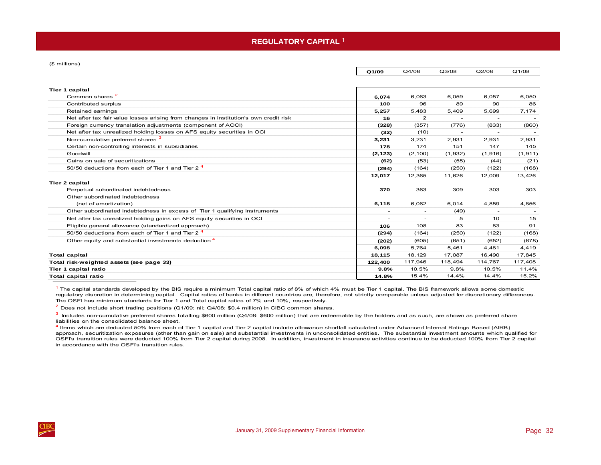### **REGULATORY CAPITAL** <sup>1</sup>

<span id="page-35-0"></span>(\$ millions)

|                                                                                       | Q1/09    | Q4/08                    | Q3/08                    | Q2/08                    | Q1/08    |
|---------------------------------------------------------------------------------------|----------|--------------------------|--------------------------|--------------------------|----------|
|                                                                                       |          |                          |                          |                          |          |
| <b>Tier 1 capital</b>                                                                 |          |                          |                          |                          |          |
| Common shares <sup>2</sup>                                                            | 6.074    | 6,063                    | 6,059                    | 6,057                    | 6,050    |
| Contributed surplus                                                                   | 100      | 96                       | 89                       | 90                       | 86       |
| Retained earnings                                                                     | 5,257    | 5,483                    | 5.409                    | 5,699                    | 7,174    |
| Net after tax fair value losses arising from changes in institution's own credit risk | 16       | $\mathbf{2}$             |                          |                          |          |
| Foreign currency translation adjustments (component of AOCI)                          | (328)    | (357)                    | (776)                    | (833)                    | (860)    |
| Net after tax unrealized holding losses on AFS equity securities in OCI               | (32)     | (10)                     | $\overline{\phantom{a}}$ |                          |          |
| Non-cumulative preferred shares <sup>3</sup>                                          | 3,231    | 3,231                    | 2.931                    | 2,931                    | 2,931    |
| Certain non-controlling interests in subsidiaries                                     | 178      | 174                      | 151                      | 147                      | 145      |
| Goodwill                                                                              | (2, 123) | (2, 100)                 | (1,932)                  | (1,916)                  | (1, 911) |
| Gains on sale of securitizations                                                      | (62)     | (53)                     | (55)                     | (44)                     | (21)     |
| 50/50 deductions from each of Tier 1 and Tier 2 <sup>4</sup>                          | (294)    | (164)                    | (250)                    | (122)                    | (168)    |
|                                                                                       | 12,017   | 12,365                   | 11,626                   | 12,009                   | 13,426   |
| <b>Tier 2 capital</b>                                                                 |          |                          |                          |                          |          |
| Perpetual subordinated indebtedness                                                   | 370      | 363                      | 309                      | 303                      | 303      |
| Other subordinated indebtedness                                                       |          |                          |                          |                          |          |
| (net of amortization)                                                                 | 6,118    | 6,062                    | 6,014                    | 4,859                    | 4,856    |
| Other subordinated indebtedness in excess of Tier 1 qualifying instruments            |          | $\overline{\phantom{a}}$ | (49)                     | $\overline{\phantom{a}}$ |          |
| Net after tax unrealized holding gains on AFS equity securities in OCI                |          |                          | 5                        | 10                       | 15       |
| Eligible general allowance (standardized approach)                                    | 106      | 108                      | 83                       | 83                       | 91       |
| 50/50 deductions from each of Tier 1 and Tier 2 <sup>4</sup>                          | (294)    | (164)                    | (250)                    | (122)                    | (168)    |
| Other equity and substantial investments deduction <sup>4</sup>                       | (202)    | (605)                    | (651)                    | (652)                    | (678)    |
|                                                                                       | 6.098    | 5,764                    | 5,461                    | 4,481                    | 4,419    |
| <b>Total capital</b>                                                                  | 18,115   | 18,129                   | 17,087                   | 16,490                   | 17,845   |
| Total risk-weighted assets (see page 33)                                              | 122,400  | 117,946                  | 118,494                  | 114,767                  | 117,408  |
| Tier 1 capital ratio                                                                  | 9.8%     | 10.5%                    | 9.8%                     | 10.5%                    | 11.4%    |
| <b>Total capital ratio</b>                                                            | 14.8%    | 15.4%                    | 14.4%                    | 14.4%                    | 15.2%    |

 $1$  The capital standards developed by the BIS require a minimum Total capital ratio of 8% of which 4% must be Tier 1 capital. The BIS framework allows some domestic regulatory discretion in determining capital. Capital ratios of banks in different countries are, therefore, not strictly comparable unless adjusted for discretionary differences. The OSFI has minimum standards for Tier 1 and Total capital ratios of 7% and 10%, respectively.

 $2$  Does not include short trading positions (Q1/09: nil; Q4/08: \$0.4 million) in CIBC common shares.

 $3$  Includes non-cumulative preferred shares totalling \$600 million (Q4/08: \$600 million) that are redeemable by the holders and as such, are shown as preferred share liabilities on the consolidated balance sheet.

**<sup>4</sup>** Items which are deducted 50% from each of Tier 1 capital and Tier 2 capital include allowance shortfall calculated under Advanced Internal Ratings Based (AIRB) approach, securitization exposures (other than gain on sale) and substantial investments in unconsolidated entities. The substantial investment amounts which qualified for OSFI's transition rules were deducted 100% from Tier 2 capital during 2008. In addition, investment in insurance activities continue to be deducted 100% from Tier 2 capital in accordance with the OSFI's transition rules.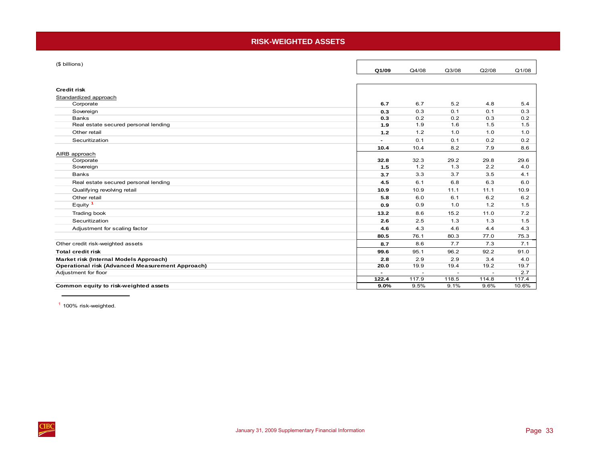## **RISK-WEIGHTED ASSETS**

<span id="page-36-0"></span>

| (\$ billions)                                           | Q1/09                    | Q4/08          | Q3/08         | Q2/08 | Q1/08 |
|---------------------------------------------------------|--------------------------|----------------|---------------|-------|-------|
| <b>Credit risk</b>                                      |                          |                |               |       |       |
| Standardized approach                                   |                          |                |               |       |       |
| Corporate                                               | 6.7                      | 6.7            | 5.2           | 4.8   | 5.4   |
| Sovereign                                               | 0.3                      | 0.3            | 0.1           | 0.1   | 0.3   |
| <b>Banks</b>                                            | 0.3                      | 0.2            | 0.2           | 0.3   | 0.2   |
| Real estate secured personal lending                    | 1.9                      | 1.9            | 1.6           | 1.5   | 1.5   |
| Other retail                                            | 1.2                      | 1.2            | 1.0           | 1.0   | 1.0   |
| Securitization                                          | $\overline{\phantom{a}}$ | 0.1            | 0.1           | 0.2   | 0.2   |
|                                                         | 10.4                     | 10.4           | 8.2           | 7.9   | 8.6   |
| AIRB approach                                           |                          |                |               |       |       |
| Corporate                                               | 32.8                     | 32.3           | 29.2          | 29.8  | 29.6  |
| Sovereign                                               | 1.5                      | 1.2            | 1.3           | 2.2   | 4.0   |
| <b>Banks</b>                                            | 3.7                      | 3.3            | 3.7           | 3.5   | 4.1   |
| Real estate secured personal lending                    | 4.5                      | 6.1            | 6.8           | 6.3   | 6.0   |
| Qualifying revolving retail                             | 10.9                     | 10.9           | 11.1          | 11.1  | 10.9  |
| Other retail                                            | 5.8                      | 6.0            | 6.1           | 6.2   | 6.2   |
| Equity <sup>1</sup>                                     | 0.9                      | 0.9            | 1.0           | 1.2   | 1.5   |
| Trading book                                            | 13.2                     | 8.6            | 15.2          | 11.0  | 7.2   |
| Securitization                                          | 2.6                      | 2.5            | 1.3           | 1.3   | 1.5   |
| Adjustment for scaling factor                           | 4.6                      | 4.3            | 4.6           | 4.4   | 4.3   |
|                                                         | 80.5                     | 76.1           | 80.3          | 77.0  | 75.3  |
| Other credit risk-weighted assets                       | 8.7                      | 8.6            | 7.7           | 7.3   | 7.1   |
| <b>Total credit risk</b>                                | 99.6                     | 95.1           | 96.2          | 92.2  | 91.0  |
| Market risk (Internal Models Approach)                  | 2.8                      | 2.9            | 2.9           | 3.4   | 4.0   |
| <b>Operational risk (Advanced Measurement Approach)</b> | 20.0                     | 19.9           | 19.4          | 19.2  | 19.7  |
| Adjustment for floor                                    | $\overline{\phantom{0}}$ | $\blacksquare$ | $\rightarrow$ |       | 2.7   |
|                                                         | 122.4                    | 117.9          | 118.5         | 114.8 | 117.4 |
| Common equity to risk-weighted assets                   | 9.0%                     | 9.5%           | 9.1%          | 9.6%  | 10.6% |

<sup>1</sup> 100% risk-weighted.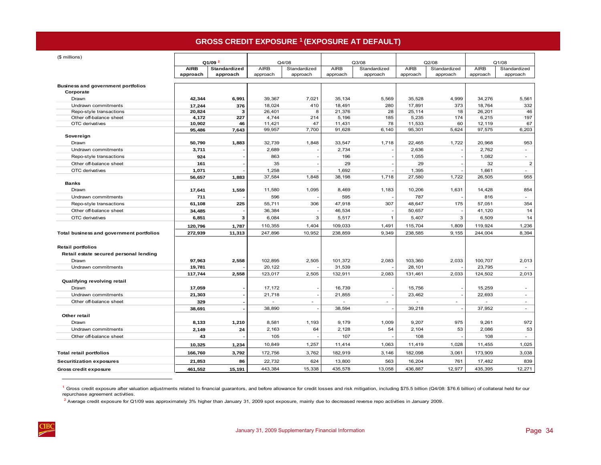# **GROSS CREDIT EXPOSURE 1 (EXPOSURE AT DEFAULT)**

<span id="page-37-0"></span>

| (\$ millions)                                      |                 |                    |                          |              |                          |              |             |              |             |                |
|----------------------------------------------------|-----------------|--------------------|--------------------------|--------------|--------------------------|--------------|-------------|--------------|-------------|----------------|
|                                                    |                 | Q1/09 <sup>2</sup> |                          | Q4/08        |                          | Q3/08        |             | Q2/08        |             | Q1/08          |
|                                                    | <b>AIRB</b>     | Standardized       | <b>AIRB</b>              | Standardized | <b>AIRB</b>              | Standardized | <b>AIRB</b> | Standardized | <b>AIRB</b> | Standardized   |
|                                                    | approach        | approach           | approach                 | approach     | approach                 | approach     | approach    | approach     | approach    | approach       |
| <b>Business and government portfolios</b>          |                 |                    |                          |              |                          |              |             |              |             |                |
| Corporate                                          |                 |                    |                          |              |                          |              |             |              |             |                |
| Drawn                                              | 42,344          | 6,991              | 39,367                   | 7,021        | 35, 134                  | 5,569        | 35,528      | 4,999        | 34,276      | 5,561          |
| Undrawn commitments                                | 17,244          | 376                | 18,024                   | 410          | 18,491                   | 280          | 17,891      | 373          | 18,764      | 332            |
| Repo-style transactions                            | 20,824          | 3                  | 26,401                   | 8            | 21,376                   | 28           | 25,114      | 18           | 26,201      | 46             |
| Other off-balance sheet                            | 4,172           | 227                | 4,744                    | 214          | 5,196                    | 185          | 5,235       | 174          | 6,215       | 197            |
| OTC derivatives                                    | 10,902          | 46                 | 11,421                   | 47           | 11,431                   | 78           | 11,533      | 60           | 12,119      | 67             |
| Sovereign                                          | 95,486          | 7,643              | 99,957                   | 7,700        | 91,628                   | 6,140        | 95,301      | 5,624        | 97,575      | 6,203          |
| Drawn                                              | 50,790          | 1,883              | 32,739                   | 1,848        | 33,547                   | 1,718        | 22,465      | 1,722        | 20,968      | 953            |
| Undrawn commitments                                | 3,711           |                    | 2,689                    |              | 2,734                    |              | 2,636       |              | 2,762       | $\sim$         |
|                                                    | 924             |                    | 863                      |              | 196                      |              |             |              | 1,082       | $\sim$         |
| Repo-style transactions<br>Other off-balance sheet | 161             |                    | 35                       |              | 29                       |              | 1,055<br>29 |              | 32          | $\overline{2}$ |
| OTC derivatives                                    |                 |                    |                          |              | 1,692                    |              | 1,395       |              | 1,661       | $\sim$         |
|                                                    | 1,071<br>56,657 | 1,883              | 1,258<br>37,584          | 1,848        | 38,198                   | 1,718        | 27,580      | 1,722        | 26,505      | 955            |
| <b>Banks</b>                                       |                 |                    |                          |              |                          |              |             |              |             |                |
| Drawn                                              | 17,641          | 1,559              | 11,580                   | 1,095        | 8,469                    | 1,183        | 10,206      | 1,631        | 14,428      | 854            |
| Undrawn commitments                                | 711             |                    | 596                      |              | 595                      |              | 787         |              | 816         | $\sim$         |
| Repo-style transactions                            | 61,108          | 225                | 55,711                   | 306          | 47,918                   | 307          | 48,647      | 175          | 57,051      | 354            |
| Other off-balance sheet                            | 34,485          |                    | 36,384                   |              | 46,534                   |              | 50,657      |              | 41,120      | 14             |
| OTC derivatives                                    | 6,851           | 3                  | 6,084                    | 3            | 5,517                    | $\mathbf{1}$ | 5,407       | 3            | 6,509       | 14             |
|                                                    | 120,796         | 1,787              | 110,355                  | 1,404        | 109,033                  | 1,491        | 115,704     | 1,809        | 119,924     | 1,236          |
| Total business and government portfolios           | 272,939         | 11,313             | 247,896                  | 10,952       | 238,859                  | 9,349        | 238,585     | 9,155        | 244,004     | 8,394          |
|                                                    |                 |                    |                          |              |                          |              |             |              |             |                |
| <b>Retail portfolios</b>                           |                 |                    |                          |              |                          |              |             |              |             |                |
| Retail estate secured personal lending             |                 |                    |                          |              |                          |              |             |              |             |                |
| Drawn                                              | 97,963          | 2,558              | 102,895                  | 2,505        | 101,372                  | 2,083        | 103,360     | 2,033        | 100,707     | 2,013          |
| Undrawn commitments                                | 19,781          |                    | 20,122                   |              | 31,539                   |              | 28,101      |              | 23,795      | $\sim$         |
|                                                    | 117,744         | 2,558              | 123,017                  | 2,505        | 132,911                  | 2,083        | 131,461     | 2,033        | 124,502     | 2,013          |
| Qualifying revolving retail                        |                 |                    |                          |              |                          |              |             |              |             |                |
| Drawn                                              | 17,059          |                    | 17,172                   |              | 16,739                   |              | 15,756      |              | 15,259      | $\sim$         |
| Undrawn commitments                                | 21,303          |                    | 21,718                   |              | 21,855                   |              | 23,462      |              | 22,693      | $\sim$         |
| Other off-balance sheet                            | 329             |                    | $\overline{\phantom{a}}$ | ÷            | $\overline{\phantom{a}}$ | $\sim$       | ٠           | ÷            | $\sim$      | $\sim$         |
|                                                    | 38,691          |                    | 38,890                   |              | 38,594                   |              | 39,218      |              | 37,952      | $\sim$         |
| Other retail                                       |                 |                    |                          |              |                          |              |             |              |             |                |
| Drawn                                              | 8,133           | 1,210              | 8,581                    | 1,193        | 9,179                    | 1,009        | 9,207       | 975          | 9,261       | 972            |
| Undrawn commitments                                | 2,149           | 24                 | 2,163                    | 64           | 2,128                    | 54           | 2,104       | 53           | 2,086       | 53             |
| Other off-balance sheet                            | 43              |                    | 105                      |              | 107                      |              | 108         |              | 108         | $\sim$         |
|                                                    |                 |                    |                          |              |                          |              |             |              |             |                |
|                                                    | 10,325          | 1,234              | 10,849                   | 1,257        | 11,414                   | 1,063        | 11,419      | 1,028        | 11,455      | 1,025          |
| <b>Total retail portfolios</b>                     | 166,760         | 3,792              | 172,756                  | 3,762        | 182,919                  | 3,146        | 182,098     | 3,061        | 173,909     | 3,038          |
| <b>Securitization exposures</b>                    | 21,853          | 86                 | 22,732                   | 624          | 13,800                   | 563          | 16,204      | 761          | 17,482      | 839            |
| <b>Gross credit exposure</b>                       | 461,552         | 15,191             | 443,384                  | 15,338       | 435,578                  | 13,058       | 436,887     | 12,977       | 435,395     | 12,271         |

 $^1$  Gross credit exposure after valuation adjustments related to financial guarantors, and before allowance for credit losses and risk mitigation, including \$75.5 billion (Q4/08: \$76.6 billion) of collateral held for our repurchase agreement activities.

 $^2$  Average credit exposure for Q1/09 was approximately 3% higher than January 31, 2009 spot exposure, mainly due to decreased reverse repo activities in January 2009.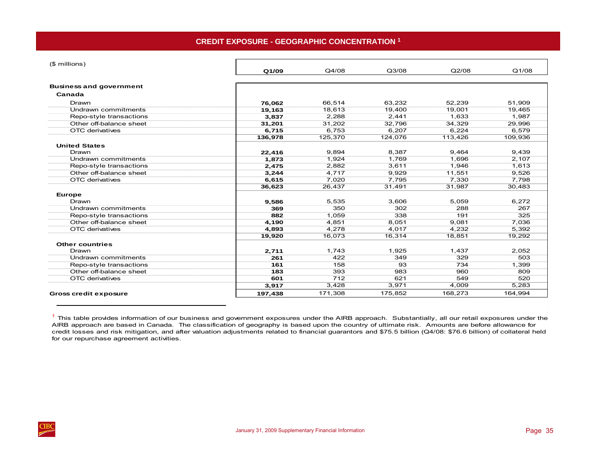<span id="page-38-0"></span>

| (\$ millions)                  |         |         |         |         |         |
|--------------------------------|---------|---------|---------|---------|---------|
|                                | Q1/09   | Q4/08   | Q3/08   | Q2/08   | Q1/08   |
| <b>Business and government</b> |         |         |         |         |         |
| Canada                         |         |         |         |         |         |
| Drawn                          | 76,062  | 66,514  | 63,232  | 52,239  | 51,909  |
| Undrawn commitments            | 19,163  | 18,613  | 19,400  | 19,001  | 19,465  |
| Repo-style transactions        | 3,837   | 2,288   | 2,441   | 1,633   | 1,987   |
| Other off-balance sheet        | 31,201  | 31,202  | 32,796  | 34,329  | 29,996  |
| OTC derivatives                | 6,715   | 6,753   | 6,207   | 6,224   | 6,579   |
|                                | 136,978 | 125,370 | 124,076 | 113,426 | 109,936 |
| <b>United States</b>           |         |         |         |         |         |
| Drawn                          | 22,416  | 9.894   | 8.387   | 9.464   | 9,439   |
| Undrawn commitments            | 1,873   | 1,924   | 1.769   | 1.696   | 2,107   |
| Repo-style transactions        | 2,475   | 2,882   | 3,611   | 1,946   | 1,613   |
| Other off-balance sheet        | 3,244   | 4,717   | 9,929   | 11,551  | 9,526   |
| OTC derivatives                | 6,615   | 7,020   | 7,795   | 7,330   | 7,798   |
|                                | 36,623  | 26,437  | 31,491  | 31,987  | 30,483  |
| <b>Europe</b>                  |         |         |         |         |         |
| Drawn                          | 9,586   | 5,535   | 3,606   | 5,059   | 6,272   |
| Undrawn commitments            | 369     | 350     | 302     | 288     | 267     |
| Repo-style transactions        | 882     | 1,059   | 338     | 191     | 325     |
| Other off-balance sheet        | 4,190   | 4,851   | 8,051   | 9,081   | 7,036   |
| OTC derivatives                | 4,893   | 4,278   | 4,017   | 4,232   | 5,392   |
|                                | 19,920  | 16,073  | 16,314  | 18,851  | 19,292  |
| <b>Other countries</b>         |         |         |         |         |         |
| Drawn                          | 2,711   | 1,743   | 1,925   | 1,437   | 2,052   |
| Undrawn commitments            | 261     | 422     | 349     | 329     | 503     |
| Repo-style transactions        | 161     | 158     | 93      | 734     | 1,399   |
| Other off-balance sheet        | 183     | 393     | 983     | 960     | 809     |
| OTC derivatives                | 601     | 712     | 621     | 549     | 520     |
|                                | 3,917   | 3,428   | 3,971   | 4,009   | 5,283   |
| <b>Gross credit exposure</b>   | 197,438 | 171,308 | 175.852 | 168,273 | 164.994 |

 $<sup>1</sup>$  This table provides information of our business and government exposures under the AIRB approach. Substantially, all our retail exposures under the</sup> AIRB approach are based in Canada. The classification of geography is based upon the country of ultimate risk. Amounts are before allowance for credit losses and risk mitigation, and after valuation adjustments related to financial guarantors and \$75.5 billion (Q4/08: \$76.6 billion) of collateral held for our repurchase agreement activities.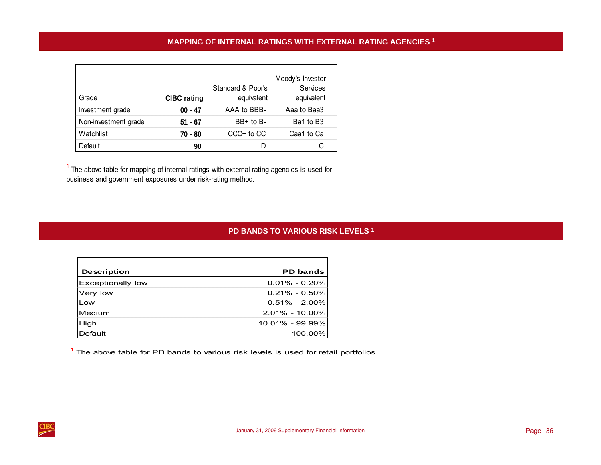<span id="page-39-0"></span>

|                      |                    |                   | Moody's Investor |
|----------------------|--------------------|-------------------|------------------|
|                      |                    | Standard & Poor's | Services         |
| Grade                | <b>CIBC</b> rating | equivalent        | equivalent       |
| Investment grade     | $00 - 47$          | AAA to BBB-       | Aaa to Baa3      |
| Non-investment grade | $51 - 67$          | $BB+$ to $B-$     | Ba1 to B3        |
| Watchlist            | 70 - 80            | CCC+ to CC        | Caa1 to Ca       |
| Default              | 90                 |                   |                  |

 $<sup>1</sup>$  The above table for mapping of internal ratings with external rating agencies is used for</sup> business and government exposures under risk-rating method.

# **PD BANDS TO VARIOUS RISK LEVELS 1**

| <b>Description</b>       | <b>PD bands</b>    |
|--------------------------|--------------------|
| <b>Exceptionally low</b> | $0.01\% - 0.20\%$  |
| Very low                 | $0.21\% - 0.50\%$  |
| Low                      | $0.51\% - 2.00\%$  |
| Medium                   | $2.01\% - 10.00\%$ |
| High                     | 10.01% - 99.99%    |
| Default                  | 100.00%            |

 $<sup>1</sup>$  The above table for PD bands to various risk levels is used for retail portfolios.</sup>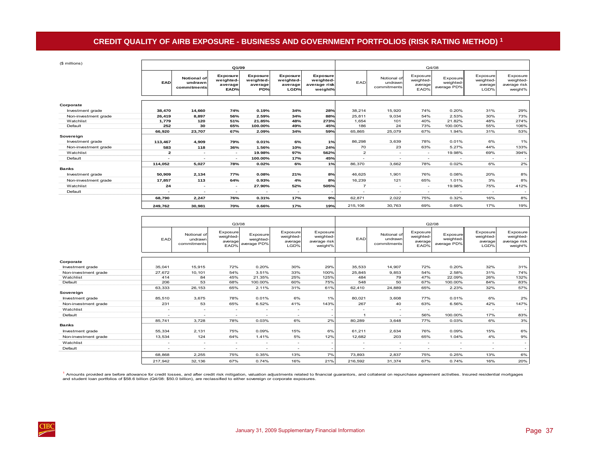# **CREDIT QUALITY OF AIRB EXPOSURE - BUSINESS AND GOVERNMENT PORTFOLIOS (RISK RATING METHOD) 1**

<span id="page-40-0"></span>

| (\$ millions)        |                          |                                       | Q1/09                                    |                                                |                                          |                                                  |                          |                                       |                                          | Q4/08                                |                                          |                                                  |
|----------------------|--------------------------|---------------------------------------|------------------------------------------|------------------------------------------------|------------------------------------------|--------------------------------------------------|--------------------------|---------------------------------------|------------------------------------------|--------------------------------------|------------------------------------------|--------------------------------------------------|
|                      | <b>EAD</b>               | Notional of<br>undrawn<br>commitments | Exposure<br>weighted-<br>average<br>EAD% | <b>Exposure</b><br>weighted-<br>average<br>PD% | Exposure<br>weighted-<br>average<br>LGD% | Exposure<br>weighted-<br>average risk<br>weight% | EAD                      | Notional of<br>undrawn<br>commitments | Exposure<br>weighted-<br>average<br>EAD% | Exposure<br>weighted-<br>average PD% | Exposure<br>weighted-<br>average<br>LGD% | Exposure<br>weighted-<br>average risk<br>weight% |
| Corporate            |                          |                                       |                                          |                                                |                                          |                                                  |                          |                                       |                                          |                                      |                                          |                                                  |
| Investment grade     | 38,470                   | 14,660                                | 74%                                      | 0.19%                                          | 34%                                      | 28%                                              | 38.214                   | 15,920                                | 74%                                      | 0.20%                                | 31%                                      | 29%                                              |
| Non-investment grade | 26,419                   | 8,897                                 | 56%                                      | 2.59%                                          | 34%                                      | 88%                                              | 25,811                   | 9,034                                 | 54%                                      | 2.53%                                | 30%                                      | 73%                                              |
| Watchlist            | 1,779                    | 120                                   | 51%                                      | 21.85%                                         | 48%                                      | 273%                                             | 1,654                    | 101                                   | 40%                                      | 21.82%                               | 48%                                      | 274%                                             |
| Default              | 252                      | 30                                    | 65%                                      | 100.00%                                        | 49%                                      | 45%                                              | 186                      | 24                                    | 73%                                      | 100.00%                              | 55%                                      | 106%                                             |
|                      | 66,920                   | 23,707                                | 67%                                      | 2.09%                                          | 34%                                      | 59%                                              | 65,865                   | 25,079                                | 67%                                      | 1.94%                                | 31%                                      | 53%                                              |
| Sovereign            |                          |                                       |                                          |                                                |                                          |                                                  |                          |                                       |                                          |                                      |                                          |                                                  |
| Investment grade     | 113,467                  | 4,909                                 | 79%                                      | 0.01%                                          | 6%                                       | 1%                                               | 86,298                   | 3,639                                 | 78%                                      | 0.01%                                | 6%                                       | 1%                                               |
| Non-investment grade | 583                      | 118                                   | 36%                                      | 1.56%                                          | 10%                                      | 24%                                              | 70                       | 23                                    | 63%                                      | 5.27%                                | 44%                                      | 133%                                             |
| Watchlist            | $\mathbf{z}$             | $\sim$                                | $\overline{\phantom{a}}$                 | 19.98%                                         | 97%                                      | 562%                                             | $\overline{a}$           | $\sim$                                | $\sim$                                   | 19.98%                               | 69%                                      | 394%                                             |
| Default              |                          | $\overline{\phantom{a}}$              | $\overline{\phantom{a}}$                 | 100.00%                                        | 17%                                      | 45%                                              |                          | $\overline{\phantom{a}}$              | $\overline{\phantom{a}}$                 | $\sim$                               | $\overline{\phantom{a}}$                 |                                                  |
|                      | 114,052                  | 5,027                                 | 78%                                      | 0.02%                                          | 6%                                       | 1%                                               | 86,370                   | 3,662                                 | 78%                                      | 0.02%                                | 6%                                       | 2%                                               |
| <b>Banks</b>         |                          |                                       |                                          |                                                |                                          |                                                  |                          |                                       |                                          |                                      |                                          |                                                  |
| Investment grade     | 50,909                   | 2,134                                 | 77%                                      | 0.08%                                          | 21%                                      | 8%                                               | 46,625                   | 1,901                                 | 76%                                      | 0.08%                                | 20%                                      | 8%                                               |
| Non-investment grade | 17,857                   | 113                                   | 64%                                      | 0.93%                                          | 4%                                       | 8%                                               | 16,239                   | 121                                   | 65%                                      | 1.01%                                | 3%                                       | 8%                                               |
| Watchlist            | 24                       | $\sim$                                | $\sim$                                   | 27.90%                                         | 52%                                      | 505%                                             | $\overline{7}$           | $\sim$                                | $\sim$                                   | 19.98%                               | 75%                                      | 412%                                             |
| Default              | $\overline{\phantom{a}}$ | $\overline{\phantom{a}}$              | $\overline{\phantom{a}}$                 | ٠                                              | $\sim$                                   |                                                  | $\overline{\phantom{a}}$ | $\overline{\phantom{a}}$              | $\sim$                                   |                                      | $\overline{\phantom{a}}$                 |                                                  |
|                      | 68,790                   | 2,247                                 | 76%                                      | 0.31%                                          | 17%                                      | 9%                                               | 62,871                   | 2,022                                 | 75%                                      | 0.32%                                | 16%                                      | 8%                                               |
|                      | 249.762                  | 30,981                                | 70%                                      | 0.66%                                          | 17%                                      | 19%                                              | 215,106                  | 30,763                                | 69%                                      | 0.69%                                | 17%                                      | 19%                                              |

|                                   |                          |                                       | Q3/08                                           |                                      |                                          |                                                  |                          |                                       |                                          | Q2/08                                |                                          |                                                  |
|-----------------------------------|--------------------------|---------------------------------------|-------------------------------------------------|--------------------------------------|------------------------------------------|--------------------------------------------------|--------------------------|---------------------------------------|------------------------------------------|--------------------------------------|------------------------------------------|--------------------------------------------------|
|                                   | EAD                      | Notional of<br>undrawn<br>commitments | <b>Exposure</b><br>weighted-<br>average<br>EAD% | Exposure<br>weighted-<br>average PD% | Exposure<br>weighted-<br>average<br>LGD% | Exposure<br>weighted-<br>average risk<br>weight% | EAD                      | Notional of<br>undrawn<br>commitments | Exposure<br>weighted-<br>average<br>EAD% | Exposure<br>weighted-<br>average PD% | Exposure<br>weighted-<br>average<br>LGD% | Exposure<br>weighted-<br>average risk<br>weight% |
| Corporate                         |                          |                                       |                                                 |                                      |                                          |                                                  |                          |                                       |                                          |                                      |                                          |                                                  |
|                                   |                          |                                       |                                                 |                                      |                                          |                                                  |                          |                                       |                                          |                                      |                                          |                                                  |
| Investment grade                  | 35,041                   | 15,915                                | 72%                                             | 0.20%                                | 30%                                      | 29%                                              | 35,533                   | 14,907                                | 72%                                      | 0.20%                                | 32%                                      | 31%                                              |
| Non-investment grade<br>Watchlist | 27,672<br>414            | 10,101<br>84                          | 54%<br>45%                                      | 3.51%<br>21.35%                      | 33%<br>25%                               | 100%<br>125%                                     | 25,845<br>484            | 9,853<br>79                           | 54%<br>47%                               | 2.58%<br>22.09%                      | 31%<br>26%                               | 74%                                              |
| Default                           | 206                      | 53                                    | 68%                                             | 100.00%                              | 60%                                      | 75%                                              | 548                      | 50                                    | 67%                                      | 100.00%                              | 84%                                      | 132%<br>83%                                      |
|                                   |                          |                                       |                                                 |                                      |                                          |                                                  |                          |                                       |                                          |                                      |                                          |                                                  |
| Sovereign                         | 63,333                   | 26,153                                | 65%                                             | 2.11%                                | 31%                                      | 61%                                              | 62,410                   | 24,889                                | 65%                                      | 2.23%                                | 32%                                      | 57%                                              |
|                                   |                          |                                       | 78%                                             |                                      | 6%                                       |                                                  |                          |                                       | 77%                                      | 0.01%                                | 6%                                       |                                                  |
| Investment grade                  | 85,510                   | 3,675                                 |                                                 | 0.01%                                |                                          | 1%                                               | 80.021                   | 3,608                                 |                                          |                                      |                                          | 2%                                               |
| Non-investment grade              | 231                      | 53                                    | 65%                                             | 6.52%                                | 41%                                      | 143%                                             | 267                      | 40                                    | 63%                                      | 6.56%                                | 42%                                      | 147%                                             |
| Watchlist                         | $\sim$                   | $\overline{\phantom{a}}$              | $\overline{\phantom{a}}$                        | $\overline{\phantom{a}}$             | $\overline{\phantom{a}}$                 |                                                  | $\overline{\phantom{a}}$ | $\overline{\phantom{a}}$              | ۰.                                       |                                      |                                          |                                                  |
| Default                           | $\sim$                   | $\overline{\phantom{a}}$              | $\overline{\phantom{a}}$                        | $\overline{\phantom{a}}$             | $\overline{\phantom{a}}$                 |                                                  | 1                        | ٠                                     | 56%                                      | 100.00%                              | 17%                                      | 83%                                              |
|                                   | 85.741                   | 3.728                                 | 78%                                             | 0.03%                                | 6%                                       | 2%                                               | 80.289                   | 3.648                                 | 77%                                      | 0.03%                                | 6%                                       | 3%                                               |
| <b>Banks</b>                      |                          |                                       |                                                 |                                      |                                          |                                                  |                          |                                       |                                          |                                      |                                          |                                                  |
| Investment grade                  | 55,334                   | 2,131                                 | 75%                                             | 0.09%                                | 15%                                      | 6%                                               | 61,211                   | 2,634                                 | 76%                                      | 0.09%                                | 15%                                      | 6%                                               |
| Non-investment grade              | 13,534                   | 124                                   | 64%                                             | 1.41%                                | 5%                                       | 12%                                              | 12,682                   | 203                                   | 65%                                      | 1.04%                                | 4%                                       | 9%                                               |
| Watchlist                         |                          | $\overline{\phantom{a}}$              | $\overline{\phantom{a}}$                        | $\overline{\phantom{a}}$             | $\overline{\phantom{a}}$                 |                                                  | ۰                        | ۰                                     | $\overline{\phantom{a}}$                 |                                      | $\overline{\phantom{a}}$                 | -                                                |
| Default                           | $\overline{\phantom{a}}$ | $\overline{\phantom{a}}$              | $\overline{\phantom{a}}$                        | $\overline{\phantom{a}}$             | $\overline{\phantom{a}}$                 |                                                  | $\overline{\phantom{a}}$ | $\overline{\phantom{a}}$              | $\overline{\phantom{a}}$                 |                                      |                                          |                                                  |
|                                   | 68.868                   | 2,255                                 | 75%                                             | 0.35%                                | 13%                                      | 7%                                               | 73,893                   | 2,837                                 | 75%                                      | 0.25%                                | 13%                                      | 6%                                               |
|                                   | 217,942                  | 32,136                                | 67%                                             | 0.74%                                | 16%                                      | 21%                                              | 216,592                  | 31,374                                | 67%                                      | 0.74%                                | 16%                                      | 20%                                              |

<sup>1</sup> Amounts provided are before allowance for credit losses, and after credit risk mitigation, valuation adjustments related to financial guarantors, and collateral on repurchase agreement activities. Insured residential m and student loan portfolios of \$58.6 billion (Q4/08: \$50.0 billion), are reclassified to either sovereign or corporate exposures.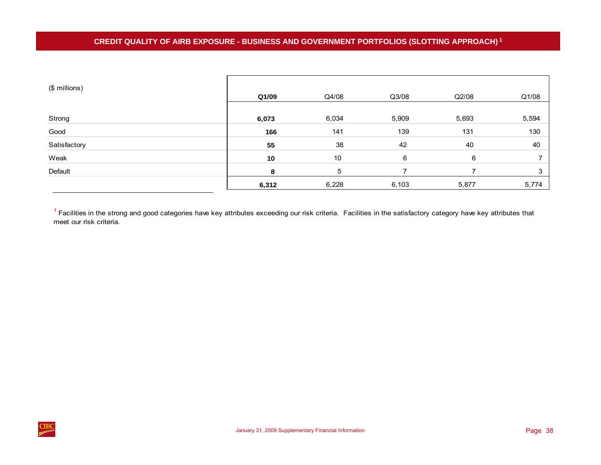<span id="page-41-0"></span>

| (\$ millions) | Q1/09 | Q4/08 | Q3/08 | Q2/08 | Q1/08 |
|---------------|-------|-------|-------|-------|-------|
|               |       |       |       |       |       |
| Strong        | 6,073 | 6,034 | 5,909 | 5,693 | 5,594 |
| Good          | 166   | 141   | 139   | 131   | 130   |
| Satisfactory  | 55    | 38    | 42    | 40    | 40    |
| Weak          | 10    | 10    | 6     | 6     |       |
| Default       | 8     | 5     |       |       | 3     |
|               | 6,312 | 6,228 | 6,103 | 5,877 | 5,774 |

<sup>1</sup> Facilities in the strong and good categories have key attributes exceeding our risk criteria. Facilities in the satisfactory category have key attributes that meet our risk criteria.

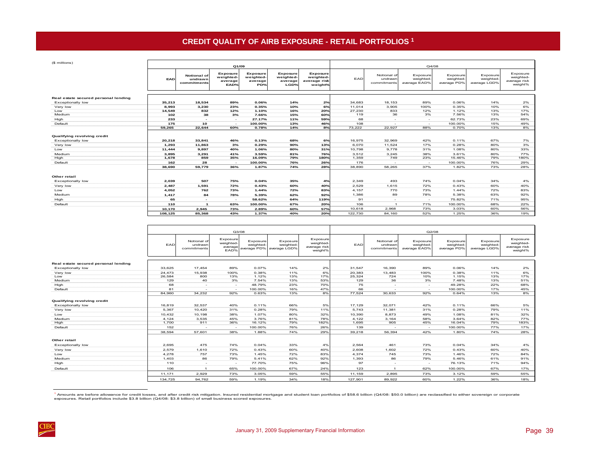# **CREDIT QUALITY OF AIRB EXPOSURE - RETAIL PORTFOLIOS 1**

<span id="page-42-0"></span>

| (\$ millions)                                                    |         |                                       | Q1/09                                    |                                         |                                          |                                                  |         |                                       | Q4/08                                 |                                      |                                      |                                                  |
|------------------------------------------------------------------|---------|---------------------------------------|------------------------------------------|-----------------------------------------|------------------------------------------|--------------------------------------------------|---------|---------------------------------------|---------------------------------------|--------------------------------------|--------------------------------------|--------------------------------------------------|
|                                                                  | EAD     | Notional of<br>undrawn<br>commitments | Exposure<br>weighted-<br>average<br>EAD% | Exposure<br>weighted-<br>average<br>PD% | Exposure<br>weighted-<br>average<br>LGD% | Exposure<br>weighted-<br>average risk<br>weight% | EAD     | Notional of<br>undrawn<br>commitments | Exposure<br>weighted-<br>average EAD% | Exposure<br>weighted-<br>average PD% | Exposure<br>weighted<br>average LGD% | Exposure<br>weighted-<br>average risk<br>weight% |
|                                                                  |         |                                       |                                          |                                         |                                          |                                                  |         |                                       |                                       |                                      |                                      |                                                  |
| Real estate secured personal lending<br><b>Exceptionally low</b> | 35,213  | 18,534                                | 89%                                      | 0.06%                                   | 14%                                      | 2%                                               | 34,683  | 18,153                                | 89%                                   | 0.06%                                | 14%                                  | 2%                                               |
| Very low                                                         | 8.993   | 3,230                                 | 23%                                      | 0.35%                                   | 10%                                      | 6%                                               | 11.014  | 3,905                                 | 100%                                  | 0.35%                                | 10%                                  | 6%                                               |
| Low                                                              | 14.549  | 832                                   | 12%                                      | 1.10%                                   | 16%                                      | 20%                                              | 27,230  | 833                                   | 12%                                   | 1.12%                                | 13%                                  | 17%                                              |
| Medium                                                           | 102     | 38                                    | 3%                                       | 7.66%                                   | 15%                                      | 60%                                              | 119     | 36                                    | 3%                                    | 7.56%                                | 13%                                  | 54%                                              |
| High                                                             | 233     | $\overline{\phantom{a}}$              | $\sim$                                   | 27.17%                                  | 11%                                      | 59%                                              | 68      | $\sim$                                | $\sim$                                | 62.73%                               | 23%                                  | 69%                                              |
| Default                                                          | 175     | 10                                    | $\sim$                                   | 100.00%                                 | 13%                                      | 46%                                              | 108     | $\sim$                                | $\sim$                                | 100.00%                              | 15%                                  | 49%                                              |
|                                                                  | 59.265  | 22.644                                | 60%                                      | 0.78%                                   | 14%                                      | 8%                                               | 73.222  | 22.927                                | 88%                                   | 0.70%                                | 13%                                  | 8%                                               |
| Qualifying revolving credit<br>Exceptionally low                 | 20,218  | 33,841                                | 46%                                      | 0.13%                                   | 68%                                      | 6%                                               | 16,975  | 32,969                                | 42%                                   | 0.11%                                | 67%                                  | 7%                                               |
| Very low                                                         | 1,293   | 11,863                                | 3%                                       | 0.29%                                   | 90%                                      | 13%                                              | 6,070   | 11,524                                | 17%                                   | 0.28%                                | 80%                                  | 3%                                               |
| Low                                                              | 11.444  | 9.897                                 | 40%                                      | 1.06%                                   | 80%                                      | 31%                                              | 10,798  | 9.778                                 | 31%                                   | 1.08%                                | 80%                                  | 33%                                              |
| Medium                                                           | 3.895   | 3,291                                 | 41%                                      | 3.59%                                   | 81%                                      | 76%                                              | 3,512   | 3,245                                 | 38%                                   | 3.61%                                | 80%                                  | 77%                                              |
| High                                                             | 1,678   | 859                                   | 35%                                      | 16.09%                                  | 79%                                      | 180%                                             | 1,359   | 749                                   | 23%                                   | 15.46%                               | 79%                                  | 180%                                             |
| Default                                                          | 162     | 28                                    | - 2                                      | 100.00%                                 | 76%                                      | 26%                                              | 176     | $\sim$                                | $\sim$                                | 100.00%                              | 76%                                  | 29%                                              |
|                                                                  | 38.690  | 59,779                                | 36%                                      | 1.87%                                   | 74%                                      | 28%                                              | 38,890  | 58.265                                | 37%                                   | 1.82%                                | 73%                                  | 28%                                              |
| Other retail                                                     |         |                                       |                                          |                                         |                                          |                                                  |         |                                       |                                       |                                      |                                      |                                                  |
| <b>Exceptionally low</b>                                         | 2,039   | 507                                   | 75%                                      | 0.04%                                   | 35%                                      | 4%                                               | 2,349   | 493                                   | 74%                                   | 0.04%                                | 34%                                  | 4%                                               |
| Very low                                                         | 2.487   | 1.591                                 | 72%                                      | 0.43%                                   | 60%                                      | 40%                                              | 2.529   | 1.615                                 | 72%                                   | 0.43%                                | 60%                                  | 40%                                              |
| Low                                                              | 4.052   | 762                                   | 73%                                      | 1.44%                                   | 72%                                      | 83%                                              | 4.157   | 770                                   | 73%                                   | 1.44%                                | 72%                                  | 83%                                              |
| Medium                                                           | 1.417   | 84                                    | 78%                                      | 5.39%                                   | 62%                                      | 92%                                              | 1,386   | 89                                    | 78%                                   | 5.38%                                | 63%                                  | 92%                                              |
| High                                                             | 65      | $\overline{\phantom{a}}$              | $\sim$                                   | 58.62%                                  | 64%                                      | 119%                                             | 91      | $\overline{\phantom{a}}$              | $\sim$                                | 75.82%                               | 71%                                  | 95%                                              |
| Default                                                          | 110     | $\mathbf{1}$                          | 63%                                      | 100.00%                                 | 67%                                      | 20%                                              | 106     | $\mathbf{1}$                          | 71%                                   | 100.00%                              | 68%                                  | 22%                                              |
|                                                                  | 10.170  | 2.945                                 | 73%                                      | 2.89%                                   | 60%                                      | 57%                                              | 10.618  | 2.968                                 | 73%                                   | 3.03%                                | 60%                                  | 56%                                              |
|                                                                  | 108,125 | 85.368                                | 43%                                      | 1.37%                                   | 40%                                      | 20%                                              | 122,730 | 84.160                                | 52%                                   | 1.25%                                | 36%                                  | 19%                                              |

|                                      |         |                                       | Q3/08                                    |                       |                                                  |                                                  |         |                                       | Q2/08                                 |                                     |                                      |                                                  |  |
|--------------------------------------|---------|---------------------------------------|------------------------------------------|-----------------------|--------------------------------------------------|--------------------------------------------------|---------|---------------------------------------|---------------------------------------|-------------------------------------|--------------------------------------|--------------------------------------------------|--|
|                                      | EAD     | Notional of<br>undrawr<br>commitments | Exposure<br>weighted-<br>average<br>EAD% | Exposure<br>weighted- | Exposure<br>weighted<br>average PD% average LGD% | Exposure<br>weighted-<br>average risk<br>weight% | EAD     | Notional of<br>undrawn<br>commitments | Exposure<br>weighted-<br>average EAD% | Exposure<br>weighted<br>average PD% | Exposure<br>weighted<br>average LGD% | Exposure<br>weighted-<br>average risk<br>weight% |  |
|                                      |         |                                       |                                          |                       |                                                  |                                                  |         |                                       |                                       |                                     |                                      |                                                  |  |
| Real estate secured personal lending |         |                                       |                                          |                       |                                                  |                                                  |         |                                       |                                       |                                     |                                      |                                                  |  |
| Exceptionally low                    | 33.625  | 17.454                                | 89%                                      | 0.07%                 | 14%                                              | 2%                                               | 31.547  | 16,390                                | 89%                                   | 0.06%                               | 14%                                  | 2%                                               |  |
| Very low                             | 24,473  | 15,938                                | 100%                                     | 0.38%                 | 11%                                              | 6%                                               | 20,383  | 13,483                                | 100%                                  | 0.38%                               | 11%                                  | 6%                                               |  |
| Low                                  | 26,584  | 800                                   | 13%                                      | 1.12%                 | 13%                                              | 17%                                              | 25,324  | 724                                   | 10%                                   | 1.15%                               | 13%                                  | 17%                                              |  |
| Medium                               | 129     | 40                                    | 3%                                       | 7.54%                 | 13%                                              | 53%                                              | 129     | 36                                    | 3%                                    | 7.48%                               | 13%                                  | 51%                                              |  |
| High                                 | 68      | $\sim$                                | $\sim$                                   | 48.79%                | 23%                                              | 70%                                              | 75      | $\sim$                                | $\sim$                                | 49.28%                              | 22%                                  | 68%                                              |  |
| Default                              | 81      | $\overline{\phantom{a}}$              | $\sim$                                   | 100.00%               | 16%                                              | 47%                                              | 66      | $\sim$                                | $\sim$                                | 100.00%                             | 17%                                  | 45%                                              |  |
|                                      | 84.960  | 34,232                                | 92%                                      | 0.63%                 | 13%                                              | 8%                                               | 77,524  | 30,633                                | 92%                                   | 0.64%                               | 13%                                  | 8%                                               |  |
| Qualifying revolving credit          |         |                                       |                                          |                       |                                                  |                                                  |         |                                       |                                       |                                     |                                      |                                                  |  |
| Exceptionally low                    | 16,819  | 32,537                                | 40%                                      | 0.11%                 | 66%                                              | 5%                                               | 17,129  | 32,071                                | 42%                                   | 0.11%                               | 66%                                  | 5%                                               |  |
| Very low                             | 5,367   | 10,420                                | 31%                                      | 0.28%                 | 79%                                              | 11%                                              | 5,743   | 11,381                                | 31%                                   | 0.28%                               | 79%                                  | 11%                                              |  |
| Low                                  | 10.432  | 10.198                                | 38%                                      | 1.07%                 | 80%                                              | 32%                                              | 10.390  | 8.873                                 | 49%                                   | 1.08%                               | 81%                                  | 32%                                              |  |
| Medium                               | 4.124   | 3.535                                 | 45%                                      | 3.76%                 | 81%                                              | 78%                                              | 4.122   | 3.164                                 | 58%                                   | 3.64%                               | 82%                                  | 77%                                              |  |
| High                                 | 1.700   | 911                                   | 36%                                      | 16.12%                | 79%                                              | 182%                                             | 1,695   | 905                                   | 45%                                   | 16.04%                              | 79%                                  | 183%                                             |  |
| Default                              | 152     | $\sim$                                | $\sim$                                   | 100.00%               | 76%                                              | 26%                                              | 139     | $\sim$                                | $\sim$                                | 100.00%                             | 77%                                  | 17%                                              |  |
|                                      | 38.594  | 57.601                                | 38%                                      | 1.88%                 | 74%                                              | 29%                                              | 39.218  | 56.394                                | 42%                                   | 1.80%                               | 74%                                  | 28%                                              |  |
| Other retail                         |         |                                       |                                          |                       |                                                  |                                                  |         |                                       |                                       |                                     |                                      |                                                  |  |
| <b>Exceptionally low</b>             | 2.695   | 475                                   | 74%                                      | 0.04%                 | 33%                                              | 4%                                               | 2.564   | 461                                   | 73%                                   | 0.04%                               | 34%                                  | 4%                                               |  |
| Very low                             | 2.579   | 1,610                                 | 72%                                      | 0.43%                 | 60%                                              | 40%                                              | 2,608   | 1,602                                 | 72%                                   | 0.43%                               | 60%                                  | 40%                                              |  |
| Low                                  | 4,278   | 757                                   | 73%                                      | 1.45%                 | 72%                                              | 83%                                              | 4.374   | 745                                   | 73%                                   | 1.46%                               | 72%                                  | 84%                                              |  |
| Medium                               | 1,403   | 86                                    | 79%                                      | 5.41%                 | 62%                                              | 92%                                              | 1,393   | 86                                    | 79%                                   | 5.46%                               | 61%                                  | 91%                                              |  |
| High                                 | 110     | $\overline{\phantom{a}}$              | $\sim$                                   | 77.70%                | 75%                                              | 96%                                              | 97      | $\sim$                                | $\sim$                                | 76.13%                              | 71%                                  | 94%                                              |  |
| Default                              | 106     | $\overline{1}$                        | 65%                                      | 100.00%               | 67%                                              | 24%                                              | 123     | $\mathbf{1}$                          | 62%                                   | 100.00%                             | 67%                                  | 17%                                              |  |
|                                      | 11,171  | 2.929                                 | 73%                                      | 3.05%                 | 59%                                              | 55%                                              | 11,159  | 2,895                                 | 73%                                   | 3.12%                               | 59%                                  | 55%                                              |  |
|                                      | 134.725 | 94,762                                | 59%                                      | 1.19%                 | 34%                                              | 18%                                              | 127,901 | 89.922                                | 60%                                   | 1.22%                               | 36%                                  | 18%                                              |  |

<sup>1</sup> Amounts are before allowance for credit losses, and after credit risk mitigation. Insured residential mortgage and student loan portfolios of \$58.6 billion (Q4/08: \$50.0 billion) are reclassified to either sovereign o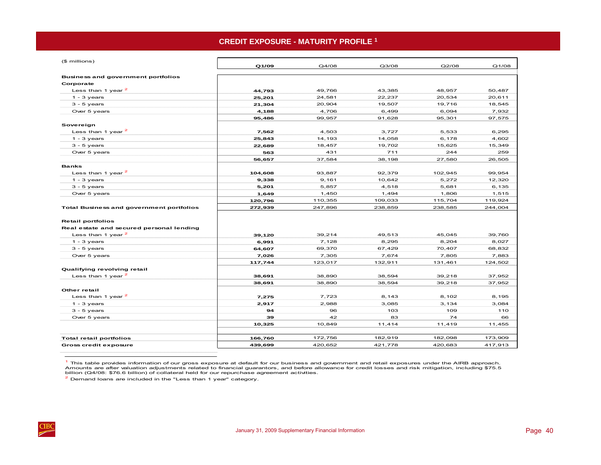# **CREDIT EXPOSURE - MATURITY PROFILE 1**

<span id="page-43-0"></span>

| (\$ millions)                                   |         |         |         |         |         |
|-------------------------------------------------|---------|---------|---------|---------|---------|
|                                                 | Q1/09   | Q4/08   | Q3/08   | Q2/08   | Q1/08   |
| <b>Business and government portfolios</b>       |         |         |         |         |         |
| Corporate                                       |         |         |         |         |         |
| Less than 1 year $^2$                           | 44,793  | 49,766  | 43,385  | 48,957  | 50,487  |
| $1 - 3$ years                                   | 25,201  | 24,581  | 22,237  | 20,534  | 20,611  |
| $3 - 5$ years                                   | 21,304  | 20,904  | 19,507  | 19,716  | 18,545  |
| Over 5 years                                    | 4,188   | 4,706   | 6,499   | 6,094   | 7,932   |
|                                                 | 95,486  | 99,957  | 91,628  | 95,301  | 97,575  |
| Sovereign                                       |         |         |         |         |         |
| Less than 1 year <sup>2</sup>                   | 7,562   | 4,503   | 3,727   | 5,533   | 6,295   |
| $1 - 3$ years                                   | 25,843  | 14,193  | 14,058  | 6,178   | 4,602   |
| $3 - 5$ years                                   | 22,689  | 18,457  | 19,702  | 15,625  | 15,349  |
| Over 5 years                                    | 563     | 431     | 711     | 244     | 259     |
|                                                 | 56,657  | 37,584  | 38,198  | 27,580  | 26,505  |
| <b>Banks</b>                                    |         |         |         |         |         |
| Less than 1 year $2$                            | 104,608 | 93,887  | 92,379  | 102,945 | 99,954  |
| $1 - 3$ years                                   | 9,338   | 9,161   | 10,642  | 5,272   | 12,320  |
| $3 - 5$ years                                   | 5,201   | 5,857   | 4,518   | 5,681   | 6,135   |
| Over 5 years                                    | 1,649   | 1,450   | 1,494   | 1,806   | 1,515   |
|                                                 | 120,796 | 110,355 | 109,033 | 115,704 | 119,924 |
| <b>Total Business and government portfolios</b> | 272,939 | 247,896 | 238,859 | 238,585 | 244,004 |
| <b>Retail portfolios</b>                        |         |         |         |         |         |
| Real estate and secured personal lending        |         |         |         |         |         |
| Less than 1 year $^2$                           | 39,120  | 39,214  | 49,513  | 45,045  | 39,760  |
| $1 - 3$ years                                   | 6,991   | 7,128   | 8,295   | 8,204   | 8,027   |
| $3 - 5$ years                                   | 64,607  | 69,370  | 67,429  | 70,407  | 68,832  |
| Over 5 years                                    | 7,026   | 7,305   | 7,674   | 7,805   | 7,883   |
|                                                 | 117,744 | 123,017 | 132,911 | 131,461 | 124,502 |
| Qualifying revolving retail                     |         |         |         |         |         |
| Less than 1 year $^2$                           | 38.691  | 38,890  | 38,594  | 39,218  | 37,952  |
|                                                 | 38,691  | 38,890  | 38,594  | 39,218  | 37,952  |
| Other retail                                    |         |         |         |         |         |
| Less than 1 year <sup>2</sup>                   | 7,275   | 7,723   | 8,143   | 8,102   | 8,195   |
| $1 - 3$ years                                   | 2,917   | 2,988   | 3,085   | 3,134   | 3,084   |
| $3 - 5$ years                                   | 94      | 96      | 103     | 109     | 110     |
| Over 5 years                                    | 39      | 42      | 83      | 74      | 66      |
|                                                 | 10,325  | 10,849  | 11,414  | 11,419  | 11,455  |
| <b>Total retail portfolios</b>                  | 166,760 | 172,756 | 182,919 | 182,098 | 173,909 |
| <b>Gross credit exposure</b>                    | 439,699 | 420,652 | 421,778 | 420,683 | 417,913 |
|                                                 |         |         |         |         |         |

 $<sup>1</sup>$  This table provides information of our gross exposure at default for our business and government and retail exposures under the AIRB approach.</sup> Amounts are after valuation adjustments related to financial guarantors, and before allowance for credit losses and risk mitigation, including \$75.5 billion (Q4/08: \$76.6 billion) of collateral held for our repurchase agreement activities.

2 Demand loans are included in the "Less than 1 year" category.

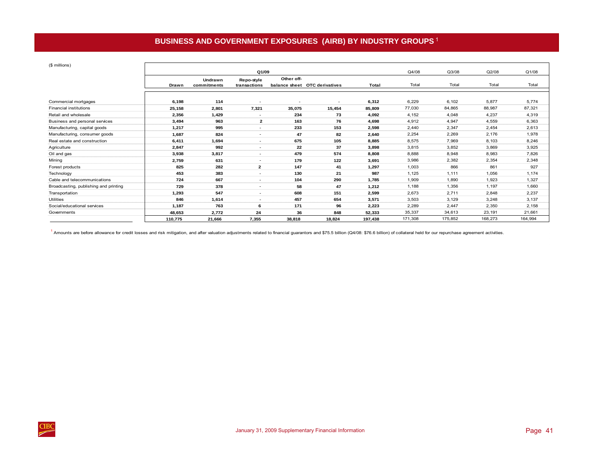# **BUSINESS AND GOVERNMENT EXPOSURES (AIRB) BY INDUSTRY GROUPS** <sup>1</sup>

<span id="page-44-0"></span>

| (\$ millions)                         |         |             |                          |            |                               |         |         |         |         |         |
|---------------------------------------|---------|-------------|--------------------------|------------|-------------------------------|---------|---------|---------|---------|---------|
|                                       |         |             | Q1/09                    |            |                               |         | Q4/08   | Q3/08   | Q2/08   | Q1/08   |
|                                       |         | Undrawn     | Repo-style               | Other off- |                               |         |         |         |         |         |
|                                       | Drawn   | commitments | transactions             |            | balance sheet OTC derivatives | Total   | Total   | Total   | Total   | Total   |
|                                       |         |             |                          |            |                               |         |         |         |         |         |
| Commercial mortgages                  | 6,198   | 114         |                          |            |                               | 6,312   | 6,229   | 6,102   | 5,877   | 5,774   |
| <b>Financial institutions</b>         | 25,158  | 2,801       | 7,321                    | 35,075     | 15,454                        | 85,809  | 77,030  | 84,865  | 88,987  | 87,321  |
| Retail and wholesale                  | 2,356   | 1,429       |                          | 234        | 73                            | 4,092   | 4,152   | 4,048   | 4,237   | 4,319   |
| Business and personal services        | 3,494   | 963         | 2                        | 163        | 76                            | 4,698   | 4,912   | 4,947   | 4,559   | 6,363   |
| Manufacturing, capital goods          | 1,217   | 995         | $\overline{\phantom{a}}$ | 233        | 153                           | 2,598   | 2,440   | 2,347   | 2,454   | 2,613   |
| Manufacturing, consumer goods         | 1,687   | 824         | $\overline{\phantom{a}}$ | 47         | 82                            | 2,640   | 2,254   | 2,269   | 2.176   | 1,978   |
| Real estate and construction          | 6,411   | 1,694       | $\overline{\phantom{0}}$ | 675        | 105                           | 8,885   | 8,575   | 7,969   | 8,103   | 8,246   |
| Agriculture                           | 2,847   | 992         | $\overline{\phantom{a}}$ | 22         | 37                            | 3,898   | 3,815   | 3,852   | 3,869   | 3,925   |
| Oil and gas                           | 3,938   | 3,817       | $\overline{\phantom{a}}$ | 479        | 574                           | 8,808   | 8,888   | 8,948   | 8,983   | 7,826   |
| Mining                                | 2,759   | 631         | $\overline{\phantom{a}}$ | 179        | 122                           | 3,691   | 3,986   | 2,382   | 2,354   | 2,348   |
| Forest products                       | 825     | 282         | $\overline{\mathbf{2}}$  | 147        | 41                            | 1,297   | 1,003   | 866     | 861     | 927     |
| Technology                            | 453     | 383         | $\overline{\phantom{a}}$ | 130        | 21                            | 987     | 1,125   | 1,111   | 1,056   | 1,174   |
| Cable and telecommunications          | 724     | 667         | $\overline{\phantom{a}}$ | 104        | 290                           | 1,785   | 1,909   | 1,890   | 1,923   | 1,327   |
| Broadcasting, publishing and printing | 729     | 378         |                          | 58         | 47                            | 1,212   | 1,188   | 1,356   | 1,197   | 1,660   |
| Transportation                        | 1,293   | 547         | $\overline{\phantom{a}}$ | 608        | 151                           | 2,599   | 2,673   | 2,711   | 2,848   | 2,237   |
| Utilities                             | 846     | 1,614       |                          | 457        | 654                           | 3,571   | 3,503   | 3,129   | 3,248   | 3,137   |
| Social/educational services           | 1,187   | 763         | 6                        | 171        | 96                            | 2,223   | 2,289   | 2,447   | 2,350   | 2,158   |
| Governments                           | 48,653  | 2,772       | 24                       | 36         | 848                           | 52,333  | 35,337  | 34,613  | 23,191  | 21,661  |
|                                       | 110,775 | 21,666      | 7,355                    | 38,818     | 18,824                        | 197,438 | 171,308 | 175,852 | 168,273 | 164,994 |

1 Amounts are before allowance for credit losses and risk mitigation, and after valuation adjustments related to financial guarantors and \$75.5 billion (Q4/08: \$76.6 billion) of collateral held for our repurchase agreement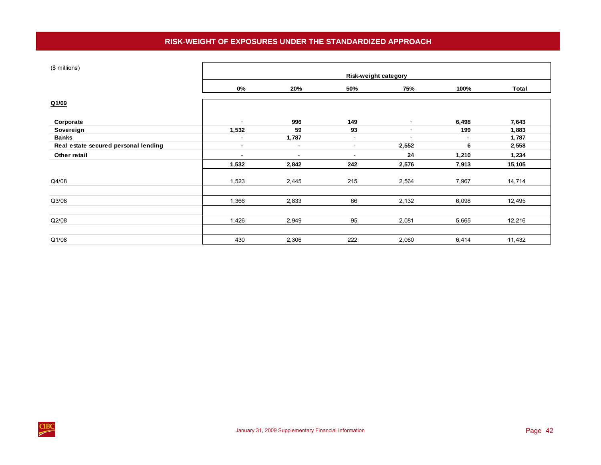# **RISK-WEIGHT OF EXPOSURES UNDER THE STANDARDIZED APPROACH**

<span id="page-45-0"></span>

| (\$ millions)                        |                          |                          | Risk-weight category     |                          |        |        |
|--------------------------------------|--------------------------|--------------------------|--------------------------|--------------------------|--------|--------|
|                                      | $0\%$                    | 20%                      | 50%                      | 75%                      | 100%   | Total  |
| Q1/09                                |                          |                          |                          |                          |        |        |
| Corporate                            | $\blacksquare$           | 996                      | 149                      | $\sim$                   | 6,498  | 7,643  |
| Sovereign                            | 1,532                    | 59                       | 93                       | $\sim$                   | 199    | 1,883  |
| <b>Banks</b>                         | $\blacksquare$           | 1,787                    | $\sim$                   | $\overline{\phantom{a}}$ | $\sim$ | 1,787  |
| Real estate secured personal lending | $\overline{\phantom{a}}$ | $\sim$                   | $\sim$                   | 2,552                    | 6      | 2,558  |
| Other retail                         | $\overline{\phantom{a}}$ | $\overline{\phantom{a}}$ | $\overline{\phantom{a}}$ | 24                       | 1,210  | 1,234  |
|                                      | 1,532                    | 2,842                    | 242                      | 2,576                    | 7,913  | 15,105 |
| Q4/08                                | 1,523                    | 2,445                    | 215                      | 2,564                    | 7,967  | 14,714 |
| Q3/08                                | 1,366                    | 2,833                    | 66                       | 2,132                    | 6,098  | 12,495 |
| Q2/08                                | 1,426                    | 2,949                    | 95                       | 2,081                    | 5,665  | 12,216 |
|                                      |                          |                          |                          |                          |        |        |
| Q1/08                                | 430                      | 2,306                    | 222                      | 2,060                    | 6,414  | 11,432 |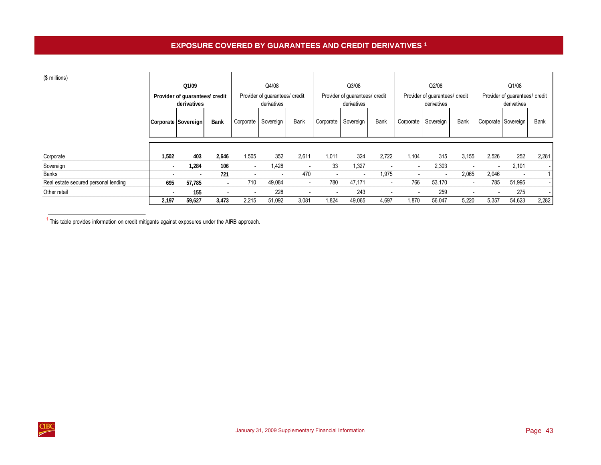T

┬

 $\blacksquare$ 

┬

## <span id="page-46-0"></span> $\mathbf{e}$

| (\$ millions)                        |       |                                               |             |                          |                                               |                          |                          |                                               |                          |                |                                               |                          |                                               |                          |                          |
|--------------------------------------|-------|-----------------------------------------------|-------------|--------------------------|-----------------------------------------------|--------------------------|--------------------------|-----------------------------------------------|--------------------------|----------------|-----------------------------------------------|--------------------------|-----------------------------------------------|--------------------------|--------------------------|
|                                      |       | Q1/09                                         |             |                          | Q4/08                                         |                          |                          | Q3/08                                         |                          |                | Q2/08                                         |                          | Q1/08                                         |                          |                          |
|                                      |       | Provider of guarantees/ credit<br>derivatives |             |                          | Provider of guarantees/ credit<br>derivatives |                          |                          | Provider of guarantees/ credit<br>derivatives |                          |                | Provider of guarantees/ credit<br>derivatives |                          | Provider of guarantees/ credit<br>derivatives |                          |                          |
|                                      |       | Corporate Sovereign                           | <b>Bank</b> | Corporate                | Sovereign                                     | Bank                     | Corporate                | Sovereign                                     | Bank                     |                | Corporate Sovereign                           | <b>Bank</b>              | Corporate Sovereign                           |                          | Bank                     |
| Corporate                            | 1,502 | 403                                           | 2,646       | 1,505                    | 352                                           | 2,611                    | 1,011                    | 324                                           | 2,722                    | 1,104          | 315                                           | 3,155                    | 2,526                                         | 252                      | 2,281                    |
| Sovereign                            |       | 1,284                                         | 106         | $\overline{\phantom{a}}$ | 1,428                                         | $\overline{\phantom{a}}$ | 33                       | 1,327                                         | $\overline{\phantom{a}}$ | $\blacksquare$ | 2,303                                         | $\overline{\phantom{0}}$ | $\sim$                                        | 2,101                    | $\overline{\phantom{a}}$ |
| Banks                                |       |                                               | 721         | $\overline{\phantom{0}}$ | $\overline{\phantom{a}}$                      | 470                      | $\overline{\phantom{a}}$ |                                               | 1,975                    |                |                                               | 2,065                    | 2,046                                         | $\overline{\phantom{0}}$ |                          |
| Real estate secured personal lending | 695   | 57,785                                        | $\sim$      | 710                      | 49,084                                        | $\sim$                   | 780                      | 47,171                                        | $\sim$                   | 766            | 53,170                                        | $\sim$                   | 785                                           | 51,995                   |                          |
| Other retail                         |       | 155                                           |             | $\overline{\phantom{0}}$ | 228                                           | $\overline{\phantom{a}}$ | $\overline{\phantom{a}}$ | 243                                           | $\overline{\phantom{a}}$ | $\sim$         | 259                                           | $\blacksquare$           | $\sim$                                        | 275                      | $\overline{\phantom{a}}$ |
|                                      | 2,197 | 59,627                                        | 3,473       | 2,215                    | 51,092                                        | 3,081                    | 1,824                    | 49,065                                        | 4,697                    | 1,870          | 56,047                                        | 5,220                    | 5,357                                         | 54,623                   | 2,282                    |

<sup>1</sup> This table provides information on credit mitigants against exposures under the AIRB approach.

Е

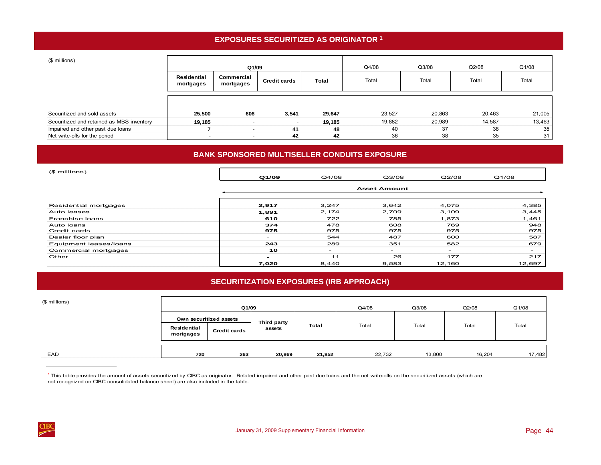# **EXPOSURES SECURITIZED AS ORIGINATOR 1**

<span id="page-47-0"></span>

| (\$ millions)                             |                          | Q1/09                                          |       |        | Q4/08  | Q3/08  | Q2/08  | Q1/08  |
|-------------------------------------------|--------------------------|------------------------------------------------|-------|--------|--------|--------|--------|--------|
|                                           | Residential<br>mortgages | Commercial<br><b>Credit cards</b><br>mortgages |       | Total  | Total  | Total  | Total  | Total  |
| Securitized and sold assets               | 25,500                   | 606                                            | 3,541 | 29,647 | 23,527 | 20,863 | 20,463 | 21,005 |
| Securitized and retained as MBS inventory | 19,185                   |                                                |       | 19,185 | 19,882 | 20,989 | 14,587 | 13,463 |
| Impaired and other past due loans         |                          | $\overline{\phantom{a}}$                       | 41    | 48     | 40     | 37     | 38     | 35     |
| Net write-offs for the period             | $\overline{\phantom{a}}$ |                                                | 42    | 42     | 36     | 38     | 35     | 31     |

# **BANK SPONSORED MULTISELLER CONDUITS EXPOSURE**

| (\$ millions)          | Q1/09                    | Q4/08  | Q3/08                    | Q2/08                    | Q1/08                    |
|------------------------|--------------------------|--------|--------------------------|--------------------------|--------------------------|
|                        |                          |        | <b>Asset Amount</b>      |                          |                          |
| Residential mortgages  | 2,917                    | 3,247  | 3,642                    | 4,075                    | 4,385                    |
| Auto leases            | 1,891                    | 2,174  | 2,709                    | 3,109                    | 3,445                    |
| Franchise Ioans        | 610                      | 722    | 785                      | 1,873                    | 1,461                    |
| Auto Ioans             | 374                      | 478    | 608                      | 769                      | 948                      |
| Credit cards           | 975                      | 975    | 975                      | 975                      | 975                      |
| Dealer floor plan      | $\sim$                   | 544    | 487                      | 600                      | 587                      |
| Equipment leases/loans | 243                      | 289    | 351                      | 582                      | 679                      |
| Commercial mortgages   | 10                       | $\sim$ | $\overline{\phantom{0}}$ | $\overline{\phantom{0}}$ | $\overline{\phantom{a}}$ |
| Other                  | $\overline{\phantom{0}}$ | 11     | 26                       | 177                      | 217                      |
|                        | 7,020                    | 8,440  | 9,583                    | 12,160                   | 12,697                   |

# **SECURITIZATION EXPOSURES (IRB APPROACH)**

| (\$ millions) |                          | Q1/09                  |             |        | Q4/08  | Q3/08  | Q2/08  | Q1/08  |
|---------------|--------------------------|------------------------|-------------|--------|--------|--------|--------|--------|
|               |                          | Own securitized assets | Third party |        |        |        |        |        |
|               | Residential<br>mortgages | <b>Credit cards</b>    | assets      | Total  | Total  | Total  | Total  | Total  |
| EAD           | 720                      | 263                    | 20,869      | 21,852 | 22,732 | 13,800 | 16,204 | 17,482 |

<sup>1</sup> This table provides the amount of assets securitized by CIBC as originator. Related impaired and other past due loans and the net write-offs on the securitized assets (which are not recognized on CIBC consolidated balance sheet) are also included in the table.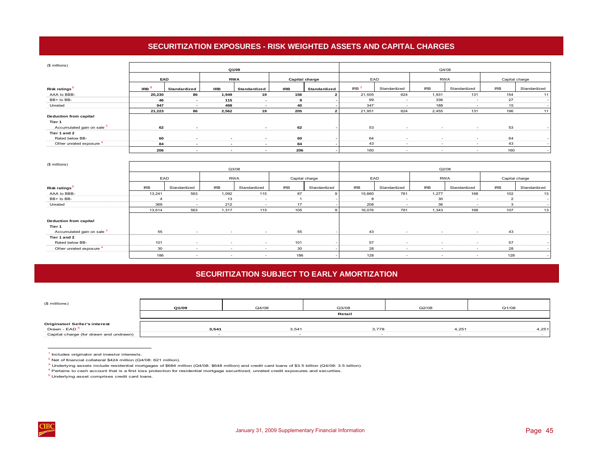# **SECURITIZATION EXPOSURES - RISK WEIGHTED ASSETS AND CAPITAL CHARGES**

<span id="page-48-0"></span>

| (\$ millions)                       |                  |                          |                          |                          |            |                |                  |                          |            |                          |                |                          |
|-------------------------------------|------------------|--------------------------|--------------------------|--------------------------|------------|----------------|------------------|--------------------------|------------|--------------------------|----------------|--------------------------|
|                                     |                  |                          |                          | Q1/09                    |            |                |                  |                          |            | Q4/08                    |                |                          |
|                                     | EAD              |                          |                          | <b>RWA</b>               |            |                | EAD              |                          | <b>RWA</b> |                          | Capital charge |                          |
|                                     |                  |                          |                          |                          |            | Capital charge |                  |                          |            |                          |                |                          |
| Risk ratings <sup>1</sup>           | IRB <sup>3</sup> | Standardized             | <b>IRB</b>               | Standardized             | <b>IRB</b> | Standardized   | IRB <sup>2</sup> | Standardized             | <b>IRB</b> | Standardized             | <b>IRB</b>     | Standardized             |
| AAA to BBB-                         | 20,230           | 86                       | 1,949                    | 19                       | 156        | 2              | 21,505           | 624                      | 1,931      | 131                      | 154            | 11                       |
| BB+ to BB-                          | 46               | $\sim$                   | 115                      | $\overline{\phantom{a}}$ | 9          |                | 99               | $\sim$                   | 336        | $\sim$                   | 27             |                          |
| Unrated                             | 947              | $\overline{\phantom{a}}$ | 498                      |                          | 40         |                | 347              | $\overline{\phantom{a}}$ | 188        | $\overline{\phantom{a}}$ | 15             |                          |
|                                     | 21,223           | 86                       | 2,562                    | 19                       | 205        |                | 21,951           | 624                      | 2,455      | 131                      | 196            | 11                       |
| <b>Deduction from capital</b>       |                  |                          |                          |                          |            |                |                  |                          |            |                          |                |                          |
| Tier 1                              |                  |                          |                          |                          |            |                |                  |                          |            |                          |                |                          |
| Accumulated gain on sale 3          | 62               | $\overline{\phantom{a}}$ |                          | $\sim$                   | 62         |                | 53               | $\overline{\phantom{a}}$ | $\sim$     | $\sim$                   | 53             |                          |
| Tier 1 and 2                        |                  |                          |                          |                          |            |                |                  |                          |            |                          |                |                          |
| Rated below BB-                     | 60               | $\overline{\phantom{a}}$ | $\overline{\phantom{a}}$ | $\overline{\phantom{a}}$ | 60         |                | 64               | $\sim$                   | $\sim$     | $\sim$                   | 64             | $\overline{\phantom{a}}$ |
| Other unrated exposure <sup>4</sup> | 84               | $\overline{\phantom{a}}$ |                          |                          | 84         |                | 43               |                          |            |                          | 43             |                          |
|                                     | 206              |                          |                          |                          | 206        |                | 160              | $\overline{\phantom{a}}$ |            | $\overline{\phantom{a}}$ | 160            |                          |
|                                     |                  |                          |                          |                          |            |                |                  |                          |            |                          |                |                          |
| $(8 \text{ million})$               |                  |                          |                          |                          |            |                |                  |                          |            |                          |                |                          |

| (\$ millions)                 |            |                          | Q3/08                    |                          |            |                | Q2/08      |              |                          |                          |            |                |  |
|-------------------------------|------------|--------------------------|--------------------------|--------------------------|------------|----------------|------------|--------------|--------------------------|--------------------------|------------|----------------|--|
|                               | EAD        |                          | <b>RWA</b>               |                          |            | Capital charge | EAD        |              |                          | <b>RWA</b>               |            | Capital charge |  |
| Risk ratings <sup>1</sup>     | <b>IRB</b> | Standardized             | <b>IRB</b>               | Standardized             | <b>IRB</b> | Standardized   | <b>IRB</b> | Standardized | <b>IRB</b>               | Standardized             | <b>IRB</b> | Standardized   |  |
| AAA to BBB-                   | 13,241     | 563                      | 1,092                    | 115                      | 87         |                | 15,860     | 761          | 1,277                    | 168                      | 102        | 13             |  |
| BB+ to BB-                    |            | $\sim$                   | 13                       |                          |            |                | 8          |              | 30                       |                          | 2          |                |  |
| Unrated                       | 369        | $\sim$                   | 212                      | $\overline{\phantom{a}}$ | 17         |                | 208        | $\sim$       | 36                       |                          |            |                |  |
|                               | 13,614     | 563                      | 1,317                    | 115                      | 105        |                | 16,076     | 761          | 1,343                    | 168                      | 107        | 13             |  |
| <b>Deduction from capital</b> |            |                          |                          |                          |            |                |            |              |                          |                          |            |                |  |
| Tier 1                        |            |                          |                          |                          |            |                |            |              |                          |                          |            |                |  |
| Accumulated gain on sale 3    | 55         | $\sim$                   | $\overline{\phantom{a}}$ | $\sim$                   | 55         |                | 43         | $\sim$       | $\sim$                   | $\overline{\phantom{a}}$ | 43         |                |  |
| Tier 1 and 2                  |            |                          |                          |                          |            |                |            |              |                          |                          |            |                |  |
| Rated below BB-               | 101        | $\overline{\phantom{a}}$ | $\sim$                   | $\sim$                   | 101        |                | 57         | $\sim$       | $\sim$                   | $\sim$                   | 57         |                |  |
| Other unrated exposure 4      | 30         | $\sim$                   | <b>COL</b>               | $\sim$                   | 30         |                | 28         | $\sim$       | $\overline{\phantom{a}}$ | $\sim$                   | 28         |                |  |
|                               | 186        | $\sim$                   | $\overline{\phantom{a}}$ | $\sim$                   | 186        |                | 128        | $\sim$       | $\sim$                   | . .                      | 128        |                |  |

# **SECURITIZATION SUBJECT TO EARLY AMORTIZATION**

| (\$ millions)                                                    | Q1/09  | Q4/08 | Q3/08 | Q2/08 | Q1/08 |
|------------------------------------------------------------------|--------|-------|-------|-------|-------|
|                                                                  | Retail |       |       |       |       |
| <b>Originator/ Seller's interest</b><br>Drawn - EAD <sup>5</sup> | 3,541  | 3,541 | 3,778 | 4,251 | 4,251 |
| Capital charge (for drawn and undrawn)                           |        |       |       |       |       |

1 Includes originator and investor interests.

2 Net of financial collateral \$424 million (Q4/08: 621 million).

<sup>3</sup> Underlying assets include residential mortgages of \$684 million (Q4/08: \$648 million) and credit card loans of \$3.5 billion (Q4/08: 3.5 billion).

 $<sup>4</sup>$  Pertains to cash account that is a first loss protection for residential mortgage securitized, unrated credit exposures and securities.</sup>

<sup>5</sup> Underlying asset comprises credit card loans.